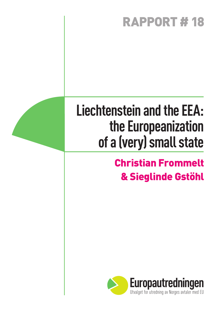## Rapport # 18

# **Liechtenstein and the EEA: the Europeanization of a (very) small state**

## Christian Frommelt & Sieglinde Gstöhl

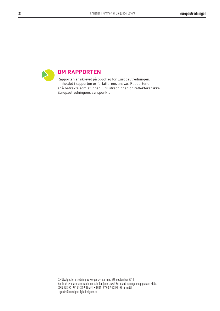

Rapporten er skrevet på oppdrag for Europautredningen. Innholdet i rapporten er forfatternes ansvar. Rapportene er å betrakte som et innspill til utredningen og reflekterer ikke Europautredningens synspunkter.

© Utvalget for utredning av Norges avtaler med EU, september 2011 Ved bruk av materiale fra denne publikasjonen, skal Europautredningen oppgis som kilde. ISBN 978-82-93145-34-9 (trykt) • ISBN 978-82-93145-35-6 (nett) Layout: Gladesigner (gladesigner.no)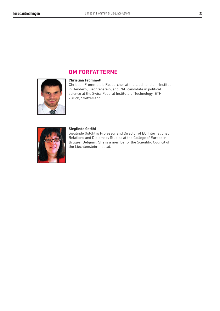

## **OM FORFATTERNE**

#### **Christian Frommelt**

Christian Frommelt is Researcher at the Liechtenstein-Institut in Bendern, Liechtenstein, and PhD candidate in political science at the Swiss Federal Institute of Technology (ETH) in Zürich, Switzerland.



#### **Sieglinde Gstöhl**

Sieglinde Gstöhl is Professor and Director of EU International Relations and Diplomacy Studies at the College of Europe in Bruges, Belgium. She is a member of the Scientific Council of the Liechtenstein-Institut.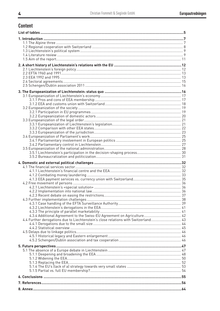## **Content**

| 4.3.4 Additional Agreement to the Swiss-EU Agreement on Agriculture 42<br>4.4 Further derogations due to Liechtenstein's close relations with Switzerland 43 |  |
|--------------------------------------------------------------------------------------------------------------------------------------------------------------|--|
|                                                                                                                                                              |  |
|                                                                                                                                                              |  |
|                                                                                                                                                              |  |
|                                                                                                                                                              |  |
|                                                                                                                                                              |  |
|                                                                                                                                                              |  |
|                                                                                                                                                              |  |
|                                                                                                                                                              |  |
|                                                                                                                                                              |  |
|                                                                                                                                                              |  |
|                                                                                                                                                              |  |
|                                                                                                                                                              |  |
|                                                                                                                                                              |  |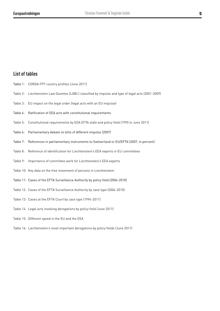#### **List of tables**

- Table 1: CORDA FP7 country profiles (June 2011)
- Table 2: Liechtenstein Law Gazettes (LGBl.) classified by impulse and type of legal acts (2001-2009)
- Table 3: EU impact on the legal order (legal acts with an EU impulse)
- Table 4: Ratification of EEA acts with constitutional requirements
- Table 5: Constitutional requirements by EEA EFTA state and policy field (1995 to June 2011)
- Table 6: Parliamentary debate on bills of different impulse (2007)
- Table 7: References in parliamentary instruments to Switzerland or EU/EFTA (2007, in percent)
- Table 8: Reference of identification for Liechtenstein's EEA experts in EU committees
- Table 9: Importance of committee work for Liechtenstein's EEA experts
- Table 10: Key data on the free movement of persons in Liechtenstein
- Table 11: Cases of the EFTA Surveillance Authority by policy field (2004-2010)
- Table 12: Cases of the EFTA Surveillance Authority by case type (2004-2010)
- Table 13: Cases at the EFTA Court by case type (1994-2011)
- Table 14: Legal acts involving derogations by policy field (June 2011)
- Table 15: Different speed in the EU and the EEA
- Table 16: Liechtenstein's most important derogations by policy fields (June 2011)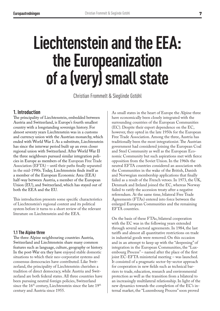# **Liechtenstein and the EEA: the Europeanization of a (very) small state**

Christian Frommelt & Sieglinde Gstöhl

### **1. Introduction**

The principality of Liechtenstein, embedded between Austria and Switzerland, is Europe's fourth smallest country with a longstanding sovereign history. For almost seventy years Liechtenstein was in a customs and currency union with the Austrian monarchy, which ended with World War I. As a substitute, Liechtenstein has since the interwar period built up an even closer regional union with Switzerland. After World War II the three neighbours pursued similar integration policies in Europe as members of the European Free Trade Association (EFTA) – until their paths finally separated in the mid-1990s. Today, Liechtenstein finds itself as a member of the European Economic Area (EEA) half-way between Austria, a member of the European Union (EU), and Switzerland, which has stayed out of both the EEA and the EU.

This introduction presents some specific characteristics of Liechtenstein's regional context and its political system before it turns to a short review of the relevant literature on Liechtenstein and the EEA.

#### **1.1 The Alpine three**

The three Alpine neighbouring countries Austria, Switzerland and Liechtenstein share many common features such as language, culture, geography or history. In the post-War era they have enjoyed stable domestic situations to which their neo-corporatist systems and consensus democracies have contributed. Like Switzerland, the principality of Liechtenstein cherishes a tradition of direct democracy, while Austria and Switzerland are both federal states. All three countries have been pursuing neutral foreign policies, Switzerland since the 16<sup>th</sup> century, Liechtenstein since the late 19<sup>th</sup> century and Austria since 1955.

As small states in the heart of Europe the Alpine three have economically been closely integrated with the surrounding countries of the European Communities (EC). Despite their export dependence on the EC, however, they opted in the late 1950s for the European Free Trade Association. Among the three, Austria has traditionally been the most integrationist. The Austrian government had considered joining the European Coal and Steel Community as well as the European Economic Community but such aspirations met with fierce opposition from the Soviet Union. In the 1960s the neutral EFTA countries considered an association with the Communities in the wake of the British, Danish and Norwegian membership applications that finally failed as a result of the French vetoes. In 1973, the UK, Denmark and Ireland joined the EC, whereas Norway failed to ratify the accession treaty after a negative referendum. At the same time, bilateral Free Trade Agreements (FTAs) entered into force between the enlarged European Communities and the remaining EFTA countries.

On the basis of these FTAs, bilateral cooperation with the EC was in the following years extended through several sectoral agreements. In 1984, the last tariffs and almost all quantitative restrictions on trade in industrial goods were removed. On this occasion and in an attempt to keep up with the "deepening" of integration in the European Communities, the "Luxembourg Process" – named after the place of the first joint EC-EFTA ministerial meeting – was launched. It consisted of a pragmatic sector-by-sector approach for cooperation in new fields such as technical barriers to trade, education, research and environmental protection as well as the transition from a bilateral to an increasingly multilateral relationship. In light of the new dynamics towards the completion of the EC's internal market, the "Luxembourg Process" soon proved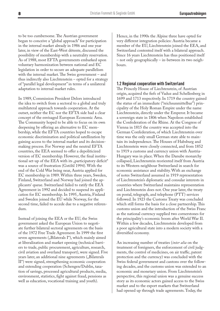to be too cumbersome. The Austrian government began to conceive a "global approach" for participation in the internal market already in 1986 and one year later, in view of the East-West détente, discussed the possibility of membership with a neutrality reservation. As of 1988, most EFTA governments embarked upon voluntary harmonization between national and EC legislation in order to secure an adequate parallelism with the internal market. The Swiss government – and thus indirectly also Liechtenstein – opted for a strategy of "parallel legal development" in terms of a unilateral adaptation to internal market rules.

In 1989, Commission President Delors introduced the idea to switch from a sectoral to a global and truly multilateral approach towards cooperation. At the outset, neither the EC nor the EFTA side had a clear concept of the envisaged European Economic Area. The Community hoped to be able to focus on its own deepening by offering an alternative to EC membership, while the EFTA countries hoped to escape economic discrimination and political satellization by gaining access to the internal market and its decisionmaking process. For Norway and the neutral EFTA countries, the EEA seemed to offer a depoliticized version of EC membership. However, the final institutional set-up of the EEA with its "participatory deficit" was a source of frustration (Gstöhl 1994). With the end of the Cold War being near, Austria applied for EC membership in 1989. Within three years, Sweden, Finland, Switzerland and Norway had joined the applicants' queue. Switzerland failed to ratify the EEA Agreement in 1992 and decided to suspend its application for EC membership. In 1995, Austria, Finland and Sweden joined the EU while Norway, for the second time, failed to accede due to a negative referendum.

Instead of joining the EEA or the EU, the Swiss government asked the European Union to negotiate further bilateral sectoral agreements on the basis of the 1972 Free Trade Agreement. In 1999 the first seven agreements ("Bilaterals I"), which mainly aimed at liberalization and market opening (technical barriers to trade, public procurement, agriculture, research, civil aviation and overland transport), were signed. Five years later, an additional nine agreements ("Bilaterals II") were signed, strengthening economic cooperation and extending cooperation (Schengen/Dublin, taxation of savings, processed agricultural products, media, environment, statistics, fight against fraud, pensions as well as education, vocational training and youth).

Hence, in the 1990s the Alpine three have opted for very different integration policies: Austria became a member of the EU, Liechtenstein joined the EEA, and Switzerland contented itself with a bilateral approach. Since 16 years Liechtenstein has thus positioned itself – not only geographically – in-between its two neighbours.

#### **1.2 Regional cooperation with Switzerland**

The Princely House of Liechtenstein, of Austrian origin, acquired the fiefs of Vaduz and Schellenberg in 1699 and 1713 respectively. In 1719 the country gained the status of an immediate ("reichsunmittelbar") principality of the Holy Roman Empire under the name Liechtenstein, directly under the Emperor. It became a sovereign state in 1806 when Napoleon established the Confederation of the Rhine. At the Congress of Vienna in 1815 the country was accepted into the German Confederation, of which Liechtenstein over time was the only small German state able to maintain its independence. The Houses of Habsburg and Liechtenstein were closely connected, and from 1852 to 1919 a customs and currency union with Austria-Hungary was in place. When the Danube monarchy collapsed, Liechtenstein reoriented itself from Austria to its Western neighbour Switzerland in search for economic assistance and stability. With an exchange of notes Switzerland assumed in 1919 representation of Liechtenstein's diplomatic and consular interests in countries where Switzerland maintains representation and Liechtenstein does not. One year later, the treaty on postal, telegraph, and telephone (PTT) services followed. In 1923 the Customs Treaty was concluded which still forms the basis for a close partnership. This customs union and the introduction of the Swiss Franc as the national currency supplied two cornerstones for the principality's economic boom after World War II. Within a few decades, Liechtenstein developed from a poor agricultural state into a modern society with a diversified economy.

An increasing number of treaties (*inter alia* on the treatment of foreigners, the enforcement of civil judgments, the control of medicines, on air traffic, patent protection and the currency) was concluded with the Swiss federal government and cantons over the following decades, and the customs union was extended to an economic and monetary union. From Liechtenstein's perspective, this regional union was a genuine success story as its economic actors gained access to the Swiss market and to the export markets that Switzerland had opened up through trade agreements. Today, the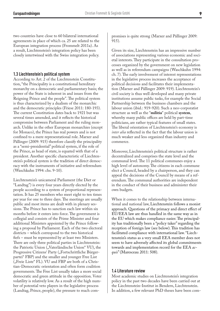two countries have close to 60 bilateral international agreements in place of which ca. 25 are related to the European integration process (Frommelt 2011a). As a result, Liechtenstein's integration policy has been closely intertwined with the Swiss integration policy.

#### **1.3 Liechtenstein's political system**

According to Art. 2 of the Liechtenstein Constitution, "the Principality is a constitutional hereditary monarchy on a democratic and parliamentary basis; the power of the State is inherent in and issues from the Reigning Prince and the people". The political system is thus characterized by a dualism of the monarchic and the democratic principles (Friese 2011: 180-193). The current Constitution dates back to 1921 but was several times amended, and it reflects the historical compromise between Parliament and the ruling monarch. Unlike in the other European monarchies (except for Monaco), the Prince has real powers and is not confined to a mere representational role. Marxer and Pállinger (2009: 915) therefore classify the principality as a "semi-presidential" political system, if the role of the Prince, as head of state, is equated with that of a president. Another specific characteristic of Liechtenstein's political system is the tradition of direct democracy with the instruments of initiative and referendum (Waschkuhn 1994: chs. 9-10).

Liechtenstein's unicameral Parliament (the Diet or "Landtag") is every four years directly elected by the people according to a system of proportional representation. It has 25 members who meet eight to ten times per year for one to three days. The meetings are usually public and most items are dealt with in plenary sessions. The Prince has to sanction each law within six months before it enters into force. The government is collegial and consists of the Prime Minister and four additional Ministers appointed by the Prince following a proposal by Parliament. Each of the two electoral districts – which correspond to the two historical fiefs – must be represented by at least two Ministers. There are only three political parties in Liechtenstein: the Patriotic Union ("Vaterländische Union" VU), the Progressive Citizens' Party ("Fortschrittliche Bürgerpartei" FBP) and the smaller and younger Free List ("Freie Liste" FL). VU and FBP are both of a Christian-Democratic orientation and often form coalition governments. The Free List usually takes a more social democratic and green attitude in the opposition. Voter volatility is relatively low. As a result of the high number of potential veto players in the legislative process (Landtag, Prince, people), the pressure to reach compromises is quite strong (Marxer and Pállinger 2009: 915).

Given its size, Liechtenstein has an impressive number of associations representing various economic and societal interests. They participate in the consultation processes organized by the government on new legislation as well as in referendum campaigns (Waschkuhn 1994: ch. 7). The early involvement of interest representations in the legislative process increases the acceptance of political decisions and facilitates their implementation (Marxer and Pállinger 2009: 919). Liechtenstein's civil society is thus well developed and many private institutions assume public tasks, for example the Social Partnership between the business chambers and the labour union (ibid.: 919-920). Such a neo-corporatist structure as well as the "**militia**" political **system**, whereby many public offices are held by part-time politicians, are rather typical features of small states. The liberal orientation of Liechtenstein's economy is *inter alia* reflected in the fact that the labour union is much weaker and less organized than industry and commerce.

Moreover, Liechtenstein's political structure is rather decentralized and comprises the state level and the communal level. The 11 political communes enjoy a high level of autonomy. The citizens in each commune elect a Council, headed by a chairperson, and they can appeal the decisions of the Council by means of a referendum. The communal authorities are independent in the conduct of their business and administer their own budgets.

When it comes to the relationship between international and national law, Liechtenstein follows a monist approach. Questions of the primacy and direct effect of EU/EEA law are thus handled in the same way as in the EU which makes compliance easier. The principality has traditionally been a "policy taker" regarding the reception of foreign law (see below). This tradition has facilitated compliance with international law. "Liechtenstein's status as a very small EEA member does not seem to have adversely affected its global commitments towards and implementation record for the EEA *acquis*" (Maresceau 2011: 508).

#### **1.4 Literature review**

Most academic studies on Liechtenstein's integration policy in the past two decades have been carried out at the Liechtenstein-Institut in Bendern, Liechtenstein. In addition, a few relevant PhD theses have been com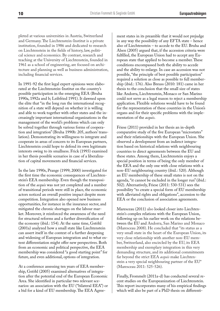pleted at various universities in Austria, Switzerland and Germany. The Liechtenstein-Institut is a private institution, founded in 1986 and dedicated to research on Liechtenstein in the fields of history, law, political science and economics. By contrast, research and teaching at the University of Liechtenstein, founded in 1961 as a school of engineering, are focused on architecture and planning as well as business administration, including financial services.

In 1991-92 the first legal expert opinions were elaborated at the Liechtenstein-Institut on the country's possible participation in the emerging EEA (Bruha 1990a, 1992a and b; Leibfried 1991). It dawned upon the elite that "in the long run the international recognition of a state will depend on whether it is willing and able to work together with other states and the increasingly important international organizations in the management of the world's problems which can only be solved together through various forms of cooperation and integration" (Bruha 1990b: 205, authors' translation). Demonstrating its willingness to integrate and cooperate in areas of concern to its European partners, Liechtenstein could hope to defend its own legitimate interests owing to its smallness. Frick (1993) examined in her thesis possible scenarios in case of a liberalization of capital movements and financial services.

In the late 1990s, Prange (1999; 2000) investigated for the first time the economic consequences of Liechtenstein's EEA membership. Even though the transposition of the *acquis* was not yet completed and a number of transitional periods were still in place, the economic actors noticed an overall positive impact despite more competition. Integration also opened new business opportunities, for instance in the insurance sector, and mitigated the chronic shortages on the labour market. Moreover, it reinforced the awareness of the need for structural reforms and a further diversification of the economy (ibid.: 154). At the same time, Gstöhl (2001a) analyzed how a small state like Liechtenstein can assert itself in the context of a further deepening and widening of European integration and to what extent differentiation might offer new perspectives. Both from an economic and political perspective, the EEA membership was considered "a good starting point" for future, and even additional, options of integration.

At a conference assessing ten years of EEA membership, Gstöhl (2005) examined alternatives of integration after the potential end of the European Economic Area. She identified in particular two relevant scenarios: an association with the EU ("bilateral EEA") or a bid for a kind of EU membership. The EEA Agreement states in its preamble that it would not prejudge in any way the possibility of any EFTA state – hence also of Liechtenstein – to accede to the EU. Bruha and Alsen (2005) argued that, if the accession criteria were fulfilled, the European Union had to accept any European state that applied to become a member. These conditions encompassed both the ability to accede and the ability to enlarge. In case an accession was not possible, "the principle of best possible participation" required a solution as close as possible to full membership (ibid.: 176). Also Breuss (2010: 181) came in her thesis to the conclusion that the small size of states like Andorra, Liechtenstein, Monaco or San Marino could not serve as a legal reason to reject a membership application. Flexible solutions would have to be found for the representation of these countries in the Union's organs and for their specific problems with the implementation of the *acquis*.

Friese (2011) provided in her thesis an in-depth comparative study of the five European "microstates" and their relationships with the European Union. She observed a development from an indirect integration based on historical relations with neighbouring countries to direct agreements between the EU and these states. Among them, Liechtenstein enjoys a special position in terms of being the only member of the EEA and the only one with close relations with a non-EU neighbouring country (ibid.: 520). Although an EU membership of these small states is not on the agenda, "it cannot be excluded in the longer run" (ibid.: 502). Alternatively, Friese (2011: 530-531) sees the possibility "to create a special form of EU membership with alleviated rights and obligations", accession to the EEA or the conclusion of association agreements.

Maresceau (2011) also looked closer into Liechtenstein's complex relations with the European Union, following up on his earlier work on the relations between the EU and Andorra, San Marino and Monaco (Maresceau 2008). He concluded that "its status as a very small state in the heart of the European Union, its very close relationship with another non-EU member, Switzerland, also encircled by the EU, its EEA membership and exemplary integration in this very demanding structure, and its additional commitments far beyond the strict EEA *acquis* make Liechtenstein a very special neighbouring partner of the EU" (Maresceau 2011: 525-526).

Finally, Frommelt (2011a-d) has conducted several recent studies on the Europeanization of Liechtenstein. This report incorporates many of his empirical findings which will also be part of a PhD thesis on differenti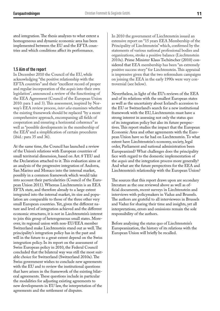ated integration. The thesis analyzes to what extent a homogeneous and dynamic economic area has been implemented between the EU and the EFTA countries and which conditions affect its performance.

#### **1.5 Aim of the report**

In December 2010 the Council of the EU, while acknowledging "the positive relationship with the EFTA countries" and their "excellent record of proper and regular incorporation of the *acquis* into their own legislation", announced a review of the functioning of the EEA Agreement (Council of the European Union 2010: para 1 and 3). This assessment, inspired by Norway's EEA review process, *inter alia* examines whether the existing framework should be replaced "by a more comprehensive approach, encompassing all fields of cooperation and ensuring a horizontal coherence" as well as "possible developments in the membership of the EEA" and a simplification of certain procedures (ibid.: para 35 and 36).

At the same time, the Council has launched a review of the Union's relations with European countries of small territorial dimension, based on Art. 8 TEU and the Declaration attached to it. This evaluation aims at an analysis of the progressive integration of Andorra, San Marino and Monaco into the internal market, possibly in a common framework which would take into account their particularities (Council of the European Union 2011). Whereas Liechtenstein is an EEA EFTA state, and therefore already to a large extent integrated into the internal market, its size and population are comparable to those of the three other very small European countries. Yet, given the different nature and level of integration achieved and the different economic structures, it is not in Liechtenstein's interest to join this group of heterogeneous small states. Moreover, its regional union with non-EU/EEA member Switzerland make Liechtenstein stand out as well. The principality's integration policy has in the past and will in the future to a great extent depend on the Swiss integration policy. In its report on the assessment of Swiss European policy in 2010, the Federal Council concluded that the bilateral way was still the most suitable choice for Switzerland (Switzerland 2010a). The Swiss government wishes to conclude new agreements with the EU and to review the institutional questions that have arisen in the framework of the existing bilateral agreements. These questions include in particular the modalities for adjusting existing agreements to new developments in EU law, the interpretation of the agreements and the settlement of disputes.

In 2010 the government of Liechtenstein issued an extensive report on "15 years EEA Membership of the Principality of Liechtenstein" which, confirmed by the statements of various national professional bodies and organizations, stroke a positive balance (Liechtenstein 2010a). Prime Minister Klaus Tschütscher (2010) considered that EEA membership has been "an extremely positive success story" for Liechtenstein. This appraisal is impressive given that the two referendum campaigns on joining the EEA in the early 1990s were very controversial (see below).

Nevertheless, in light of the EU's reviews of the EEA and of its relations with the smallest European states as well as the uncertainty about Iceland's accession to the EU or Switzerland's search for a new institutional framework with the EU, Liechtenstein must have a strong interest in assessing not only the status quo of its integration policy but also its future perspectives. This report studies the impact that the European Economic Area and other agreements with the European Union have so far had on Liechtenstein. To what extent have Liechtenstein's economy, society, legal order, Parliament and national administration been Europeanized? What challenges does the principality face with regard to the domestic implementation of the *acquis* and the integration process more generally? And what are the future perspectives for the EEA and Liechtenstein's relationship with the European Union?

The sources that this report draws upon are secondary literature as the one reviewed above as well as official documents, recent surveys in Liechtenstein and interviews with policymakers in Vaduz and Brussels. The authors are grateful to all interviewees in Brussels and Vaduz for sharing their time and insights, yet all interpretations, errors and omissions remain the sole responsibility of the authors.

Before analyzing the status quo of Liechtenstein's Europeanization, the history of its relations with the European Union will briefly be recalled.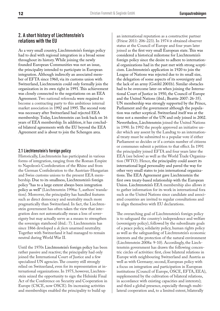#### **2. A short history of Liechtenstein's relations with the EU**

As a very small country, Liechtenstein's foreign policy had to deal with regional integration in a broad sense throughout its history. While joining the newly founded European Communities was not an issue, the principality intended to participate in European integration. Although indirectly an associated member of EFTA since 1960, via its customs union with Switzerland, Liechtenstein could only formally join the organization in its own right in 1991. This achievement was closely connected to the negotiations on an EEA Agreement. Two national referenda were required to become a contracting party to this ambitious internal market association in 1992 and 1995. The second vote was necessary after Switzerland had rejected EEA membership. Today, Liechtenstein can look back on 16 years of EEA membership. In addition, it has concluded bilateral agreements with the EU beyond the EEA Agreement and is about to join the Schengen area.

#### **2.1 Liechtenstein's foreign policy**

Historically, Liechtenstein has participated in various forms of integration, ranging from the Roman Empire to Napoleon's Confederation of the Rhine and from the German Confederation to the Austrian-Hungarian and Swiss customs unions to the present EEA membership. Due to its smallness, Liechtenstein's foreign policy "has to a large extent always been integration policy as well" (Liechtenstein 1996a: 5, authors' translation). Moreover, the principality has handled features such as direct democracy and neutrality much more pragmatically than Switzerland. In fact, the Liechtenstein government has often taken the view that integration does not automatically mean a loss of sovereignty but may actually serve as a means to strengthen the sovereign statehood (ibid.: 7). Liechtenstein has since 1866 developed a *de facto* unarmed neutrality. Together with Switzerland it had managed to remain neutral during World War II.

Until the 1970s Liechtenstein's foreign policy has been rather passive and reactive; the principality had only joined the International Court of Justice and a few specialized UN agencies. The country still strongly relied on Switzerland, even for its representation at international organizations. In 1975, however, Liechtenstein seized the opportunity to sign the Helsinki Final Act of the Conference on Security and Cooperation in Europe (CSCE, now OSCE). Its increasing activities and memberships enabled the principality to build up

an international reputation as a constructive partner (Friese 2011: 206-223). In 1974 it obtained observer status at the Council of Europe and four years later joined as the first very small European state. This was considered a historical milestone for Liechtenstein's foreign policy since the desire to adhere to international organizations had in the past met with strong scepticism. Liechtenstein's application in 1920 to join the League of Nations was rejected due to its small size, the delegation of some aspects of its sovereignty and the lack of an army (Gstöhl 2001b). Similar obstacles had to be overcome later on when joining the International Court of Justice in 1950, the Council of Europe and the United Nations (ibid.; Beattie 2007: 26-35). UN membership was strongly supported by the Prince, Parliament and the government although the population was rather sceptical. Switzerland itself was at the time not a member of the UN and only joined in 2002. Nevertheless, Liechtenstein joined the United Nations in 1990. In 1992 the people approved an initiative under which any assent by the Landtag to an international treaty must be submitted to a popular vote if either Parliament so decides or if a certain number of citizens or communes submit a petition to that effect. In 1991 the principality joined EFTA and four years later the EEA (see below) as well as the World Trade Organization (WTO). Hence, the principality could assert its international legal personality and paved the way for other very small states to join international organizations. The EEA Agreement gave Liechtenstein the first own treaty-based relationship with the European Union. Liechtenstein's EEA membership also allows it to gather information for its work in international fora such as the United Nations since candidate and associated countries are invited to regular consultations and to align themselves with EU declarations.

The overarching goal of Liechtenstein's foreign policy is to safeguard the country's independence and welfare (sovereignty policy), followed by the subordinate goals of a peace policy, solidarity policy, human rights policy as well as the safeguarding of Liechtenstein's economic interests and the protection of the natural environment (Liechtenstein 2008a: 9-10). Accordingly, the Liechtenstein government has drawn the following concentric circles of activities: first, close bilateral relations in Europe with neighbouring Switzerland and Austria as well as with Germany; second, European policy with a focus on integration and participation in European institutions (Council of Europe, OSCE, EFTA, EEA), supplemented by the cultivation of bilateral relations, in accordance with existing capacities and interests); and third a global presence, especially through multilateral cooperation and, to a limited extent, bilaterally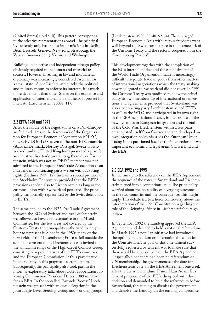(United States) (ibid.: 10). This pattern corresponds to the selective representations abroad. The principality currently only has embassies or missions in Berlin, Bern, Brussels, Geneva, New York, Strasbourg, the Vatican (non-resident), Vienna and Washington.

Building up an active and independent foreign policy obviously required more human and financial resources. However, investing in bi- and multilateral diplomacy was increasingly considered essential for a small state. "Since Liechtenstein lacks the political and military means to enforce its interests, it is much more dependent than other States on the existence and application of international law that helps it protect its interests" (Liechtenstein 2008a: 11).

#### **2.2 EFTA 1960 and 1991**

After the failure of the negotiations on a Pan-European free trade area in the framework of the Organization for European Economic Cooperation (OEEC, now OECD) in 1958, seven of the non-EEC countries (Austria, Denmark, Norway, Portugal, Sweden, Switzerland, and the United Kingdom) presented a plan for an industrial free trade area among themselves. Liechtenstein, which was not an OEEC member, was not admitted to the European Free Trade Association as an independent contracting party – even without voting rights (Batliner 1989: 12). Instead, a special protocol of the Stockholm Convention provided that the EFTA provisions applied also to Liechtenstein as long as the customs union with Switzerland persisted. The principality was formally represented by the Swiss delegation to EFTA.

The same applied to the 1972 Free Trade Agreement between the EC and Switzerland, yet Liechtenstein was allowed to have a representative in the Mixed Committee. For the few areas not covered by the Customs Treaty the principality authorized its neighbour to represent it. Since in the 1980s many of the new fields of the "Luxembourg Process" fell outside the scope of representation, Liechtenstein was invited to the annual meetings of the High-Level Contact Group consisting of representatives of the EFTA countries and the European Commission. It thus participated independently in this pragmatic sectoral approach. Subsequently, the principality also took part in the informal exploratory talks about closer cooperation following Commission President Delors' 1989 initiative for an EEA. In the so-called "Brussels Process" Liechtenstein was present with an own delegation in the Joint High-Level Steering Group and working groups

(Liechtenstein 1989: 38-48, 62-64). The envisaged European Economic Area with its four freedoms went well beyond the Swiss competence in the framework of the Customs Treaty and the sectoral cooperation in the "Luxembourg Process".

This development together with the completion of the EU's internal market and the establishment of the World Trade Organization made it increasingly difficult to separate trade in goods from other matters of international negotiations which the treaty-making power delegated to Switzerland did not cover. In 1991 the Customs Treaty was modified to allow the principality its own membership of international organizations and agreements, provided that Switzerland was also a contracting party. Liechtenstein joined EFTA as well as the WTO and participated in its own right in the EEA negotiations. Hence, in the context of the new dynamics in European integration and the end of the Cold War, Liechtenstein within a few years emancipated itself from Switzerland and developed an own integration policy vis-à-vis the European Union. Today, it has positioned itself at the intersection of two important economic and legal areas: Switzerland and the EEA.

#### **2.3 EEA 1992 and 1995**

In the run up to the referenda on the EEA Agreement the sequence of the votes in Switzerland and Liechtenstein turned into a contentious issue. The principality worried about the possibility of diverging outcomes in the two countries and the consequences this might imply. This debate led to a fierce controversy about the interpretation of the 1921 Constitution regarding the role of the Reigning Prince in Liechtenstein's foreign policy.

In September 1992 the Landtag approved the EEA Agreement and decided to hold a national referendum. In March 1992 a popular initiative had introduced the optional referendum on international treaties into the Constitution. The goal of this amendment successfully requested by citizens was to make sure that there would be a public vote on the EEA Agreement – especially since there had been no referendum on UN membership. The government set the date for Liechtenstein's vote on the EEA Agreement one week after the Swiss referendum. Prince Hans Adam II, a fervent proponent of the EEA, disagreed with this decision and demanded to hold the referendum before Switzerland, threatening to dismiss the government and dissolve the Landtag. In the ensuing compromise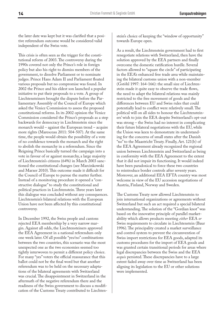the later date was kept but it was clarified that a positive referendum outcome would be considered valid independent of the Swiss vote.

This crisis is often seen as the trigger for the constitutional reform of 2003. The controversy during the 1990s covered not only the Prince's role in foreign policy but also his right to dismiss members of the government, to dissolve Parliament or to nominate judges. Prince Hans Adam II and Parliament floated various proposals but no compromise was found. In 2002 the Prince and his eldest son launched a popular initiative to put their proposals to a vote. A group of Liechtensteiners brought the dispute before the Parliamentary Assembly of the Council of Europe which asked the Venice Commission to assess the proposed constitutional reforms. In its 2002 opinion the Venice Commission considered the Prince's proposals as a step backwards for democracy in Liechtenstein since the monarch would – against the European trend – acquire more rights (Maresceau 2011: 504-507). At the same time, the people would obtain the possibility of a vote of no confidence towards the monarch and the right to abolish the monarchy in a referendum. Since the Reigning Prince basically turned the campaign into a vote in favour of or against monarchy, a large majority of Liechtenstein's citizens (64%) in March 2003 sanctioned the constitutional changes (see Marcinkowski and Marxer 2010). This outcome made it difficult for the Council of Europe to pursue the matter further. Instead of a monitoring procedure it opened a "constructive dialogue" to study the constitutional and political practices in Liechtenstein. Three years later this dialogue was concluded without any consequences. Liechtenstein's bilateral relations with the European Union have not been affected by this constitutional controversy.

In December 1992, the Swiss people and cantons rejected EEA membership by a very narrow margin. Against all odds, the Liechtensteiners approved the EEA Agreement in a national referendum only one week later. Of all possible "yes/no" combinations between the two countries, this scenario was the most unexpected one as the two economies seemed too tightly interwoven to permit a different policy choice. For many "yes" voters the official reassurance that this ballot could not be the final word but that another referendum was to be held on the necessary adaptations of the bilateral agreements with Switzerland was crucial. The disappointment in Switzerland in the aftermath of the negative referendum there and the readiness of the Swiss government to discuss a modification of the Customs Treaty contributed to Liechtenstein's choice of keeping the "window of opportunity" towards Europe open.

As a result, the Liechtenstein government had to first renegotiate relations with Switzerland, then have the solution approved by the EEA partners and finally overcome the domestic ratification hurdle. Several factors allowed to "square the circle" of participating in the EEA's enhanced free trade area while maintaining the bilateral customs union with a non-member (Gstöhl 1997: 164-166): the small size of Liechtenstein made it quite easy to observe the trade flows, the need to adapt the bilateral relations was mainly restricted to the free movement of goods and the differences between EU and Swiss rules that could potentially lead to conflict were relatively small. The political will on all sides to honour the Liechtensteiners' wish to join the EEA despite Switzerland's opt-out was strong – the Swiss had no interest in complicating their future bilateral negotiations with the EU, while the Union was keen to demonstrate its understanding for the concerns of small states after the Danish "no" to the Maastricht Treaty. Finally, Art. 121(b) of the EEA Agreement already recognized the regional union between Liechtenstein and Switzerland as being in conformity with the EEA Agreement to the extent that it did not impair its functioning. It would indeed have been paradoxical to force these two countries to reintroduce border controls after seventy years. Moreover, an additional EEA EFTA country was most welcome in view of the EU accession negotiations of Austria, Finland, Norway and Sweden.

The Customs Treaty now allowed Liechtenstein to join international organizations or agreements without Switzerland but such an act required a special bilateral understanding. The solution of the "Gordian knot" was based on the innovative principle of parallel marketability which allows products meeting *either* EEA *or* Swiss requirements to circulate in Liechtenstein (Baur 1996). The principality created a market surveillance and control system to prevent the circumvention of Swiss import restrictions for EEA goods, adapted its customs procedures for the import of EEA goods and was granted certain transitional periods for areas where legal discrepancies between the Swiss and the EEA *acquis* persisted. These discrepancies have to a large extent faded away over time as Switzerland has been aligning its legislation to the EU or other solutions were implemented.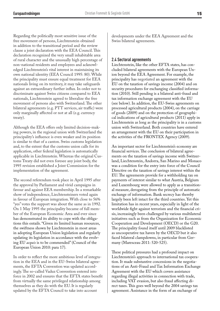Regarding the politically most sensitive issue of the free movement of persons, Liechtenstein obtained in addition to the transitional period and the review clause a joint declaration with the EEA Council. This declaration recognized the very small inhabitable area of rural character and the unusually high percentage of non-national residents and employees and acknowledged Liechtenstein's vital interest in maintaining its own national identity (EEA Council 1995: 80). While the principality must ensure equal treatment for EEA nationals living on its territory, it may take safeguards against an extraordinary further influx. In order not to discriminate against Swiss citizens compared to EEA nationals, Liechtenstein agreed to liberalize the free movement of persons also with Switzerland. The other bilateral agreements (e.g. PTT services, air traffic) were only marginally affected or not at all (e.g. currency treaty).

Although the EEA offers only limited decision-making powers, in the regional union with Switzerland the principality's influence is even weaker and its position is similar to that of a canton. Swiss customs legislation and, to the extent that the customs union calls for its application, other federal legislation is automatically applicable in Liechtenstein. Whereas the original Customs Treaty did not even foresee any joint body, the 1995 revision established a Joint Commission for the implementation of the agreement.

The second referendum took place in April 1995 after the approval by Parliament and vivid campaigns in favour and against EEA membership. In a remarkable show of independence, Liechtensteiners voted again in favour of European integration. With close to 56% "yes" votes the support was about the same as in 1992. On 1 May 1995 the principality became of full member of the European Economic Area and ever since has demonstrated its ability to cope with the obligations this entails. "Given its limited human resources, the swiftness shown by Liechtenstein in most areas in adopting European Union legislation and regularly updating its legislation in accordance with the evolving EU *acquis* is to be commended" (Council of the European Union 2010: para 17).

In order to reflect the more ambitious level of integration in the EEA and in the EU-Swiss bilateral agreements, the EFTA Convention was updated accordingly. The so-called Vaduz Convention entered into force in 2002 and ensures that the EFTA states benefit from virtually the same privileged relationship among themselves as they do with the EU. It is regularly updated by the EFTA Council to take into account

developments under the EEA Agreement and the Swiss bilateral agreements.

#### **2.4 Sectoral agreements**

Liechtenstein, like the other EFTA states, has concluded bilateral agreements with the European Union beyond the EEA Agreement. For example, the principality has negotiated an agreement with the EU on the taxation of savings income (2004) and on security procedures for exchanging classified information (2010). Still pending is a bilateral anti-fraud and tax information exchange agreement with the EU (see below). In addition, the EU-Swiss agreements on processed agricultural products (2004), on the carriage of goods (2009) and on the protection of geographical indications of agricultural products (2011) apply in Liechtenstein as long as the principality is in a customs union with Switzerland. Both countries have entered an arrangement with the EU on their participation in the activities of the FRONTEX Agency (2009).

An important sector for Liechtenstein's economy are financial services. The conclusion of bilateral agreements on the taxation of savings income with Switzerland, Liechtenstein, Andorra, San Marino and Monaco was a condition for the entry into force of the Council Directive on the taxation of savings interest within the EU. The agreements provide for a withholding tax on payments of interest similar to what Austria, Belgium and Luxembourg were allowed to apply as a transitional measure, derogating from the principle of automatic exchange of information. Bank secrecy has thereby largely been left intact for the third countries. Yet this limitation has in recent years, especially in light of the worldwide fight against terrorism and the financial crisis, increasingly been challenged by various multilateral initiatives such as from the Organization for Economic Cooperation and Development (OECD) or the G20. The principality found itself until 2009 blacklisted as uncooperative tax haven by the OECD but it also faced bilateral clampdowns, in particular from Germany (Maresceau 2011: 520-525).

These political pressures had a profound impact on Liechtenstein's approach to international tax cooperation. It made substantive concessions in the negotiations of an Anti-Fraud and Tax Information Exchange Agreement with the EU which covers assistance regarding illegal activities in connection with trade, including VAT evasion, but also fraud affecting direct taxes. This goes well beyond the 2004 savings tax agreement. Assistance in the form of an exchange of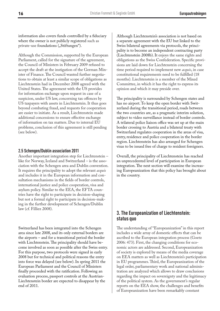information also covers funds controlled by a fiduciary where the owner is not publicly registered such as private-use foundations ("Stiftungen").

Although the Commission, supported by the European Parliament, called for the signature of the agreement, the Council of Ministers in February 2009 refused to accept the draft at the instigation of the German Minister of Finance. The Council wanted further negotiations to obtain at least a similar scope of obligations as Liechtenstein had in December 2008 agreed with the United States. The agreement with the US provides for information exchange upon request in case of a suspicion, under US law, concerning tax offences by US taxpayers with assets in Liechtenstein. It thus goes beyond combating fraud, and requests for cooperation are easier to initiate. As a result, Liechtenstein made additional concessions to ensure effective exchange of information on tax matters. Due to internal EU problems, conclusion of this agreement is still pending (see below).

#### **2.5 Schengen/Dublin association 2011**

Another important integration step for Liechtenstein – like for Norway, Iceland and Switzerland – is the association with the Schengen area and Dublin convention. It requires the principality to adopt the relevant *acquis* and includes it in the European information and consultation mechanisms in the fields of border controls, international justice and police cooperation, visa and asylum policy. Similar to the EEA, the EFTA countries have the right to participate in decision-shaping but not a formal right to participate in decision-making in the further development of Schengen/Dublin law (cf. Filliez 2008).

Switzerland has been integrated into the Schengen area since late 2008, and its only external borders are the airports – and for a transitional period the border with Liechtenstein. The principality should have become involved as soon as possible after the Swiss entry. For this purpose, two protocols were signed in early 2008 but for technical and political reasons the entry into force was delayed (see below). In spring 2011 the European Parliament and the Council of Ministers finally proceeded with the ratification. Following an evaluation process, passport controls at the Austrian-Liechtenstein border are expected to disappear by the end of 2011.

Although Liechtenstein's association is not based on a separate agreement with the EU but linked to the Swiss bilateral agreements via protocols, the principality is to become an independent contracting party (Liechtenstein 2008b). It enjoys the same rights and obligations as the Swiss Confederation. Specific provisions are laid down for Liechtenstein concerning the time period required to implement new *acquis*, in case constitutional requirements need to be fulfilled (18 months). Liechtenstein is a member of the Mixed Committee, in which it has the right to express its opinion and which it may preside over.

The principality is surrounded by Schengen states and has no airport. To keep the open border with Switzerland during the transitional period, roads between the two countries are, as a pragmatic interim solution, subject to video surveillance instead of border controls. A trilateral police liaison office was set up at the main border crossing to Austria and a bilateral treaty with Switzerland regulates cooperation in the areas of visa, entry, residence and police cooperation in the border region. Liechtenstein has also arranged for Schengen visas to be issued free of charge to resident foreigners.

Overall, the principality of Liechtenstein has reached an unprecedented level of participation in European integration. The next section will examine the increasing Europeanization that this policy has brought about in the country.

#### **3. The Europeanization of Liechtenstein: status quo**

The understanding of "Europeanization" in this report includes a wide array of domestic effects that can be ascribed to the European integration process (Goetz 2006: 473). First, the changing conditions for economic actors are addressed. Second, Europeanization of society is explored by means of the media coverage on EEA matters as well as Liechtenstein's participation in EU programmes. Third, the Europeanization of the legal order, parliamentary work and national administration are analyzed which allows to draw conclusions regarding the impact on sovereignty and the legitimacy of the political system. As the government's regular reports on the EEA show, the challenges and benefits of Europeanization have been remarkably constant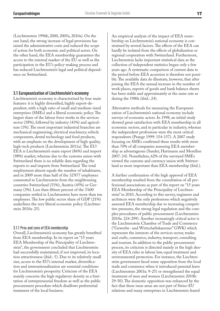(Liechtenstein 1996b, 2000, 2005a, 2010a). On the one hand, the strong increase of legal provisions has raised the administrative costs and reduced the scope of action for both economic and political actors. On the other hand, the EEA membership guarantees the access to the internal market of the EU as well as the participation in the EU's policy-making process and has reduced Liechtenstein's legal and political dependence on Switzerland.

#### **3.1 Europeanization of Liechtenstein's economy**

Liechtenstein's economy is characterized by four main features: it is highly diversified, highly export-dependent, with a high ratio of small and medium-sized enterprises (SMEs) and a liberal economic policy. The largest share of the labour force works in the services sector (58%), followed by industry (41%) and agriculture (1%). The most important industrial branches are mechanical engineering, electrical machinery, vehicle components, dental technology and food products, with an emphasis on the development of high quality, high-tech products (Liechtenstein 2011a). The EU/ EEA is Liechtenstein's main export (86%) and import (98%) market, whereas due to the customs union with Switzerland there is no reliable data regarding the exports to and imports from Switzerland. The total employment almost equals the number of inhabitants, and in 2009 more than half of the 32'877 employees commuted to Liechtenstein from the neighbouring countries Switzerland (51%), Austria (45%) or Germany (3%). Less than fifteen percent of the 3'600 companies settled in Liechtenstein have more than ten employees. The low public sector share of GDP (21%) underlines the very liberal economic policy (Liechtenstein 2010a: 25).

#### 3.1.1 Pros and cons of EEA membership

Overall, Liechtenstein's economy has greatly benefited from EEA membership. In its report on "15 years EEA Membership of the Principality of Liechtenstein", the government concluded that Liechtenstein had successfully maintained, if not improved, its location attractiveness (ibid.: 5). Due to its relatively small size, access to the EU's internal market, diversification and internationalization are essential conditions for Liechtenstein's prosperity. Criticism of the EEA mainly concerns the high regulatory density as a limitation of entrepreneurial freedom as well as the public procurement procedure which disallows preferential treatment of the local business.

An empirical analysis of the impact of EEA membership on Liechtenstein's national economy is constrained by several factors. The effects of the EEA can hardly be isolated from the effects of globalization or regional cooperation with Switzerland. Furthermore, Liechtenstein lacks important statistical data as the collection of independent statistics began only a few years ago. A systematic comparison of current data to the period before EEA accession is therefore not possible. The available data do illustrate, however, that after joining the EEA the annual increase in the number of work places, exports of goods and bank balance sheets has been stable and approximately at the same rate as during the 1980s (ibid.: 24).

Alternative methods for measuring the Europeanization of Liechtenstein's national economy include surveys of economic actors. In 1998, an initial study showed great satisfaction with EEA membership in all economic sectors, and in particular in industry, whereas the independent professions were the most critical respondents (Prange 1999: 154-157). A 2007 study focusing on SMEs confirmed these results with more than 70% of all companies assessing EEA membership as advantageous (Sander, Hartmann and Morellon 2007: 24). Nonetheless, 62% of the surveyed SMEs viewed the customs and currency union with Switzerland as more important than EEA membership (ibid.).

A further confirmation of the high approval of EEA membership resulted from the consultation of all professional associations as part of the report on "15 years EEA Membership of the Principality of Liechtenstein" in 2010. According to this survey, engineers and architects were the only professions which negatively assessed EEA membership due to increasing competitive pressures, the strong legal regulation and the complex procedures of public procurement (Liechtenstein 2010a: 224-299). Another increasingly critical actor is the Liechtenstein Chamber of Trade and Commerce ("Gewerbe- und Wirtschaftskammer" GWK) which represents the interests of the services sector, trades and crafts, commerce, industry, transport, consulting and tourism. In addition to the public procurement process, its criticism is directed mainly at the high density of EEA rules in labour law, equal treatment and environmental protection. For instance, the Liechtenstein government faced some opposition from the local trade and commerce when it introduced parental leave (Liechtenstein 2003a: 9-25) or strengthened the equal treatment of men and women (Liechtenstein 2010b: 29-50). The domestic opposition was enhanced by the fact that these issue areas are not part of Swiss-EU relations and many enterprises in Liechtenstein feared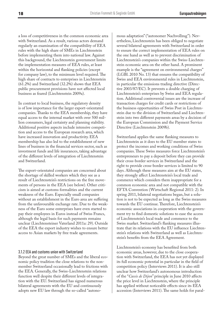a loss of competitiveness in the common economic area with Switzerland. As a result, various actors demand regularly an examination of the compatibility of EEA rules with the high share of SMEs in Liechtenstein before implementing them into national law. Against this background, the Liechtenstein government limits the implementation measures of EEA rules, at least within the horizontal and flanking policies (except for company law), to the minimum level required. The high share of contracts to enterprises in Liechtenstein (61.2%) and Switzerland (32.2%) shows that EEA public procurement provisions have not affected local business as feared (Liechtenstein 2009a).

In contrast to local business, the regulatory density is of low importance for the larger export-orientated companies. Thanks to the EEA membership, they have equal access to the internal market with over 500 million consumers, legal certainty and planning stability. Additional positive aspects include intensive competition and access to the European research area, which have increased innovation and productivity. EEA membership has also led to the establishment of new lines of business in the financial services sector, such as investment funds and life insurances, taking advantage of the different levels of integration of Liechtenstein and Switzerland.

The export-orientated companies are concerned about the shortage of skilled workers which they see as a result of Liechtenstein's restrictions on the free movements of persons in the EEA (see below). Other criticism is aimed at customs formalities and the current weakness of the Euro. Especially small companies without an establishment in the Euro area are suffering from the unfavourable exchange rate. Due to the weakness of the Euro some enterprises have even started to pay their employees in Euros instead of Swiss Francs, although the legal basis for such payments remains unclear (Liechtensteiner Vaterland 2011a: 29). Outside of the EEA the export industry wishes to ensure better access to Asian markets by free trade agreements.

#### 3.1.2 EEA and customs union with Switzerland

Beyond the great number of SMEs and the liberal economic policy tradition the close relations to the nonmember Switzerland occasionally lead to frictions with the EEA. Generally, the Swiss-Liechtenstein relations function well despite their different levels of integration with the EU. Switzerland has signed numerous bilateral agreements with the EU and continuously adopts new EU law through the so-called "autonomous adaptation" ("autonomer Nachvollzug"). Nevertheless, Liechtenstein has been obliged to negotiate several bilateral agreements with Switzerland in order to ensure the correct implementation of EEA rules on the one hand as well as to prevent discrimination of Liechtenstein's companies within the Swiss-Liechtenstein economic area on the other hand. A prominent example is the "agreement on environmental charges" (LGBl. 2010 No. 13) that ensures the compatibility of Swiss and EEA environmental rules in Liechtenstein, in particular the emissions trading directive (Directive 2003/87/EC). It prevents a double charging of Liechtenstein's enterprises by Swiss and EEA regulation. Additional controversial issues are the increase of transaction charges for credit cards or restrictions of the business opportunities of Swiss Post in Liechtenstein due to the division of Switzerland and Liechtenstein into two different payments areas by a decision of the European Commission and the Payment Service Directive (Liechtenstein 2009b).

Switzerland applies the same flanking measures to Liechtenstein as it does to the EU member states to protect the incomes and working conditions of Swiss companies. These Swiss measures force Liechtenstein's entrepreneurs to pay a deposit before they can provide their cross-border services in Switzerland and the right to provide cross-border services is limited to 90 days. Although these measures aim at the EU states, they strongly affect Liechtenstein's local trade and commerce which considers them inappropriate for a common economic area and not compatible with the EFTA Convention (Wirtschaft Regional 2011: 2). In spring 2011, bilateral negotiations began, but a solution is not to be expected as long as the Swiss measures towards the EU continue. Therefore, Liechtenstein's economic associations in cooperation with the government try to find domestic solutions to ease the access of Liechtenstein's local trade and commerce to the Swiss market. Switzerland's flanking measures illustrate that its relations with the EU influence Liechtenstein's relations with Switzerland as well as Liechtenstein's benefits from the EEA Agreement.

Liechtenstein's economy has benefited from both economic areas, however, due to the close cooperation with Switzerland, the EEA has not yet displayed its full economic potential in particular in the field of competition policy (Interviews 2011). It is also still unclear how Switzerland's autonomous introduction of the "*Cassis de Dijon*" principle in June 2010 affects the price level in Liechtenstein, where the principle has applied without noticeable effects since its EEA accession (Interviews 2011). The same holds for paral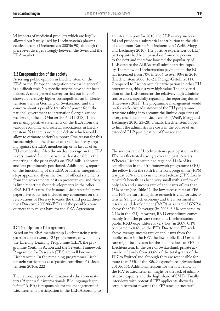lel imports of medicinal products which are legally allowed but hardly used by Liechtenstein's pharmaceutical actors (Liechtenstein 2005b: 90) although the price level diverges strongly between the Swiss and the EEA market.

#### **3.2 Europeanization of the society**

Assessing public opinion in Liechtenstein on the EEA or the European integration process in general is a difficult task. No specific surveys have so far been fielded. A more general survey carried out in 2006 showed a relatively higher cosmopolitanism in Liechtenstein than in Germany or Switzerland, and the concern about a possible transfer of power from the national government to international organizations was less significant (Marxer 2006: 217-218). There are mainly positive statements on the EEA from the various economic and societal associations in Liechtenstein. Yet there is no public debate which would allow to estimate society's support. One reason for this lacuna might be the absence of a political party arguing against the EEA membership or in favour of an EU membership. Also the media coverage on the EEA is very limited. In comparison with national bills the reporting in the print media on EEA bills is shorter and less prominently positioned. Additionally, reports on the functioning of the EEA or further integration steps appear mostly in the form of official statements from the governments or its representatives, and there is little reporting about developments in the other EEA EFTA states. For instance, Liechtenstein's newspaper have so far not included any comments on the reservations of Norway towards the third postal directive (Directive 2008/06/EC) and the possible consequences they might have for the EEA Agreement.

#### 3.2.1 Participation in EU programmes

Based on its EEA membership Liechtenstein participates in about twenty EU programmes, of which only the Lifelong Learning Programme (LLP), the programme Youth in Action and the Seventh Framework Programme for Research (FP7) are well known in Liechtenstein. In the remaining programmes Liechtenstein participates as a "passive contributor" (Liechtenstein 2010a: 222).

The national agency of international education matters ("Agentur für internationale Bildungsangelegenheiten" AIBA) is responsible for the management of Liechtenstein's participation in the LLP. According to an interim report for 2010, the LLP is very successful and provides a substantial contribution to the idea of a common Europe in Liechtenstein (Weiß, Mogg and Lachmayr 2010). The positive experiences of LLP participants had been passed on from one person to the next and therefore boosted the popularity of LLP despite the AIBA's small administrative capacity. The reflow of Liechtenstein's payments to the EU has increased from 70% in 2006 to over 90% in 2010 (Liechtenstein 2006: 16-21; Prange-Gstöhl 2011). Compared to Liechtenstein's participation in other EU programmes, this is a very high value. The only criticism of the LLP concerns the relatively high administrative costs, especially regarding the reporting duties (Interviews 2011). The programme management would prefer a selective adjustment of the EU programme structure taking into account the limited capacities of a very small state like Liechtenstein (Weiß, Mogg and Lachmayr 2010: 23-28). Finally, Liechtenstein hopes to limit the administrative costs in the course of an extended LLP participation of Switzerland.

The success rate of Liechtenstein's participation in the FP7 has fluctuated strongly over the past 15 years. Whereas Liechtenstein had regained 114% of its contribution in the fifth framework programme (FP5) the reflow from the sixth framework programme (FP6) was just 30% and also in the latest release (FP7) Liechtenstein's benefit has been very small with a reflow of only 14% and a success rate of applicants of less than 15% so far (see Table 1). The low success rates of FP6 and FP7 are surprising since research is vital for Liechtenstein's high-tech economy and the investment in research and development (R&D) as a share of GNP is above the OECD average (in 2008: 6.8% compared to 2.1% in the EU). However, R&D expenditure comes mainly from the private sector and Liechtenstein's public R&D expenditure is very low (in 2009: 0.1% compared to 0.6% in the EU). Due to the EU-wide above-average success rate of applicants from the public sector in the FP7, the low public R&D expenditure might be a reason for the small reflows of FP7 to Liechtenstein. In the case of Switzerland, private actors benefit only from 33.6% of the total grants of the FP7 to Switzerland although they are responsible for more than 65% of the R&D expenditures (Switzerland 2010b: 15). Additional reasons for the low reflow of the FP7 to Liechtenstein might be the lack of administrative capacity and the high share of SMEs. Finally, interviews with potential FP7 applicants showed a certain restraint towards the FP7 since unsuccessful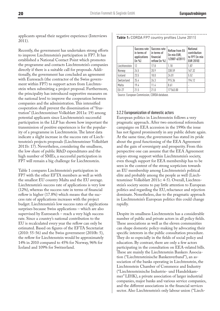applicants spread their negative experience (Interviews 2011).

Recently, the government has undertaken strong efforts to improve Liechtenstein's participation in FP7. It has established a National Contact Point which promotes the programme and contacts Liechtenstein's companies directly if there is a suitable call for proposals. Additionally, the government has concluded an agreement with Eureseach (the contractor of the Swiss government within FP7) to support actors from Liechtenstein when submitting a project proposal. Furthermore, the principality has introduced supportive measures on the national level to improve the cooperation between companies and the administration. This intensified cooperation shall prevent the dissemination of "frustration" (Liechtensteiner Volksblatt 2011a: 19) among potential applicants since Liechtenstein's successful participation in the LLP has shown how important the transmission of positive experiences is for the popularity of a programme in Liechtenstein. The latest data indicate a slight increase in the success rate of Liechtenstein's projects proposals (Liechtensteiner Volksblatt 2011b: 17). Nevertheless, considering the smallness, the low share of public R&D expenditures and the high number of SMEs, a successful participation in FP7 will remain a big challenge for Liechtenstein.

Table 1 compares Liechtenstein's participation in FP7 with the other EFTA members as well as with the smallest EU country Malta and the EU average. Liechtenstein's success rate of applications is very low (12%), whereas the success rate in terms of financial reflow is higher (17.8%) which means that the success rate of applications increases with the project budget. Liechtenstein's low success rates of applications surprises because Swiss applications – which are also supervised by Euresearch – reach a very high success rate. Since a country's national contribution to the EU is recalculated every year the reflow can only be estimated. Based on figures of the EFTA Secretariat (2010: 55-56) and the Swiss government (2010b: 5), the reflow for Liechtenstein would be approximately 14% in 2010 compared to 45% for Norway, 96% for Iceland and 109% for Switzerland.

## **Table 1:** CORDA FP7 country profiles (June 2011)

|               | Success rate<br>in terms of<br>applications<br>(in %) | Success rate<br>in terms of<br>financial<br>reflow (in %) | <b>Reflow from EU</b><br>(in mio EUR,<br>1/2007-6/2011) | National<br>contribution<br>to FP7 (in mio<br><b>EUR 2010)</b> |
|---------------|-------------------------------------------------------|-----------------------------------------------------------|---------------------------------------------------------|----------------------------------------------------------------|
| Liechtenstein | 12                                                    | 17.8                                                      | 1.18                                                    | 1.87                                                           |
| Norway        | 24.5                                                  | 20.9                                                      | 338.59                                                  | 167.32                                                         |
| Iceland       | 23.5                                                  | 18.0                                                      | 24.01                                                   | 5.52                                                           |
| Switzerland   | 25.4                                                  | 26.3                                                      | 915.36                                                  | 194.12                                                         |
| Malta         | 19.4                                                  | 11.4                                                      | 8.61                                                    | ۰                                                              |
| $EU-27$       | 21.5                                                  | 21.0                                                      | 17'563.00                                               | ٠                                                              |

Source: European Commission, CORDA database.

#### 3.2.2 Europeanization of domestic actors

European politics in Liechtenstein follows a very pragmatic approach. After two emotional referendum campaigns on EEA accession in the 1990s the issue has not figured prominently in any public debate again. At the same time, the government has stated its pride about the good functioning of the EEA Agreement and the gain of sovereignty and prosperity. From this perspective one can assume that the EEA Agreement enjoys strong support within Liechtenstein's society, even though support for EEA membership has to be seen in the context of the strong scepticism towards an EU membership among Liechtenstein's political elite and probably among the people as well (Liechtensteiner Volksblatt 2011c: 4-5). Overall, Liechtenstein's society seems to pay little attention to European politics and regarding the EU, reluctance and rejection dominate. Nonetheless, due to the pragmatic approach in Liechtenstein's European politics this could change rapidly.

Despite its smallness Liechtenstein has a considerable number of public and private actors in all policy fields. These associations as well as the eleven communities can shape domestic policy-making by advocating their specific interests in the public consultation procedure. They do so especially in the fields of social policy and education. By contrast, there are only a few actors participating in the consultation on EEA-related bills. These are mainly the Liechtenstein Bankers Association ("Liechtensteinische Bankenverband"), an association of the banks operating in Liechtenstein, the Liechtenstein Chamber of Commerce and Industry ("Liechtensteinische Industrie- und Handelskammer" LIHK), a private association of larger industrial companies, major banks and various service companies, and the different associations in the financial services sector. Also Liechtenstein's only labour union ("Liech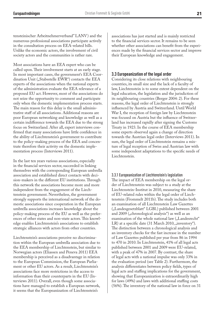tensteinischer Arbeitnehmerverband" LANV) and the numerous professional associations participate actively in the consultation process on EEA-related bills. Unlike the economic actors, the involvement of civil society actors and the communities is rather rare.

Most associations have an EEA expert who can be called upon. Their involvement starts at an early stage. In most important cases, the government's EEA Coordination Unit ("Stabsstelle EWR") contacts the EEA experts of the associations when the national experts of the administration evaluate the EEA relevance of a proposed EU act. However, most of the associations do not seize the opportunity to comment and participate only when the domestic implementation process starts. The main reason for this delay is the small administrative staff of all associations. Additional reasons are poor European networking and knowledge as well as a certain indifference towards the EEA due to the strong focus on Switzerland. After all, expert interviews confirmed that many associations have little confidence in the ability of Liechtenstein's government to contribute to the policy-making process of the EEA and concentrate therefore their activity on the domestic implementation process (Interviews 2011).

In the last ten years various associations, especially in the financial services sector, succeeded in linking themselves with the corresponding European umbrella association and established direct contacts with decision-makers in the different EU institutions. Through this network the associations become more and more independent from the engagement of the Liechtenstein government. Nevertheless, the government strongly supports the international network of the domestic associations since cooperation in the European umbrella associations increases knowledge about the policy-making process of the EU as well as the preferences of other states and non-state actors. This knowledge enables Liechtenstein's associations to establish strategic alliances with actors from other countries.

Liechtenstein's associations perceive no discrimination within the European umbrella association due to the EEA membership of Liechtenstein, but similar to Norwegian actors (Eliassen and Peneva 2011) EEA membership is perceived as a disadvantage in relation to the European Commission, the European Parliament or other EU actors. As a result, Liechtenstein's associations face more restrictions in the access to information than their counterparts in the EU (Interviews 2011). Overall, even though some associations have managed to establish a European network, it seems that the Europeanization of Liechtenstein's

associations has just started and is mainly restricted to the financial services sector. It remains to be seen whether other associations can benefit from the experiences made by the financial services sector and improve their European knowledge and engagement.

#### **3.3 Europeanization of the legal order**

Considering its close relations with neighbouring countries, its small size and the lack of a faculty of law, Liechtenstein is to some extent dependent on the legal education, the legislation and the jurisdiction of its neighbouring countries (Berger 2004: 2). For these reasons, the legal order of Liechtenstein is strongly influenced by Austria and Switzerland. Until World War I, the reception of foreign law by Liechtenstein was focused on Austria but the influence of Switzerland has increased rapidly after signing the Customs Treaty in 1923. In the course of EEA membership some experts observed again a change of direction towards the Austrian legal order (Interviews 2011). In sum, the legal order of Liechtenstein remains a mixture of legal reception of Swiss and Austrian law with some independent adaptations to the specific needs of Liechtenstein.

3.3.1 Europeanization of Liechtenstein's legislation The impact of EEA membership on the legal order of Liechtenstein was subject to a study at the Liechtenstein-Institut in 2010, measuring the share of EU-related rules within the legal order of Liechtenstein (Frommelt 2011b). The study includes both an examination of all Liechtenstein Law Gazettes ("Landesgesetzblatt" LGBl.) published between 2001 and 2009 ("chronological analysis") as well as an examination of the whole national law ("Landesrecht" LR) at a specific date  $(31 \text{ March } 2010, \text{, inventory}^{\omega})$ . The distinction between a chronological analysis and an inventory checks for the fast increase in the number of Law Gazettes published per year from 86 in 1994 to 470 in 2010. In Liechtenstein, 41% of all legal acts published between 2001 and 2009 were EU-related, with a peak of 47% in 2007. By contrast, the share of legal acts with a national impulse was only 33% in the evaluation period (see Table 2). Furthermore, the analysis differentiates between policy fields, types of legal acts and staffing implications for the government, showing that Europeanization is extraordinarily high for laws (49%) and laws with additional staffing costs (56%). The inventory of the national law in force on 31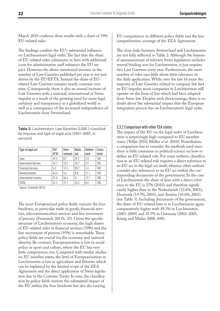March 2010 confirms these results with a share of 39% EU-related rules.

The findings confirm the EU's substantial influence on Liechtenstein's legal order. The fact that the share of EU-related rules culminates in laws with additional costs for administrative staff enhances the EU impact. However, the above mentioned increase in the number of Law Gazettes published per year is not just driven by the EU/EFTA. Instead the share of EUrelated Law Gazettes remains nearly constant over time. Consequently, there is also an annual increase of Law Gazettes with a national, international or Swiss impulse as a result of the growing need for more legal certainty and transparency in a globalized world as well as a consequence of the increased independence of Liechtenstein from Switzerland.

**Table 2:** Liechtenstein Law Gazettes (LGBl.) classified by impulse and type of legal acts (2001-2009, in percent)

| Type of legal act      | EU/<br>EFTA | Inter-<br>national | Natio-<br>nal | Switzer-<br>land | Cumu-<br>lated |
|------------------------|-------------|--------------------|---------------|------------------|----------------|
| Laws                   | 49.3        | 8.7                | 39.2          | 3.3              | 100            |
| Government decrees     | 34.1        | 23.5               | 36.7          | 5.7              | 100            |
| Financial decrees      | 5.3         | 122                | 80.2          | 24               | 100            |
| Announcements          | 64.6        | 5.6                | 8.8           | 211              | 100            |
| International treaties | 31.5        | 56.4               | 0             | 121              | 100            |
| <b>TOTAL</b>           | 41.2        | 171                | 33.3          | 8.5              | 100            |

Source: Frommelt 2011b.

The most Europeanized policy fields concern the four freedoms, in particular trade in goods, financial services, telecommunication services and free movement of persons (Frommelt 2011b: 25). Given the specific structure of Liechtenstein's economy, the high shares of EU-related rules in financial services (70%) and the free movement of persons (95%) is remarkable. These policy fields are crucial for the economy and national identity. By contrast, Europeanization is low in social policy or sport and culture, where the EU has very little competences, too. Compared with similar studies on EU member states, the level of Europeanization in Liechtenstein is low in agriculture and fisheries which can be explained by the limited scope of the EEA Agreement and the direct application of Swiss legislation due to the Customs Treaty. In sum, the classification by policy fields mirrors the substantial impact of the EU within the four freedoms but also the varying

EU competences in different policy fields and the less comprehensive coverage of the EEA Agreement.

The close links between Switzerland and Liechtenstein are not fully reflected in Table 2. Although the biannual announcement of relevant Swiss legislation includes several binding acts for Liechtenstein, it just requires two Law Gazettes every year. Furthermore, the mere number of rules says little about their relevance in the daily application. While over the last 16 years the majority of Law Gazettes related to company law had an EU impulse, most companies in Liechtenstein still operate on the basis of law which had been adapted from Swiss law. Despite such shortcomings, there is no doubt about the substantial impact that the European integration process has on Liechtenstein's legal order.

#### 3.3.2 Comparison with other EEA states

The impact of the EU on the legal order of Liechtenstein is surprisingly high compared to EU member states (Töller 2010; Müller *et al.* 2010). Nonetheless, a comparison has to consider the methods used since there is little consensus in political science on how to define an EU-related rule. For some authors, classification as an EU-related rule requires a direct reference to an EU act in the legal act itself, whereas other authors consider also references to an EU act within the corresponding documents of the government. In the case of Liechtenstein the share of laws with a direct reference to the EU is 27% (2010) and therefore significantly higher than in the Netherlands (12.6%, 2003), Denmark (19.7%, 2003), and Austria (10.6%, 2003) (see Table 3). Including documents of the government, the share of EU-related laws is in Liechtenstein again comparatively higher with 49.3% in Liechtenstein (2001-2009) and 35.7% in Germany (2002-2005, König and Mäder 2008: 449).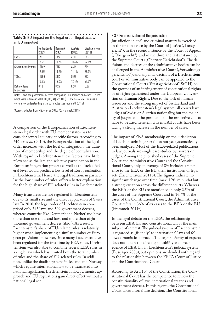|                             | <b>Netherlands</b><br>(2003) | Denmark<br>(2003) | Austria<br>(2003) | Liechtenstein<br>(2010) |
|-----------------------------|------------------------------|-------------------|-------------------|-------------------------|
| Laws                        | 1781                         | 1344              | 4110              | 343                     |
|                             | 12.6%                        | 19.7%             | 10.6%             | 27.0%                   |
| Government decrees          | 10169                        | 7513              | 4416              | 509                     |
|                             | 12.5%                        | 13.2%             | 14.1%             | 28.0%                   |
| TOTAL                       | 11950                        | 8857              | 8526              | 852                     |
|                             | 12.6%                        | 14.2%             | 12.4%             | 27.0%                   |
| Ratio of laws<br>to decrees | 0.18                         | 0.24              | 0.70              | 0.67                    |

**Table 3:** EU impact on the legal order (legal acts with an EU impulse)

Notes: Laws and government decrees transposing EU directives and other EU rules which were in force in 2003 (NL, DK, AT) or 2010 (LI). The data collection uses a very narrow understanding of an EU impulse (see Frommelt 2011b).

Sources: adapted from Müller et al. 2010: 76; Frommelt 2011b.

A comparison of the Europeanization of Liechtenstein's legal order with EU member states has to consider several country-specific factors. According to Müller *et al.* (2010), the Europeanization of the legal order increases with the level of integration, the duration of membership and the degree of centralization. With regard to Liechtenstein these factors have little relevance as the late and selective participation in the European integration process as well as the lack a federal level would predict a low level of Europeanization in Liechtenstein. Hence, the legal tradition, in particular the low number of rules, offers a better explanation for the high share of EU-related rules in Liechtenstein.

Many issue areas are not regulated in Liechtenstein due to its small size and the direct application of Swiss law. In 2010, the legal order of Liechtenstein comprised only 343 laws and 509 government decrees, whereas countries like Denmark and Netherland have more than one thousand laws and more than eight thousand government decrees (ibid.). As a result, Liechtenstein's share of EU-related rules is relatively higher when implementing a similar number of European provisions. However, since many issue areas have been regulated for the first time by EEA rules, Liechtenstein was also able to combine several EEA rules in a single law which has limited both the total number of rules and the share of EU-related rules. In addition, unlike the dualist systems in Iceland and Norway which require international law to be translated into national legislation, Liechtenstein follows a monist approach and EU regulations gain direct effect without a national legal act.

#### 3.3.3 Europeanization of the jurisdiction

Jurisdiction in civil and criminal matters is exercised in the first instance by the Court of Justice ("Landgericht"), in the second instance by the Court of Appeal ("Obergericht"), and in the third and last instance by the Supreme Court ("Oberster Gerichtshof"). The decisions and decrees of the administrative bodies can be challenged in the Administrative Court ("Verwaltungsgerichtshof"), and any final decision of a Liechtenstein court or administrative body can be appealed to the Constitutional Court ("Staatsgerichtshof " StGH) on the grounds of an infringement of constitutional rights or of rights guaranteed under the European Convention on Human Rights. Due to the lack of human resources and the strong impact of Switzerland and Austria on Liechtenstein's legal system, all courts have judges of Swiss or Austrian nationality, but the majority of judges and the presidents of the respective courts have to be Liechtenstein citizens. All courts have been facing a strong increase in the number of cases.

The impact of EEA membership on the jurisdiction of Liechtenstein in general has not yet systematically been analyzed. Most of the EEA-related publications in law journals are single case studies by lawyers or judges. Among the published cases of the Supreme Court, the Administrative Court and the Constitutional Court, only an average of 8% includes a reference to the EEA or the EU, their institutions or legal acts (Liechtenstein 2011b). The figures indicate no significant change over time (max. 12%, min. 4%) but a strong variation across the different courts. Whereas the EEA or the EU are mentioned in only 2.5% of the cases of the Supreme Court and in 16.4% of the cases of the Constitutional Court, the Administrative Court refers in 36% of its cases to the EEA or the EU (Frommelt 2011f).

In the legal debate on the EEA, the relationship between EEA law and constitutional law is the main subject of interest. The judicial system of Liechtenstein is regarded as "friendly" to international law and follows a monistic approach. The large majority of experts does not doubt the direct applicability and precedence of EEA law in Liechtenstein's judicial system (Bussjäger 2006), but opinions are divided with regard to the relationship between the EFTA Court of Justice and the Constitutional Court.

According to Art. 104 of the Constitution, the Constitutional Court has the competence to review the constitutionality of laws, international treaties and government decrees. In this regard, the Constitutional Court takes a forfeiture decision. The Constitutional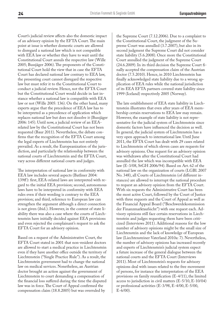Court's judicial review affects also the domestic impact of an advisory opinion by the EFTA Court. The main point at issue is whether domestic courts are allowed to disregard a national law which is not compatible with EEA law or whether they have to wait until the Constitutional Court annuls the respective law (Wille 2005; Bussjäger 2006). The proponents of the Constitutional Court hold the view that in case the EFTA Court has declared national law contrary to EEA law, the presenting court cannot disregard the respective law but must refer it to the Constitutional Court to conduct a judicial review. Hence, not the EFTA Court but the Constitutional Court would decide in last instance whether a national law is compatible with EEA law or not (Wille 2005: 136). On the other hand, many experts argue that the precedence of EEA law has to be interpreted as a precedence of application which replaces national law but does not dissolve it (Bussjäger 2006: 145). Until now, a judicial review of an EEArelated law by the Constitutional Court has not been requested (Baur 2011). Nevertheless, the debate confirms that the recognition of the EFTA Court among the legal experts of Liechtenstein has not entirely prevailed. As a result, the Europeanization of the jurisdiction, and particularly the relationship between the national courts of Liechtenstein and the EFTA Court, vary across different national courts and judges.

The interpretation of national law in conformity with EEA law includes several aspects (Batliner 2004: 139ff ): first, EEA-related laws are interpreted with regard to the initial EEA provision; second, autonomous laws have to be interpreted in conformity with EEA rules even if their wording is contrary to the EEA provision; and third, reference to European law can strengthen the argument although a direct connection is not given (ibid.). However, in the context of state liability there was also a case where the courts of Liechtenstein have initially decided against EEA provisions and even rejected the complainant's request to ask the EFTA Court for an advisory opinion.

Based on a request of the Administrative Court, the EFTA Court stated in 2001 that non-resident doctors are allowed to start a medical practice in Liechtenstein even if they have another office outside the territory of Liechtenstein ("Single Practice Rule"). As a result, the Liechtenstein government had to change the national law on medical services. Nonetheless, an Austrian doctor brought an action against the government of Liechtenstein to court demanding a compensation of the financial loss suffered during the time the disputed law was in force. The Court of Appeal confirmed the compensation claim (18.8.2005) but was overruled by

the Supreme Court (7.12.2006). Due to a complaint to the Constitutional Court, the judgment of the Supreme Court was annulled (3.7.2007), but also in its second judgment the Supreme Court did not consider state liability (5.6.2008). Once more the Constitutional Court annulled the judgment of the Supreme Court (24.6.2009). In its third decision the Supreme Court finally accepted the compensation claim of the Austrian doctor (7.5.2010). Hence, in 2010 Liechtenstein has finally acknowledged state liability due to a wrong application of EEA rules while the national jurisdiction of its EEA EFTA partners covered state liability since 1999 (Iceland) respectively 2005 (Norway).

The late establishment of EEA state liability in Liechtenstein illustrates that even after years of EEA membership certain reservations to EEA law may remain. However, the example of state liability is not representative for the judicial system of Liechtenstein since domestic factors have influenced the decision as well. In general, the judicial system of Liechtenstein has a very open approach to international law. Until June 2011, the EFTA Court has dealt with 29 cases related to Liechtenstein of which eleven cases are requests for advisory opinions. One request for an advisory opinion was withdrawn after the Constitutional Court had annulled the law which was incompatible with EEA law (E-3/08, StGH 2006/94). Based on Art. 62 of the national law on the organization of courts (LGBl. 2007 No. 348), all Courts of Liechtenstein (of different instances) are allowed to interrupt the national procedure to request an advisory opinion from the EFTA Court. With six requests the Administrative Court has been the most active Court, followed by the Court of Justice with three requests and the Court of Appeal as well as the Financial Appeal Board ("Beschwerdekommission der Finanzmarktaufsicht") with one request each. Advisory opinions still face certain reservations in Liechtenstein and judges requesting them have been criticized (Interviews 2011). Additional reasons for the low number of advisory opinions might be the small size of Liechtenstein and the lack of knowledge of European law (Liechtensteiner Vaterland 2010a: 7). Nevertheless, the number of advisory opinions has increased recently and experts of Liechtenstein's judicial system expect a future increase of the general dialogue between the national courts and the EFTA Court (Interviews 2011). Most of Liechtenstein's requests for advisory opinions deal with issues related to the free movement of persons, for instance the interpretation of the EEA provisions on family reunification (E-4/11), the limited access to jurisdiction in civil matters (E-5/10, E-10/04) or professional activities (E-3/98, E-4/00, E-5/00,  $E - 6/00$ ).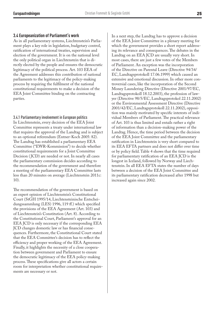#### **3.4 Europeanization of Parliament's work**

As in all parliamentary systems, Liechtenstein's Parliament plays a key role in legislation, budgetary control, ratification of international treaties, supervision and election of the government. It is on the national level the only political organ in Liechtenstein that is directly elected by the people and ensures the democratic legitimacy of the political process. Art. 103 EEA of the Agreement addresses this contribution of national parliaments to the legitimacy of the policy-making process by requiring the fulfilment of the national constitutional requirements to make a decision of the EEA Joint Committee binding on the contracting parties.

#### 3.4.1 Parliamentary involvement in European politics

In Liechtenstein, every decision of the EEA Joint Committee represents a treaty under international law that requires the approval of the Landtag and is subject to an optional referendum (Entner-Koch 2005: 82). The Landtag has established a parliamentary EEA Committee ("EWR-Kommission") to decide whether constitutional requirements for a Joint Committee Decision ( JCD) are needed or not. In nearly all cases the parliamentary commission decides according to the recommendation of the government and therefore a meeting of the parliamentary EEA Committee lasts less than 20 minutes on average (Liechtenstein 2011c: 10).

The recommendation of the government is based on an expert opinion of Liechtenstein's Constitutional Court (StGH 1995/14, Liechtensteinische Entscheidungssammlung (LES) 1996, 119 ff.) which specified the provisions of the EEA Agreement (Art. 103) and of Liechtenstein's Constitution (Art. 8). According to the Constitutional Court, Parliament's approval for an EEA JCD is only necessary if the corresponding EEA JCD changes domestic law or has financial consequences. Furthermore, the Constitutional Court stated that the EEA Committee's decision has to reflect the efficiency and proper working of the EEA Agreement. Finally, it highlights the necessity of a close cooperation between government and Parliament to ensure the democratic legitimacy of the EEA policy-making process. These specifications give all actors a certain room for interpretation whether constitutional requirements are necessary or not.

In a next step, the Landtag has to approve a decision of the EEA Joint Committee in a plenary meeting for which the government provides a short report addressing its relevance and consequences. The debates in the Landtag on an EEA JCD are usually very short. In most cases, there are just a few votes of the Members of Parliament. An exception was the incorporation of the Directive on Parental Leave (Directive 94/34/ EC, Landtagsprotokoll 17.06.1999) which caused an extensive and emotional discussion. In other more controversial cases, like the incorporation of the Second Money Laundering Directive (Directive 2001/97/EC, Landtagsprotokoll 18.12.2003), the profession of lawyer (Directive 98/5/EC, Landtagsprotokol 22.11.2002) or the Environmental Assessment Directive (Directive 2001/42/EC, Landtagsprotokoll 22.11.2002), opposition was mainly motivated by specific interests of individual Members of Parliament. The practical relevance of Art. 103 is thus limited and entails rather a right of information than a decision-making power of the Landtag. Hence, the time period between the decision of the EEA Joint Committee and the parliamentary ratification in Liechtenstein is very short compared to its EEA EFTA partners and does not differ over time or by policy field. Table 4 shows that the time required for parliamentary ratification of an EEA JCD is the longest in Iceland, followed by Norway and Liechtenstein. In all EEA EFTA states the number of days between a decision of the EEA Joint Committee and its parliamentary ratification decreased after 1998 but increased again since 2002.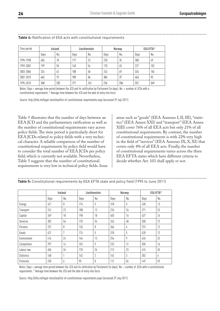| Time period | Iceland |     |      | Liechtenstein |      | Norway |      | EEA EFTA* |  |
|-------------|---------|-----|------|---------------|------|--------|------|-----------|--|
|             | Days    | No. | Days | No.           | Days | No.    | Days | No.       |  |
| 1995-1998   | 605     | 18  | 177  | 23            | 228  | 35     | 388  | 49        |  |
| 1999-2002   | 199     | 50  | 140  | 54            | 170  | 65     | 227  | 102       |  |
| 2003-2006   | 324     | 62  | 188  | 48            | 243  | 69     | 334  | 106       |  |
| 2007-2010   | 462     | 72  | 189  | 36            | 304  | 37     | 463  | 92        |  |
| 1995-2010   | 358     | 202 | 171  | 161           | 226  | 206    | 331  | 349       |  |

#### **Table 4:** Ratification of EEA acts with constitutional requirements

Notes: Days = average time period between the JCD and its ratification by Parliament (in days); No. = number of JCDs with a constitutional requirement; \* Average time between the JCD and the date of entry into force

Source: http://efta.int/legal-texts/eea/list-of-constitutional-requirements.aspx (accessed 29 July 2011).

Table 5 illustrates that the number of days between an EEA JCD and the parliamentary ratification as well as the number of constitutional requirements vary across policy fields. The time period is particularly short for EEA JCDs related to policy fields with a very technical character. A reliable comparison of the number of constitutional requirements by policy field would have to consider the total number of EEA JCDs per policy field, which is currently not available. Nevertheless, Table 5 suggests that the number of constitutional requirements is very low in technical policy fields. Issue

areas such as "goods" (EEA Annexes I, II, III), "statistics" (EEA Annex XXI) and "transport" (EEA Annex XIII) cover 76% of all EEA acts but only 21% of all constitutional requirements. By contrast, the number of constitutional requirements is with 22% very high in the field of "services" (EEA Annexes IX, X, XI) that covers only 4% of all EEA acts. Finally, the number of constitutional requirements varies across the three EEA EFTA states which have different criteria to decide whether Art. 103 shall apply or not.

## **Table 5:** Constitutional requirements by EEA EFTA state and policy field (1995 to June 2011)

|                   | Iceland |     |      | Liechtenstein  |      | Norway |      | EEA EFTA* |
|-------------------|---------|-----|------|----------------|------|--------|------|-----------|
|                   | Days    | No. | Days | No.            | Days | No.    | Days | No.       |
| Energy            | 421     | 8   | 174  | 5              | 318  | 5      | 428  | 13        |
| Transport         | 241     | 23  | 188  | 13             | 226  | 26     | 271  | 52        |
| Capital           | 349     | 18  | 198  | 18             | 403  | 16     | 427  | 24        |
| <b>Services</b>   | 302     | 56  | 170  | 54             | 263  | 48     | 358  | 72        |
| Persons           | 231     | 8   | 136  | 8              | 366  | 4      | 273  | 12        |
| Goods             | 421     | 7   | 174  | 5              | 318  | 5      | 428  | 12        |
| Environment       | 416     | 24  | 164  | 13             | 254  | 9      | 426  | 32        |
| Competition       | 297     | 14  | 155  | 9              | 233  | 12     | 358  | 16        |
| Labour law        | 406     | 26  | 178  | 26             | 213  | 23     | 415  | 35        |
| <b>Statistics</b> | 168     | 1   | 143  | $\overline{2}$ | 162  | 3      | 203  | 6         |
| Protocols         | 230     | 6   | 95   | 8              | 112  | 56     | 149  | 59        |

Notes: Days = average time period between the JCD and its ratification by Parliament (in days); No. = number of JCDs with a constitutional requirement; \* Average time between the JCD and the date of entry into force

Source: http://efta.int/legal-texts/eea/list-of-constitutional-requirements.aspx (accessed 29 July 2011).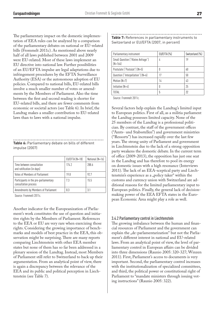The parliamentary impact on the domestic implementation of EEA rules can be analyzed by a comparison of the parliamentary debates on national or EU-related bills (Frommelt 2011c). As mentioned above nearly half of all laws published between 2001 and 2009 were EU-related. Most of these laws implement an EU directive into national law. Further possibilities of an EU/EFTA impulse are legal adaptations due to infringement procedures by the EFTA Surveillance Authority (ESA) or the autonomous adoption of EU policies. Compared to national bills, EU-related bills involve a much smaller number of votes or amendments by the Members of Parliament. Also the time between the first and second reading is shorter for EU-related bills, and there are fewer comments from economic or societal actors (see Table 6). In brief, the Landtag makes a smaller contribution to EU-related laws than to laws with a national impulse.

#### **Table 6:** Parliamentary debate on bills of different impulse (2007)

|                                                               | EU/EFTA (N=18) | National (N=16) |
|---------------------------------------------------------------|----------------|-----------------|
| Time between consultation<br>and ratification (in days)       | 174.2          | 288.6           |
| <b>Votes of Members of Parliament</b>                         | 19 R           | 977             |
| Participants in the pre-parliamentary<br>consultation process | 7.3            | 15.5            |
| Amendments by Members of Parliament                           | 0.3            | 31              |

Source: Frommelt 2011c.

Another indicator for the Europeanization of Parliament's work constitutes the use of question and initiative rights by the Members of Parliament. References to the EEA or EU are very rare when exercizing those rights. Considering the growing importance of benchmarks and models of best practice in the EEA, this observation might be surprising. There are many reports comparing Liechtenstein with other EEA member states but none of them has so far been addressed in a plenary session of the Landtag. Instead, most Members of Parliament still refer to Switzerland to back up their argumentation. From an analytical point of view, there is again a discrepancy between the relevance of the EEA and its public and political perception in Liechtenstein (see Table 7).

**Table 7:** References in parliamentary instruments to Switzerland or EU/EFTA (2007, in percent)

| Parliamentary instrument                       | EU/EFTA (%) | Switzerland (%) |
|------------------------------------------------|-------------|-----------------|
| Small Question ("Kleine Anfrage")<br>$[N=164]$ | 4           | 19              |
| Postulate ("Postulat") (N=5)                   | 0           | 60              |
| Question ("Interpellation") (N=6)              | 17          | 50              |
| Motion $(N=7)$                                 | 14          | 43              |
| Initiative $(N=4)$                             | 0           | 25              |
| TOTAL                                          | 5           | 22              |

Source: Frommelt 2011c.

Several factors help explain the Landtag's limited input to European politics. First of all, as a militia parliament the Landtag possesses limited capacity. None of the 25 members of the Landtag is a professional politician. By contrast, the staff of the government offices ("Amts- und Stabsstellen") and government ministries ("Ressorts") has increased rapidly over the last few years. The strong unity of Parliament and government in Liechtenstein due to the lack of a strong opposition party weakens the domestic debate. In the current term of office (2009-2013), the opposition has just one seat in the Landtag and has therefore to pool its energy on domestic issues with a high resonance (Interviews 2011). The lack of an EEA-sceptical party and Liechtenstein's experience as a "policy taker" within the customs and currency union with Switzerland are additional reasons for the limited parliamentary input to European politics. Finally, the general lack of decisionmaking power of the EEA EFTA states in the European Economic Area might play a role as well.

#### 3.4.2 Parliamentary control in Liechtenstein

The growing imbalance between the human and financial resources of Parliament and the government can explain the "de-parlamentarization" but not the Parliament's different interest in national and EU-related laws. From an analytical point of view, the level of parliamentary control in European affairs can be divided into three dimensions (Raunio 2005: 320-327; Winzen 2011). First, Parliament's access to documents is very important. Second, the parliamentary control increases with the institutionalization of specialized committees, and third, the political power or constitutional right of Parliament to "mandate ministers through issuing voting instructions" (Raunio 2005: 322).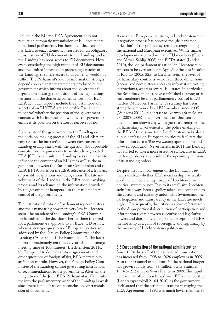Unlike in the EU, the EEA Agreement does not require an automatic transmission of EU documents to national parliaments. Furthermore, Liechtenstein has failed to enact domestic measures for an obligatory transmission of EU documents to the Landtag, and so the Landtag has poor access to EU documents. However, considering the high number of EU documents and the limited information processing capacity of the Landtag, the mere access to documents would not suffice. The Parliament's level of information strongly depends on explanatory statements produced by the government which inform about the government's negotiation strategy, the positions of the negotiating partners and the domestic consequences of an EU/ EEA act. Such reports include the most important aspects of an EU/EEA act and enable Parliament to control whether the position of the government concurs with its interests and whether the government enforces its position on the European level or not.

Statements of the government to the Landtag on the decision-making process of the EU and EEA are very rare as the interaction between government and Landtag usually starts with the question about possible constitutional requirements to an already negotiated EEA JCD. As a result, the Landtag lacks the means to influence the content of an EU act as well as the negotiations between the European Commission and the EEA EFTA states on the EEA relevance of a legal act or possible adaptations and derogations. The late involvement of the Landtag in the EEA policy-making process and its reliance on the information provided by the government hampers also the parliamentary control of the government.

The institutionalization of parliamentary committees and their mandating power are very low in Liechtenstein. The mandate of the Landtag's EEA Committee is limited to the decision whether there is a need for a parliamentary approval to an EEA JCD or not, whereas strategic questions of European politics are addressed by the Foreign Policy Committee of the Landtag ("Aussenpolitische Kommission"). The latter meets approximately ten times a year with an average meeting time of 100 minutes (Liechtenstein 2011c: 9). Compared to double taxation agreements and other questions of foreign affairs, EEA matters play an important role. However, the Foreign Policy Committee of the Landtag cannot give voting instructions or recommendations to the government. After all, the integration of the Joint EEA Parliamentary Committee into the parliamentary work of the Landtag is weak since there is no debate of its conclusions or transmission of documents.

As in other European countries, in Liechtenstein the integration process has boosted the "de-parlamentarization" of the political system by strengthening the national and European executives. While similar developments occurred in many EU members (Goetz and Meyer-Sahlig 2008) and EFTA states (Linder 2010), the "de-parlamentarization" in Liechtenstein appears to be even stronger. Applying the classification of Raunio (2005: 325) to Liechtenstein, the level of parliamentary control is weak in all three dimensions (specialized committees, access to information, voting instructions), whereas several EU states, in particular the Scandinavian ones, have established a strong or at least moderate level of parliamentary control in EU matters. Moreover, Parliament's scrutiny has been strengthened in nearly all EU members since 2005 (Winzens 2011). In contrast to Norway (St.meld. nr. 23 (2005-2006)), the government of Liechtenstein has so far not shown any willingness to strengthen the parliamentary involvement in the policy-making of the EEA. At the same time, Liechtenstein lacks also a public database on European politics to facilitate the information access (like www.europaportalen.no and www.europalov.no). Nevertheless, in 2011 the Landtag has started to take a more assertive stance, also in EEA matters, probably as a result of the upcoming revision of its standing orders.

Despite the low involvement of the Landtag, it remains unclear whether EEA membership has weakened the democratic legitimacy of Liechtenstein's political system or not. Due to its small size Liechtenstein has always been a "policy taker" and compared to the customs and currency union with Switzerland the participation and transparency in the EEA are much higher. Consequently, the criticism above refers mainly to the disproportional distribution of participation and information rights between executive and legislative powers and does not challenge the perception of EEA membership as a gain of sovereignty and legitimacy by the majority of Liechtenstein's politicians.

#### **3.5 Europeanization of the national administration**

Since 1994 the staff of the national administration has increased from 1'008 to 1'626 employees in 2009. Also the personnel expenditure in the national budget has grown rapidly from 89 million Swiss Francs in 1994 to 212 million Swiss Francs in 2009. This rapid increase has often been linked with EEA membership (Landtagsprotokoll 21.04.2010) as the government itself stated that the estimated staff for managing the EEA Agreement in 1992 was much lower than the 85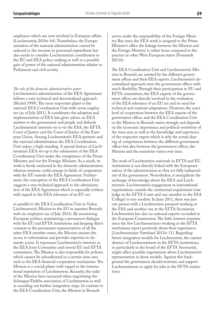employees which are now involved in European affairs (Liechtenstein 2010a: 64). Nonetheless, the Europeanization of the national administration cannot be reduced to the increase in personnel expenditure but also needs to consider Liechtenstein's contribution to the EU and EEA policy-making as well as a possible gain of power of the national administration relative to Parliament and civil society.

#### *The role of the domestic administrative actors*

Liechtenstein's administration of the EEA Agreement follows a very technical and decentralized approach (Büchel 1999). The most important player is the national EEA Coordination Unit with seven employees (as of July 2011). It coordinates the adoption and implementation of EEA law, gives advice on EEA matters to the government and people and defends Liechtenstein's interests vis-à-vis the ESA, the EFTA Court of Justice and the Court of Justice of the European Union. Among Liechtenstein's EEA partners and the national administration the EEA Coordination Unit enjoys a high standing. A special feature of Liechtenstein's EEA set-up is the submission of the EEA Coordination Unit under the competence of the Prime Minister and not the Foreign Minister. As a result, its work is firmly anchored in the domestic administration whereas tensions could emerge in fields of cooperation with the EU outside the EEA Agreement. Furthermore, the conception of the EEA Coordination Unit suggests a very technical approach to the administration of the EEA Agreement which is especially evident with regard to the EEA relevance of an EU act.

in parallel to the EEA Coordination Unit in Vaduz, Liechtenstein's Mission to the EU in operates Brussels with six employees (as of July 2011). By monitoring European politics, maintaining a permanent dialogue with the EU and EFTA institutions and keeping direct contacts to the permanent representatives of all the other EEA member states, the Mission ensures the access to information and provides expertise to domestic actors. It represents Liechtenstein's interests in the EEA Joint Committee and several EU and EFTA committees. The Mission is also responsible for policies which cannot be subordinated to a certain issue area such as the EEA financial cooperation mechanism. The Mission is a crucial player with regard to the international reputation of Liechtenstein. Recently, the tasks of the Mission have increased when negotiating the Schengen/Dublin association of Liechtenstein as well as sounding out further integration steps. In contrast to the EEA Coordination Unit, the Mission in Brussels

serves under the responsibility of the Foreign Ministry. But since the EEA work is assigned to the Prime Minister's office the linkage between the Mission and the Foreign Ministry is rather loose compared to the practice in other West European states (Frommelt 2011d).

The EEA Coordination Unit and Liechtenstein's Mission in Brussels are assisted by the different government offices and their EEA experts. Liechtenstein's decentralized approach vests the government offices with much flexibility. Through their participation in EU and EFTA committees, the EEA experts of the government offices are directly involved in the evaluation of the EEA relevance of an EU act and its need for technical and material adaptations. However, the exact level of cooperation between the EEA experts of the government offices and the EEA Coordination Unit or the Mission in Brussels varies strongly and depends on the economic importance and political sensitivity of the issue area as well as the knowledge and experience of the respective expert which is why the actual sharing of competences between the different government offices but also between the government offices, the Mission and the ministries varies over time.

The work of Liechtenstein nationals in EFTA and EU institutions is not directly linked with the Europeanization of the administration as they act fully independent of the government. Nevertheless, it strengthens the exchange of knowledge about the EEA and Liechtenstein. Liechtenstein's engagement in international organizations outside the contractual requirement (one judge at the EFTA Court and one member in the ESA College) is very modest. In June 2011, there was just one person with a Liechtenstein passport working at the ESA and another one at the EFTA Secretariat. Liechtenstein has also no national experts seconded to the European Commission. The little interest surprises since the few Liechtensteiners working at the EFTA institutions report positively about their experiences (Liechtensteiner Vaterland 2011b: 11). Regarding future integration models for Liechtenstein, the current absence of Liechtensteiners in the EFTA institutions, in particularly in the board of the EFTA Secretariat, might affect possible negotiations about Liechtenstein's representation in those models. Against this background the government should motivate and support Liechtensteiners to apply for jobs at the EFTA institutions.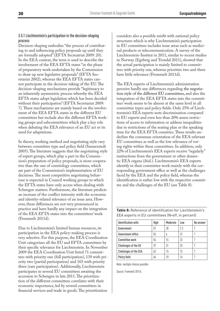#### 3.5.1 Liechtenstein's participation in the decision-shaping process

Decision-shaping embodies "the process of contributing to and influencing policy proposals up until they are formally adopted" (EFTA Secreatriat 2009: 20). In the EEA context, the term is used to describe the involvement of the EEA EFTA states "in the phase of preparatory work undertaken by the Commission to draw up new legislative proposals" (EFTA Secretariat 2002), whereas the EEA EFTA states cannot participate in the decision-taking of the EU. The decision-shaping mechanisms provide "legitimacy to an inherently asymmetric process whereby the EEA EFTA states adopt legislation which has been decided without their participation" (EFTA Secretariat 2009: 7). These mechanisms are mainly based on the involvement of the EEA EFTA states in the different EU committees but include also the different EFTA working groups and subcommittees which play a key role when debating the EEA relevance of an EU act or its need for adaptations.

In theory, working method and negotiating style vary between committee type and policy field (Sannerstedt 2005). The literature suggests that the negotiating style of expert groups, which play a part in the Commission's preparation of policy proposals, is more cooperative than the one of comitology committees, which are part of the Commission's implementation of EU decisions. The most competitive negotiating behaviour is expected in Council working groups to which the EFTA states have only access when dealing with Schengen matters. Furthermore, the literature predicts an increase of the conflict intensity with the economic and identity-related relevance of an issue area. However, these differences are not very pronounced in practice and have hardly any impact on the integration of the EEA EFTA states into the committees' work (Frommelt 2011d).

Due to Liechtenstein's limited human resources, its participation in the EEA policy-making process is very selective. For this purpose, the EEA Coordination Unit categorizes all the EU and EFTA committees by their specific relevance for Liechtenstein. In November 2009 the EEA Coordination Unit listed 71 committees with priority one (full participation), 139 with priority two (partial participation) and 103 with priority three (rare participation). Additionally, Liechtenstein participates in several EU committees awaiting the accession to Schengen in late 2011. The prioritization of the different committees correlates with their economic importance, led by several committees in financial services and trade in goods. The prioritization

considers also a possible misfit with national policy structures which is why Liechtenstein's participation in EU committees includes issue areas such as medicinal products or telecommunication. A survey of the Liechtenstein-Institut in 2011, similar to recent studies in Norway (Egeberg and Trondal 2011), showed that the actual participation is mainly limited to committees with priority one, whereas priorities two and three have little relevance (Frommelt 2011d).

The EEA experts of Liechtenstein's administration perceive hardly any differences regarding the negotiation style of the different EU committees, and also the integration of the EEA EFTA states into the committees' work seems to be almost at the same level in all committee types and policy fields. Only 25% of Liechtenstein's EEA experts note discrimination compared to EU experts and even less than 20% assess restrictions of access to information or address inequalities due to restrictions of the seating plan or the speaking time for the EEA EFTA countries. These results underline the consensus orientation of the EEA-relevant EU committees as well as the low relevance of voting rights within these committees. In addition, only 22% of Liechtenstein's EEA experts receive "regularly" instructions from the government or other domestic EEA organs (ibid.). Liechtenstein's EEA experts identify in their committee work mainly with the corresponding government office as well as the challenges faced by the EEA and the policy field, whereas the identification is rather low with the respective committee and the challenges of the EU (see Table 8).

**Table 8:** Reference of identification for Liechtenstein's EEA experts in EU committees (N=69, in percent)

| Identification with:         | High | Moderate | Low | No answer |
|------------------------------|------|----------|-----|-----------|
| Government                   | 57   | 28       | 72  |           |
| Government office            | 55   | b        | 22  |           |
| Committee work               | 54   | 16       | 23  |           |
| <b>Challenges of the EU</b>  | 37   | 31       | 25  |           |
| <b>Challenges of the EEA</b> | 63   | 15       | 15  |           |
| <b>Policy field</b>          | 66   | 10       | 16  |           |

Note: multiple choices possible.

Source: Frommelt 2011d.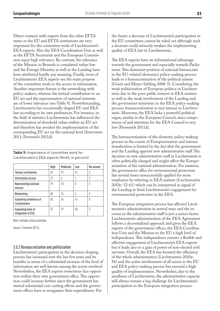Direct contacts with experts from the other EFTA states or the EU and EFTA institutions are very important for the committee work of Liechtenstein's EEA experts. Also the EEA Coordination Unit as well as the EFTA Secretariat and the European Commission enjoy high relevance. By contrast, the relevance of the Mission in Brussels is considered rather low and the Foreign Ministry as well as the Landtag have been attributed hardly any meaning. Finally, most of Liechtenstein's EEA experts see the main purpose of the committee work in the access to information. Another important feature is the networking with policy-makers, whereas the textual contribution to an EU act and the representation of national interests are of lower relevance (see Table 9). Notwithstanding, Liechtenstein has occasionally shaped EU and EEA law according to its own preferences. For instance, in the field of statistics Liechtenstein has influenced the determination of threshold values within an EU act and therefore has avoided the implementation of the corresponding EU act on the national level (Interviews 2011; Frommelt 2011d).

### **Table 9:** Importance of committee work for Liechtenstein's EEA experts (N=69, in percent)

|                                                  | High | Moderate | Low | No answer |
|--------------------------------------------------|------|----------|-----|-----------|
| <b>Textual contribution</b>                      | 37   | 19       | 41  | 3         |
| Information access                               | 91   | 4        |     | 3         |
| Representing national<br>interest                | 79   | 10       | 8   | 3         |
| Networking                                       | 80   | 13       | 4   | 3         |
| <b>Explaining smallness of</b><br>Liechtenstein  | 63   | 26       | 16  | 3         |
| <b>Explaining level of</b><br>integration of EEA | 37   | 19       | 40  | 3         |

Note: multiple choices possible.

Source: Frommelt 2011d.

#### 3.5.2 Bureaucratization and politicization

Liechtenstein's participation in the decision-shaping process has increased over the last few years and its benefits in terms of a substantial increase of the level of information are well known among the actors involved. Nevertheless, the EEA experts sometimes face opposition within their own government office. This opposition could increase further since the government has started substantial cost-cutting efforts and the government offices have to reorganize their expenditures. For

the future a decrease of Liechtenstein's participation in the EU committees cannot be ruled out although such a decrease could seriously weaken the implementing quality of EEA law in Liechtenstein.

The EEA experts have an informational advantage towards the government and especially towards Parliament. This dominant position of national bureaucrats in the EU-related (domestic) policy-making process leads to a bureaucratization of the political system (Goetz and Meyer-Sahling 2008: 5). Considering the weak politicization of European politics in Liechtenstein due to the poor public interest in EEA matters as well as the weak involvement of the Landtag and the government ministries in the EEA policy-making process, bureaucratization is very intense in Liechtenstein. Moreover, the EEA lacks a powerful political organ, similar to the European Council, since competences of and attention for the EEA Council is very low (Frommelt 2011d).

The bureaucratization of the domestic policy-making process in the course of Europeanization and internationalization is limited by the fact that the government and the Landtag appoint new administrative staff. The decision on new administrative staff in Liechtenstein is often politically charged and might affect the Europeanization of the national administration. For instance, the government office for environmental protection has several times unsuccessfully applied for more employees by referring to EEA matters (Liechtenstein 2010c: 52-61) which can be interpreted as signal of the Landtag to limit Liechtenstein's engagement for environmental protection in the EEA.

The European integration process has affected Liechtenstein's administration in several ways and the increase in the administrative staff is just a minor factor. Liechtenstein's administration of the EEA Agreement follows a decentralized approach and gives the EEA experts of the government offices, the EEA Coordination Unit and the Mission to the EU a high level of independence. This independence ensures a flexible and effective engagement of Liechtenstein's EEA experts but it leads also to a gain of power of non-elected civil servants. Overall, the EEA has boosted the efficiency of the whole administration (Liechtenstein 2010a: 56) and the active involvement of all actors in the EU and EEA policy-making process has ensured a high quality of implementation. Nevertheless, due to the smallness of Liechtenstein, the administrative capacity will always remain a big challenge for Liechtenstein's participation in the European integration process.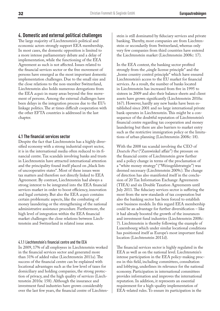### **4. Domestic and external political challenges**

The large majority of Liechtenstein's political and economic actors strongly support EEA membership. In most cases, the domestic opposition is limited to a more intense parliamentary debate and a delay of implementation, while the functioning of the EEA Agreement as such is not affected. Issues related to the financial services sector or the free movement of persons have emerged as the most important domestic implementation challenges. Due to the small size and the close relations to the non-member Switzerland, Liechtenstein also holds numerous derogations from the EEA *acquis* in many areas beyond the free movement of persons. Among the external challenges have been delays in the integration process due to the EU's linkage politics. The at times difficult cooperation with the other EFTA countries is addressed in the last chapter.

#### **4.1 The financial services sector**

Despite the fact that Liechtenstein has a highly diversified economy with a strong industrial export sector, it is in the international media often reduced to its financial centre. Tax scandals involving banks and trusts in Liechtenstein have attracted international attention and the principality found itself placed on "black lists of uncooperative states". Most of these issues were tax matters and therefore not directly linked to EEA Agreement. By contrast, Liechtenstein had always a strong interest to be integrated into the EEA financial services market in order to boost efficiency, innovation and legal certainty. But also the EEA *acquis* contains certain problematic aspects, like the combating of money laundering or the strengthening of the national administrative assistance procedure. Furthermore, the high level of integration within the EEA financial market challenges the close relations between Liechtenstein and Switzerland in related issue areas.

#### 4.1.1 Liechtenstein's financial centre and the EEA

In 2009, 17% of all employees in Liechtenstein worked in the financial services sector and generated more than 31% of added value (Liechtenstein 2011a). The success of the financial centre can be explained with locational advantages such as the low level of taxes for domiciliary and holding companies, the strong protection of privacy, and the high quality of services (Liechtenstein 2010a: 158). Although the insurance and investment fund industries have grown considerably over the last few years, the financial centre of Liechtenstein is still dominated by fiduciary services and private banking. Thereby, most companies are from Liechtenstein or secondarily from Switzerland, whereas only very few companies from third countries have entered the Liechtenstein market (Liechtenstein 2008c: 17).

In the EEA context, the banking sector profited strongly from the "single license principle" and the "home country control principle" which have ensured Liechtenstein's access to the EU market for financial services. As a result, the number of banks located in Liechtenstein has increased from five in 1995 to sixteen in 2009 and also their balance sheets and client assets have grown significantly (Liechtenstein 2010a: 167). However, hardly any new banks have been established since 2001 and no large international private bank operates in Liechtenstein. This might be a consequence of the doubtful reputation of Liechtenstein's financial centre regarding tax cooperation and money laundering but there are also barriers to market entry such as the restrictive immigration policy or the limitations of urban planning (Liechtenstein 2008c: 18).

With the 2008 tax scandal involving the CEO of *Deutsche Post* ("Zumwinkel affair") the pressure on the financial centre of Liechtenstein grew further and a policy change in terms of the proclamation of a "white money strategy" ("Weissgeldstrategie") was deemed necessary (Liechtenstein 2009c). The change of direction has also manifested itself in the conclusion of 20 Tax Information Exchange Agreements (TIEA) and six Double Taxation Agreements until July 2011. The fiduciary services sector is suffering the most from the new standards of tax cooperation but also the banking sector has been forced to establish new business models. In this regard EEA membership could be an advantage for further diversification – like it had already boosted the growth of the insurances and investment fund industries (Liechtenstein 2008c: 7). Liechtenstein is thereby following the example of Luxembourg which under similar locational conditions has positioned itself as Europe's most important fund location (Liechtenstein 2011d).

The financial services sector is highly regulated in the EEA as well as on the national level. Liechtenstein's intense participation in the EEA policy-making process in this field, including committees, consultation and lobbying, underlines its relevance for the national economy. Participation in international committees provides information and improves the international reputation. In addition, it represents an essential requirement for a high-quality implementation of EEA-related rules. To ensure its participation in the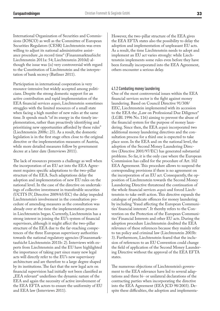International Organization of Securities and Commissions (IOSCO) as well as the Committee of European Securities Regulators (CESR) Liechtenstein was even willing to adjust its national administrative assistance procedure "in record time" (Finanzmarktaufsicht Liechtenstein 2011a: 54; Liechtenstein 2010d) although the issue was (is) very controversial with regard to the Constitution of Liechtenstein and the interpretation of bank secrecy (Batliner 2011).

Participation in international cooperation is very resource-intensive but widely accepted among politicians. Despite the strong domestic support for an active contribution and rapid implementation of the EEA financial services *acquis*, Liechtenstein sometimes struggles with the limited resources of a small state when facing a high number of new rules at the same time. It spends much "of its energy in the timely implementation, rather than proactively identifying and prioritizing new opportunities afforded by these rules" (Liechtenstein 2008c: 23). As a result, the domestic legislation is in the first stage often close to the original directive or the implementation measures of Austria, while more detailed measures follow by government decree at a later date (Interviews 2011).

The lack of resources presents a challenge as well when the incorporation of an EU act into the EEA Agreement requires specific adaptations to the two-pillar structure of the EEA. Such adaptations delay the adoption and implementation of new EU rules on the national level. In the case of the directive on undertakings of collective investment in transferable securities (UCITS IV, Directive 2009/65/EC) the delay impeded Liechtenstein's involvement in the consultation procedure of amending measures as the consultation was already over at the time the implementation process in Liechtenstein began. Currently, Liechtenstein has a strong interest in joining the EU's system of financial supervisors, although it might affect the two-pillar structure of the EEA due to the far-reaching competences of the three European supervisory authorities towards the national regulatory agencies (Finanzmarktaufsicht Liechtenstein 2011b: 2). Interviews with experts from Liechtenstein and the EU have highlighted the importance of taking part since many new legal acts will directly refer to the EU's new supervisory architecture and are therefore to a large degree shaped by its institutions. The fact that the new legal acts on financial supervision had initially not been classified as "EEA relevant" underlines the dynamic nature of the EEA and again the necessity of active involvement of the EEA EFTA actors to ensure the uniformity of EU and EEA law (Interviews 2011).

However, the two-pillar structure of the EEA gives the EEA EFTA states also the possibility to delay the adoption and implementation of unpleasant EU acts. As a result, the time Liechtenstein needs to adopt and implement an EU act varies strongly: while Liechtenstein implements some rules even before they have been formally incorporated into the EEA Agreement, others encounter a serious delay.

#### 4.1.2 Combating money laundering

One of the most controversial issues within the EEA financial services sector is the fight against money laundering. Based on Council Directive 91/308/ EEC, Liechtenstein implemented with its accession to the EEA the "Law on Professional Due Diligence" (LGBl. 1996 No. 116) aiming to prevent the abuse of the financial system for the purpose of money laundering. Since then, the EEA *acquis* incorporated two additional money laundering directives and the consultation process for a third one is expected to take place soon. In the EEA and on the national level, the adoption of the Second Money Laundering Directive (Directive 2001/97/EC) has generated substantial problems. So far, it is the only case where the European Commission has called for the procedure of Art. 102 EEA Agreement. This procedure allows to suspend the corresponding provisions if there is no agreement on the incorporation of an EU act. Consequently, the opposition of Liechtenstein towards the Second Money Laundering Directive threatened the continuation of the whole financial services *acquis* and forced Liechtenstein to take swift action. This directive expands the catalogue of predicate offences for money laundering by including "fraud affecting the European Communities' financial interests". It thereby refers to the Convention on the Protection of the European Communities' Financial Interests and other EU acts. During the adoption procedure Liechtenstein doubted the EEA relevance of these references because they mainly refer to tax policy and criminal law (Liechtenstein 2003b: 3). Furthermore, Liechtenstein feared that the inclusion of references to an EU Convention could change the field of application of the Second Money Laundering Directive without the approval of the EEA EFTA states.

The numerous objections of Liechtenstein's government to the EEA relevance have led to several adaptations and three bi- or unilateral declarations of the contracting parties when incorporating the directive into the EEA Agreement (EEA JCD 98/2003). Despite these difficulties, the adoption and implementa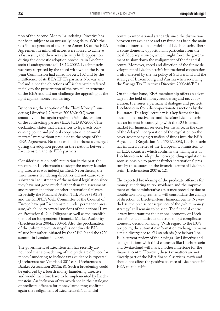tion of the Second Money Laundering Directive has not been subject to an unusually long delay. With the possible suspension of the entire Annex IX of the EEA Agreement in mind, all actors were forced to achieve a fast result, and there was also very little opposition during the domestic adoption procedure in Liechtenstein (Landtagsprotokoll 18.12.2003). Liechtenstein was very surprised by the speed with which the European Commission had called for Art. 102 and by the indifference of its EEA EFTA partners Norway and Iceland, since the objections of Liechtenstein referred mainly to the preservation of the two-pillar structure of the EEA and did not challenge the upgrading of the fight against money laundering.

By contrast, the adoption of the Third Money Laundering Directive (Directive 2005/60/EC) went smoothly but has again required a joint declaration of the contracting parties (EEA JCD 87/2006). The declaration states that "references to legal acts concerning police and judicial cooperation in criminal matters" were without prejudice to the scope of the EEA Agreement. No substantial disturbances emerged during the adoption process in the relations between Liechtenstein and its EEA partners.

Considering its doubtful reputation in the past, the pressure on Liechtenstein to adopt the money laundering directives was indeed justified. Nevertheless, the three money laundering directives did not cause very substantial adjustments of the national legislation since they have not gone much further than the assessments and recommendations of other international players. Especially the Financial Action Task Force (FATF) and the MONEYVAL Committee of the Council of Europe have put Liechtenstein under permanent pressure, which led to several revisions of the national Law on Professional Due Diligence as well as the establishment of an independent Financial Market Authority (Liechtenstein 2004a, 2004b). Also the proclamation of the "white money strategy" is not directly EUrelated but rather initiated by the OECD and the G20 summit in London in 2009.

The government of Liechtenstein has recently announced that a broadening of the predicate offences for money laundering to include tax avoidance is expected (Liechtensteiner Vaterland 2011c: 3; Liechtenstein Banker Association 2011a: 8). Such a broadening could be enforced by a fourth money laundering directive and would therefore have to be implemented by Liechtenstein. An inclusion of tax avoidance in the catalogue of predicate offences for money laundering confirms again the realignment of Liechtenstein's financial

centre to international standards since the distinction between tax avoidance and tax fraud has been the main point of international criticism of Liechtenstein. There is some domestic opposition, in particular from the local fiduciary services, which might force the government to slow down the realignment of the financial centre. Moreover, speed and direction of the future development of Liechtenstein's international cooperation is also affected by the tax policy of Switzerland and the strategy of Luxembourg and Austria when reviewing the Savings Tax Directive (Directive 2003/48/EC).

On the other hand, EEA membership offers an advantage in the field of money laundering and tax cooperation. It ensures a permanent dialogue and protects Liechtenstein from disproportionate sanctions by the EU states. This legal certainty is a key factor for its locational attractiveness and therefore Liechtenstein has an interest in complying with the EU internal market for financial services. For instance, in the case of the delayed incorporation of the regulation on the payer accompanying transfers of funds into the EEA Agreement (Regulation No. 1781/2006), Liechtenstein has initiated a letter of the European Commission to all EEA countries which confirms the willingness of Liechtenstein to adopt the corresponding regulation as soon as possible to prevent further international pressure by these states on the financial centre of Liechtenstein (Liechtenstein 2007a: 12).

The expected broadening of the predicate offences for money laundering to tax avoidance and the improvement of the administrative assistance procedure due to double taxation agreements will consolidate the change of direction of Liechtenstein's financial centre. Nevertheless, the precise consequences of the "white money strategy" still remain to be seen. The financial centre is very important for the national economy of Liechtenstein and a multitude of actors might complicate domestic decision-making. With regard to the EU's tax policy, the automatic information exchange remains a main divergence to EU standards (see below). The EU's current review of the Savings Tax Directive and its negotiations with third countries like Liechtenstein and Switzerland will mark another milestone for the financial centre. However, these tax matters are not directly part of the EEA financial services *acquis* and should not affect the positive balance of Liechtenstein's EEA membership.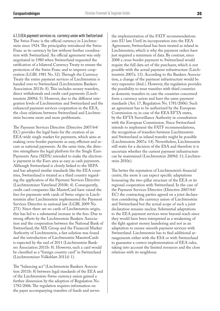4.1.3 EEA payment services vs. currency union with Switzerland The Swiss Franc is the official currency in Liechtenstein since 1924. The principality introduced the Swiss Franc as its currency by law without further coordination with Switzerland. An official agreement was only negotiated in 1980 when Switzerland requested the ratification of a bilateral Currency Treaty to ensure the protection of the Swiss Franc and to improve cooperation (LGBl. 1981 No. 52). Through the Currency Treaty the entire payment services of Liechtenstein is handed over to Switzerland (Liechtenstein Bankers Association 2011b: 8). This includes money transfers, direct withdrawals and credit card payments (Liechtenstein 2009d: 5). However, due to the different integration levels of Liechtenstein and Switzerland and the enhanced payment services cooperation in the EEA, the close relations between Switzerland and Liechtenstein become more and more problematic.

The Payment Services Directive (Directive 2007/64/ EC) provides the legal basis for the creation of an EEA-wide single market for payments, which aims at making cross-border payments as easy, efficient and secure as national payments. At the same time, the directive strengthens the legal platform for the Single Euro Payments Area (SEPA) intended to make the electronic payment in the Euro area as easy as cash payments. Although Switzerland is closely linked to the SEPA and has adopted similar standards like the EEA countries, Switzerland is treated as a third country regarding the application of the Payment Services Directive (Liechtensteiner Vaterland 2010b: 4). Consequently, credit card companies like MasterCard have raised the fees for payments with cards of Swiss origin in Liechtenstein after Liechtenstein implemented the Payment Services Directive in national law (LGBl. 2009 No. 271). Since there are no cards of Liechtenstein origin, this has led to a substantial increase in the fees. Due to strong efforts by the Liechtenstein Bankers Association and the cooperation between the National Bank of Switzerland, the SIX Group and the Financial Market Authority of Liechtenstein, a fast solution was found and the introduction of Liechtenstein MaestroCards is expected by the end of 2011 (Liechtenstein Bankers Association 2011b: 8). However, such a card would be classified as a "foreign country card" in Switzerland (Liechtensteiner Volksblatt 2011d: 1).

The "balancing act" (Liechtenstein Bankers Association 2011b: 8) between legal standards of the EEA and of the Liechtenstein-Swiss currency union gained a further dimension by the adoption of Regulation No. 1781/2006. The regulation requires information on the payer accompanying transfers of funds and serves

the implementation of the FATF recommendations into EU law. Until its incorporation into the EEA Agreement, Switzerland has been treated as inland in Liechtenstein, which is why the payment orders have just required a minimum of data. By contrast, since 2008 a cross-border payment to Switzerland would require the full data set of the purchaser, which is not possible with the actual payment infrastructure (Liechtenstein 2007a: 13). According to the Bankers Association, a change of the payment infrastructure would be very expensive (ibid.). However, the regulation provides the possibility to treat transfers with third countries as domestic transfers in case the countries concerned form a currency union and have the same payment standards (Art. 17, Regulation No. 1781/2006). Such an agreement has to be authorized by the European Commission or, in case of the EEA EFTA states, by the EFTA Surveillance Authority in consultation with the European Commission. Since Switzerland intends to implement the FATF recommendations, the recognition of transfers between Liechtenstein and Switzerland as inland transfer might be possible (Liechtenstein 2007a: 14). Nevertheless, Liechtenstein still waits for a decision of the ESA and therefore it is uncertain whether the current payment infrastructure can be maintained (Liechtenstein 2009d: 11; Liechtenstein 2010e).

The better the reputation of Liechtenstein's financial centre, the more it can expect specific adaptations honouring the two-pillar structure of the EEA or its regional cooperation with Switzerland. In the case of the Payment Services Directive (Directive 2007/64/ EC) the contracting parties agreed on a joint declaration considering the currency union of Liechtenstein and Switzerland but the actual scope of such a joint declaration remains unclear. Substantial adaptations to the EEA payment services were beyond reach since they would have been interpreted as a weakening of the fight against money laundering and not as an adaptation to ensure smooth payment services with Switzerland. Liechtenstein has to find additional arrangements either with the ESA or with Switzerland to guarantee a correct implementation of EEA rules, taking into account the limited resources and the close relations with its neighbour.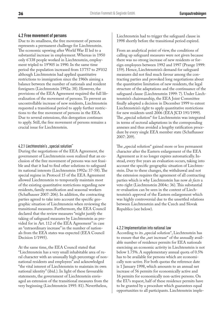#### **4.2 Free movement of persons**

Due to its smallness, the free movement of persons represents a permanent challenge for Liechtenstein. The economic upswing after World War II led to a substantial increase in employment. Whereas in 1950 only 6'338 people worked in Liechtenstein, employment tripled to 19'905 in 1990. In the same time period the population increased from 13'757 to 29'032 although Liechtenstein had applied quantitative restrictions to immigration since the 1960s aiming a balance between the number of nationals and resident foreigners (Liechtenstein 1992a: 38). However, the provisions of the EEA Agreement required the full liberalization of the movement of persons. To prevent an uncontrollable increase of new residents, Liechtenstein requested a transitional period to apply further restrictions to the free movement of persons in the EEA. Due to several extensions, this derogation continues to apply. Still, the free movement of persons remains a crucial issue for Liechtenstein.

#### 4.2.1 Liechtenstein's "special solution"

During the negotiations of the EEA Agreement, the government of Liechtenstein soon realized that an exclusion of the free movement of persons was not feasible and that it had to find other solutions to safeguard its national interests (Liechtenstein 1992a: 37-58). The special regime in Protocol 15 of the EEA Agreement allowed Liechtenstein to temporarily maintain most of the existing quantitative restrictions regarding new residents, family reunification and seasonal workers (Schafhauser 2007: 206). In addition, the contracting parties agreed to take into account the specific geographic situation of Liechtenstein when reviewing the transitional measures. Furthermore, the EEA Council declared that the review measures "might justify the taking of safeguard measures by Liechtenstein as provided for in Art. 112 of the EEA Agreement" in case an "extraordinary increase" in the number of nationals from the EEA states was expected (EEA Council Decision 1/1995).

At the same time, the EEA Council stated that "Liechtenstein has a very small inhabitable area of rural character with an unusually high percentage of nonnational residents and employees" and acknowledged "the vital interest of Liechtenstein to maintain its own national identity" (ibid.). In light of these favourable statements, the government of Liechtenstein envisaged an extension of the transitional measures from the very beginning (Liechtenstein 1995: 81). Nevertheless,

Liechtenstein had to trigger the safeguard clause in 1998 shortly before the transitional period expired.

From an analytical point of view, the conditions of calling up safeguard measures were not given because there was no strong increase of new residents or foreign employees between 1992 and 1997 (Prange 1999: 159). Hence, Liechtenstein's demand for safeguard measures did not find much favour among the contracting parties and provoked long negotiations about the quantitative limitation of new residents, the legal structure of the adaptations and the continuance of the safeguard clause (Liechtenstein 1999: 7). Under Liechtenstein's chairmanship, the EEA Joint Committee finally adopted a decision in December 1999 to extent Liechtenstein's right to apply quantitative restrictions for new residents until 2006 (EEA JCD 191/1999). The "special solution" for Liechtenstein was integrated in terms of sectoral adaptations in the corresponding annexes and thus avoided a lengthy ratification procedure by every single EEA member state (Schafhauser 2007: 209).

The "special solution" gained more or less permanent character after the Eastern enlargement of the EEA Agreement as it no longer expires automatically. Instead, every five years an evaluation occurs, taking into account the specific geographic situation of Liechtenstein. Due to these changes, the withdrawal and not the extension requires the agreement of all contracting parties which is why Liechtenstein has now *de facto* a veto right (Liechtenstein 2004c: 36). This substantial re-evaluation can be seen in the context of Liechtenstein's approval of the Eastern enlargement which was highly controversial due to the unsettled relations between Liechtenstein and the Czech and Slovak Republics (see below).

#### 4.2.2 Implementation into national law

According to its "special solution", Liechtenstein has to ensure that the "net increase" of the annually available number of residence permits for EEA nationals exercising an economic activity in Liechtenstein is not below 1.75%. A supplementary annual quota of 0.5% has to be available for persons which are economically non-active. For both quotas the reference date is 1 January 1998, which amounts to an annual net increase of 56 permits for economically active and 16 permits for economically non-active persons. On the EU's request, half of these residence permits have to be granted by a procedure which guarantees equal opportunities to all participants. Liechtenstein imple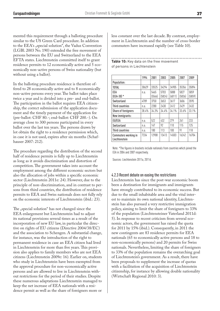mented this requirement through a balloting procedure similar to the US Green Card procedure. In addition to the EEA's "special solution", the Vaduz Convention (LGBl. 2003 No. 190) extended the free movement of persons between the EU and Switzerland to the EEA EFTA states. Liechtenstein committed itself to grant residence permits to 12 economically active and 5 economically non-active persons of Swiss nationality (but without using a ballot).

In the balloting procedure residence is therefore offered to 28 economically active and to 8 economically non-active persons every year. The ballot takes place twice a year and is divided into a pre- and end-ballot. The participation in the ballot requires EEA citizenship, the correct submission of the application document and the timely payment of the application fee (pre-ballot: CHF 80.-; end-ballot: CHF 200.-). On average close to 300 persons participated in every ballot over the last ten years. The persons drawn by lot obtain the right to a residence permission which, in case it is not used, expires after six months (Schafhauser 2007: 212).

The procedure regarding the distribution of the second half of residence permits is fully up to Liechtenstein as long as it avoids discrimination and distortion of competition. The government takes into account the employment among the different economic sectors but also the allocation of jobs within a specific economic sector (Liechtenstein 2011e: 24). However, due to the principle of non-discrimination, and in contrast to persons from third countries, the distribution of residence permits to EEA and Swiss nationals does not fully rely on the economic interests of Liechtenstein (ibid.: 23).

The "special solution" has not changed since the EEA enlargement but Liechtenstein had to adjust its national provisions several times as a result of the incorporation of new EU law, in particular the directive on rights of EU citizens (Directive 2004/38/EC) and the association to Schengen. A substantial change, for instance, was the introduction of the right to permanent residence in case an EEA citizen had lived in Liechtenstein for more than five years. This provision also applies to family members who are not EEA citizens (Liechtenstein 2009e: 16). Earlier on, students who study in Liechtenstein have been exempted from the approval procedure for non-economically active persons and are allowed to live in Liechtenstein without restrictions for the period of their studies. Despite these numerous adaptations Liechtenstein managed to keep the net increase of EEA nationals with a residence permit as well as the share of foreigners more or

less constant over the last decade. By contrast, employment in Liechtenstein and the number of cross-border commuters have increased rapidly (see Table 10).

|                                       | 1994  | 2001           | 2003           | 2005           | 2007           | 2009           |
|---------------------------------------|-------|----------------|----------------|----------------|----------------|----------------|
| Population:                           |       |                |                |                |                |                |
| <b>TOTAL</b>                          | 30629 | 33525          | 34294          | 34905          | 35356          | 35894          |
| FFA<br>$[EEA-30]*$                    | n.a.  | 5465<br>(5566) | 5703<br>(5824) | 5888<br>(6011) | 5827<br>(5836) | 5859<br>(5859) |
| Switzerland                           | 4789  | 3750           | 3653           | 3617           | 3606           | 3595           |
| <b>Third countries</b>                | n.a.  | 2280           | 2430           | 2412           | 2429           | 2432           |
| <b>Share of foreigners</b>            | 38.4% | 34.3%          | $34.4\%$       | 34.1%          | 33.6%          | 33.1%          |
| New immigrants:                       |       |                |                |                |                |                |
| EU/EEA                                | n.a.  | 522            | 432            | 279            | 261            | 233            |
| Switzerland                           | n.a.  | 147            | 97             | 110            | 115            | 125            |
| <b>Third countries</b>                | n.a.  | 180            | 113            | 100            | 91             | 118            |
| Commuters working in<br>Liechtenstein | 7334  | 12908          | 13413          | 14503          | 16242          | 16704          |

**Table 10:** Key data on the free movement of persons in Liechtenstein

Note: \*The figures in brackets include nationals from countries which joined the EEA in 2004 and 2007 respectively.

Sources: Liechtenstein 2011a, 2011d.

#### 4.2.3 Recent debate on easing the restrictions

Liechtenstein has since the post-war economic boom been a destination for immigrants and immigrants have strongly contributed to its economic success. But due to the small inhabitable area and the vital interest to maintain its own national identity, Liechtenstein has also pursued a very restrictive immigration policy, aiming to limit the share of foreigners to 33% of the population (Liechtensteiner Vaterland 2011d: 5). In response to recent criticism from several economic actors, the government has raised the quota for 2011 by 15% (ibid.). Consequently, in 2011 the new contingents are 83 residence permits for EEA nationals (65 to economically active persons and 18 to non-economically persons) and 20 permits for Swiss nationals. Nevertheless, limiting the share of foreigners to 33% of the population remains the overarching goal of Liechtenstein's government. As a result, there have been proposals to supplement the increase of quotas with a facilitation of the acquisition of Liechtenstein citizenship, for instance by allowing double nationality (Wirtschaft Regional 2010: 3).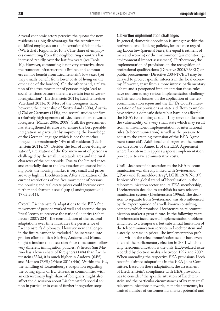Several economic actors perceive the quotas for new residents as a big disadvantage for the recruitment of skilled employees on the international job market (Wirtschaft Regional 2010: 3). The share of employees commuting from the neighbouring countries has increased rapidly over the last few years (see Table 10). However, commuting is not very attractive since the transport infrastructure is limited and commuters cannot benefit from Liechtenstein's low taxes (yet they usually benefit from lower costs of living on the other side of the borders). On the other hand, a relaxation of the free movement of persons might lead to social tensions because there is a certain fear of "overforeignization" (Liechtenstein 2011e; Liechtensteiner Vaterland 2011e: 9). Most of the foreigners have, however, the citizenship of Switzerland (30%), Austria (17%) or Germany (11%), and several studies confirm a relatively high openness of Liechtensteiners towards foreigners (Marxer 2006: 2008). Still, the government has strengthened its efforts to ensure the best possible integration, in particular by improving the knowledge of the German language which is not the mother tongue of approximately 14% of all residents (Liechtenstein 2011e: 19). Besides the fear of "over-foreignization", a relaxation of the free movement of persons is challenged by the small inhabitable area and the rural character of the countryside. Due to the limited space and especially due to the low taxation of unused building plots, the housing market is very small and prices are very high in Liechtenstein. After a relaxation of the current restrictions of the free movement of persons the housing and real estate prices could increase even further and sharpen a social gap (Landtagsprotokoll 17.02.2011).

Overall, Liechtenstein's adaptations to the EEA free movement of persons worked well and ensured the political leeway to preserve the national identity (Schafhauser 2007: 224). The consolidation of the sectoral adaptations over time illustrates the persistence of Liechtenstein's diplomacy. However, new challenges in the future cannot be excluded. The increased integration efforts of San Marino, Andorra and Monaco might stimulate the discussion since these states follow very different immigration policies. Whereas San Marino has a lower share of foreigners (14%) than Liechtenstein (33%), it is much higher in Andorra (64%) and Monaco (78%) (Friese 2011: 446). Within the EU, the handling of Luxembourg's adaptation regarding the voting rights of EU citizens in communities with an extraordinary high share of foreigners might also affect the discussion about Liechtenstein's special solution in particular in case of further integration steps.

#### **4.3 Further implementation challenges**

In general, domestic opposition is stronger within the horizontal and flanking policies, for instance regarding labour law (parental leave, the equal treatment of men and women) or the environment (air monitoring, environmental impact assessment). Furthermore, the implementation of provisions on the recognition of professional qualifications (Directive 2005/36/EC) or public procurement (Directive 2004/17/EC) may be delayed to protect specific interests in the local economy. However, apart from a more intense parliamentary debate and a postponed implementation these rules have not caused any serious implementation challenges. This section focuses on the application of the telecommunication *acquis* and the EFTA Court's interpretation of tax provisions as state aid. Both examples have stirred a domestic debate but have not affected the EEA's functioning as such. They serve to illustrate the vulnerability of a very small state which may result from an insufficient implementation of international rules (telecommunication) as well as the pressure to adjust to the creeping extension of the EEA Agreement (state aid). Additional challenges are the numerous directives of Annex II of the EEA Agreement where Liechtenstein applies a special implementation procedure to save administrative costs.

Until Liechtenstein's accession to the EEA telecommunication was directly linked with Switzerland ("Post- und Fernmeldevertrag", LGBl. 1978 No. 37). In view of the global trend of liberalization in the telecommunication sector and its EEA membership, Liechtenstein decided to establish its own telecommunication system (Liechtenstein 1996a). The decision to separate from Switzerland was also influenced by the expert opinion of a well-known consulting company which promised Liechtenstein's telecommunication market a great future. In the following years Liechtenstein faced several implementation problems which led to a temporary, but substantial limitation of the telecommunication services in Liechtenstein and a steady increase in prices. The implementation problems within the telecommunication sector have even affected the parliamentary election in 2001 which is why telecommunication is the only EEA-related issue recorded by election analysis between 1997 and 2009. When amending the respective EEA provisions Liechtenstein claimed adaptations in the EEA Joint Committee. Based on these adaptations, the assessment of Liechtenstein's compliance with EEA provisions has to consider "the specific situation of Liechtenstein and the particular circumstances of its very small telecommunications network, its market structure, its limited number of customers, its market potential and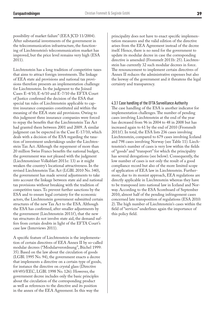possibility of market failure" (EEA JCD 11/2004). After substantial investments of the government in the telecommunication infrastructure, the functioning of Liechtenstein's telecommunication market has improved, but the price level remains very high (ESA 2011).

Liechtenstein has a long tradition of competitive taxes that aims to attract foreign investments. The linkage of EEA state aid provisions and national tax provisions therefore presents an implementation challenge for Liechtenstein. In the judgment to the Joined Cases E-4/10, E-6/10 and E-7/10 the EFTA Court of Justice confirmed the decision of the ESA that special tax rules of Liechtenstein applicable to captive insurance companies constituted aid within the meaning of the EEA state aid provisions. Owing to this judgment three insurance companies were forced to repay the benefits that the Liechtenstein Tax Act had granted them between 2001 and 2009. A similar judgment can be expected in the Case E-17/10, which deals with a decision of the ESA regarding the taxation of investment undertakings under the Liechtenstein Tax Act. Although the repayment of more than 20 million Swiss Francs benefits the national budget, the government was not pleased with the judgment (Liechtensteiner Volksblatt 2011e: 13) as it might weaken the country's locational attractiveness. In the revised Liechtenstein Tax Act (LGBl. 2010 No. 340), the government has made several adjustments to take into account the linkage between state aid and national tax provisions without breaking with the tradition of competitive taxes. To prevent further sanctions by the ESA and to ensure legal certainty for the economic actors, the Liechtenstein government submitted certain structures of the new Tax Act to the ESA. Although the ESA has confirmed, after smaller adjustments by the government (Liechtenstein 2011f), that the new tax structures do not involve state aid, the demand suffers from certain doubts in light of the EFTA Court's case law (Interviews 2011).

A specific feature of Liechtenstein is the implementation of certain directives of EEA Annex II by so-called modular decrees ("Modularverordnung", Büchel 1999: 35). Based on the law about the circulation of goods (LGBl. 1995 No. 94), the government enacts a decree that implements a directive on a certain type of goods, for instance the directive on crystal glass (Directive 69/493/EEC, LGBl. 1998 No. 126). However, the government decree includes only the basic principles about the circulation of the corresponding product as well as references to the directive and its position in the annex of the EEA Agreement. In this way the

principality does not have to enact specific implementation measures and the valid edition of the directive arises from the EEA Agreement instead of the decree itself. Hence, there is no need for the government to update its modular decree in case the corresponding directive is amended (Frommelt 2011b: 25). Liechtenstein has currently 32 such modular decrees in force. The renouncement to implement certain directives of Annex II reduces the administrative expenses but also the leeway of the government and it threatens the legal certainty and transparency.

4.3.1 Case handling of the EFTA Surveillance Authority The case handling of the ESA is another indicator for implementation challenges. The number of pending cases involving Liechtenstein at the end of the year has decreased from 96 in 2004 to 48 in 2008 but has increased again to 61 by the end of 2010 (Frommelt 2011f). In total, the ESA lists 236 cases involving Liechtenstein, compared to 679 cases involving Iceland and 798 cases involving Norway (see Table 11). Liechtenstein's number of cases is very low within the fields of "goods" and "transport" for which the principality has several derogations (see below). Consequently, the low number of cases is not only the result of a good compliance record but also of the more limited scope of application of EEA law in Liechtenstein. Furthermore, due to its monist approach, EEA regulations are directly applicable in Liechtenstein whereas they have to be transposed into national law in Iceland and Norway. According to the ESA Scoreboard of September 2010, almost half of the pending infringement cases concerned late transposition of regulations (ESA 2010: 2). The high number of Liechtenstein's cases within the field of "services" underlines again the importance of this policy field.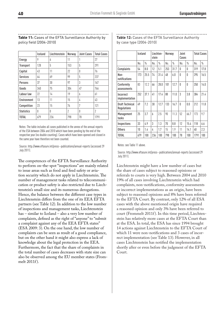|                   | Iceland      | Liechtenstein | Norway | <b>Joint Cases</b> | <b>Total Cases</b> |
|-------------------|--------------|---------------|--------|--------------------|--------------------|
| Energy            | 9            | 6             | 11     |                    | 27                 |
| <b>Transport</b>  | 128          | 5             | 153    | 5                  | 291                |
| Capital           | 43           | 11            | 22     | N                  | 76                 |
| <b>Services</b>   | 64           | 69            | 99     | 5                  | 237                |
| Persons           | 37           | 30            | 97     | 3                  | 167                |
| Goods             | 340          | 75            | 304    | 47                 | 766                |
| Labour law        | 22           | 14            | 19     | h                  | 61                 |
| Environment       | 13           | 11            | 15     | 4                  | 43                 |
| Competition       | 23           | 15            | 76     | 7                  | 121                |
| <b>Statistics</b> | $\mathbf{0}$ | Ŋ             | 2      | N                  | 2                  |
| <b>TOTAL</b>      | 679          | 236           | 798    | 78                 | 1791               |

#### **Table 11:** Cases of the EFTA Surveillance Authority by policy field (2004-2010)

Notes: The table includes all cases published in the annex of the annual reports of the ESA between 2004 and 2010 which have been pending by the end of the respective year (no double counting). Cases which have been opened and closed in the same year have therefore not been counted.

Source: http://www.eftasurv.int/press--publications/annual-reports (accessed 29 July 2011).

The competences of the EFTA Surveillance Authority to perform on-the-spot "inspections" are mainly related to issue areas such as food and feed safety or aviation security which do not apply in Liechtenstein. The number of management tasks related to telecommunication or product safety is also restricted due to Liechtenstein's small size and its numerous derogations. Hence, the balance between the different case types in Liechtenstein differs from the one of its EEA EFTA partners (see Table 12). In addition to the low number of inspections and management tasks, Liechtenstein has – similar to Iceland – also a very low number of complaints, defined as the right of "anyone" to "submit a complaint against any of the EEA EFTA states" (ESA 2009: 3). On the one hand, the low number of complaints can be seen as result of a good compliance, but on the other hand it might also express a lack of knowledge about the legal protection in the EEA. Furthermore, the fact that the share of complaints in the total number of cases decreases with state size can also be observed among the EU member states (Frommelt 2011f).

**Table 12:** Cases of the EFTA Surveillance Authority by case type (2004-2010)

|                                | Iceland |               | stein | Liechten-       | Norway |               | Joint<br>Cases |               |      | <b>Total Cases</b> |
|--------------------------------|---------|---------------|-------|-----------------|--------|---------------|----------------|---------------|------|--------------------|
|                                | No.     | $\frac{0}{0}$ | No.   | $\frac{0}{0}$   | No.    | $\frac{0}{0}$ | No.            | $\frac{0}{0}$ | No.  | $\frac{0}{0}$      |
| Complaints                     | 54      | 8.0           | 12    | 5.1             | 253    | 31.7          | $\mathbf{0}$   | ⋂             | 319  | 17.8               |
| Non-<br>notifications          | 173     | 25.5          | 74    | 31.4            | 48     | 6.0           | $\mathbf{0}$   | ⋂             | 295  | 16.5               |
| Conformity<br>assessments      | 83      | 12.2          | 66    | 28.0            | 101    | 12.7          | $\mathbf{0}$   | $\mathbf{0}$  | 250  | 14.0               |
| Incorrect<br>implementation    | 252     | 37.1          | 41    | 17 <sub>4</sub> | 88     | 11.0          | 3              | 3.8           | 384  | 21.4               |
| Draft Technical<br>Regulations | 49      | 7.2           | 30    | 12.7            | 133    | 16.7          | $\mathbf{0}$   | 0.0           | 212  | 11.8               |
| Management<br>tasks            | 25      | 3.7           | h     | 2.5             | 90     | 11.3          | 52             | 66.7          | 173  | 9.7                |
| Inspections                    | 33      | 4.9           | 3     | 1.3             | 70     | 8.8           | 12             | 15.4          | 118  | 6.6                |
| Others                         | 10      | 1.4           | 4     | 1.7             | 15     | 1.9           | 11             | 14.1          | 40   | 2.3                |
| <b>TOTAL</b>                   | 679     | 100           | 236   | 100             | 798    | 100           | 78             | 100           | 1791 | 100                |

Notes: see Table 11 above.

Source: http://www.eftasurv.int/press--publications/annual-reports (accessed 29 July 2011).

Liechtenstein might have a low number of cases but the share of cases subject to reasoned opinions or referrals to courts is very high. Between 2004 and 2010 19% of all cases involving Liechtenstein which had complaints, non-notifications, conformity assessments or incorrect implementations as an origin, have been subject to reasoned opinions and 8% have been referred to the EFTA Court. By contrast, only 12% of all ESA cases with the above mentioned origin have required a reasoned opinion and only 3% have been referred to court (Frommelt 2011f). In this time period, Liechtenstein has relatively more cases at the EFTA Court than at the ESA. In total, the ESA has since 1994 brought 14 actions against Liechtenstein to the EFTA Court of which 11 were non-notifications and 3 cases of incorrect implementation (see Table 13). However, in all cases Liechtenstein has notified the implementation shortly after or even before the judgment of the EFTA Court.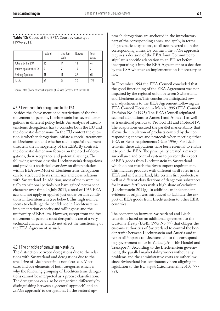#### **Table 13:** Cases at the EFTA Court by case type (1994-2011)

|                         | Iceland | Liechten-<br>stein | Norway | Total<br>cases |
|-------------------------|---------|--------------------|--------|----------------|
| Actions by the ESA      | 12      | 14                 | 18     | 44             |
| Actions against the ESA | 2       | 4                  | 15     | 21             |
| Advisory Opinions       | 15      |                    | 39     | 65             |
| <b>TOTAL</b>            | 29      | 29                 | 77     | 130            |

Source: http://www.eftacourt.int/index.php/cases (accessed 29 July 2011).

#### 4.3.2 Liechtenstein's derogations in the EEA

Besides the above mentioned restrictions of the free movement of persons, Liechtenstein has several derogations in different policy fields. An analysis of Liechtenstein's derogations has to consider both the EU and the domestic dimensions. In the EU context the question is whether derogations initiate a special treatment of Liechtenstein and whether such a special treatment threatens the homogeneity of the EEA. By contrast, the domestic dimension focuses on the need of derogations, their acceptance and potential savings. The following sections describe Liechtenstein's derogations and provide a statistical overview on differentiation within EEA law. Most of Liechtenstein's derogations can be attributed to its small size and close relations with Switzerland. In addition, most of them were initially transitional periods but have gained permanent character over time. In July 2011, a total of 1056 EEA acts did not apply or applied just under certain conditions in Liechtenstein (see below). This high number seems to challenge the confidence in Liechtenstein's implementation capacity and willingness and the uniformity of EEA law. However, except from the free movement of persons most derogations are of a very technical character and do not affect the functioning of the EEA Agreement as such.

#### 4.3.3 The principle of parallel marketability

The distinction between derogations due to the relations with Switzerland and derogations due to the small size of Liechtenstein is not clear-cut. Most cases include elements of both categories which is why the following grouping of Liechtenstein's derogations cannot be interpreted as a precise classification. The derogations can also be categorized differently by distinguishing between a "sectoral approach" and an "ad hoc approach" to derogations. In the sectoral approach derogations are anchored in the introductory part of the corresponding annex and apply, in terms of systematic adaptations, to all acts referred to in the corresponding annex. By contrast, the *ad hoc* approach requires a decision of the EEA Joint Committee to stipulate a specific adaptation to an EU act before incorporating it into the EEA Agreement or a decision by the ESA whether an implementation is necessary or not.

In December 1994 the EEA Council concluded that the good functioning of the EEA Agreement was not impaired by the regional union between Switzerland and Liechtenstein. This conclusion anticipated several adjustments to the EEA Agreement following an EEA Council Decision in March 1995 (EEA Council Decision No. 1/1995). The EEA Council stipulated sectoral adaptations to Annex I and Annex II as well as transitional periods to Protocol III and Protocol IV. The adaptations ensured the parallel marketability that allows the circulation of products covered by the corresponding annexes and protocols when meeting either EEA or Swiss requirements (Baur 1996). For Liechtenstein these adaptations have been essential to enable it to join the EEA. The principality created a market surveillance and control system to prevent the export of EEA goods from Liechtenstein to Switzerland which do not match the Swiss import requirements. This includes products with different tariff rates in the EEA and in Switzerland, like certain fish products, as well as different classifications of dangerous substances, for instance fertilizers with a high share of cadmium (Liechtenstein 2011g). In addition, an independent evidence of origin was introduced to facilitate the export of EEA goods from Liechtenstein to other EEA countries.

The cooperation between Switzerland and Liechtenstein is based on an additional agreement to the Customs Treaty (LGBl. 1995 No. 77) that obliges the customs authorities of Switzerland to control the border traffic between Liechtenstein and Austria and to report all imports to Liechtenstein to the corresponding government office in Vaduz ("Amt für Handel und Transport"). According to the Liechtenstein government, the parallel marketability works without any problems and the administrative costs are rather low since Switzerland has continuously been aligning its legislation to the EU *acquis* (Liechtenstein 2010a: 77- 79).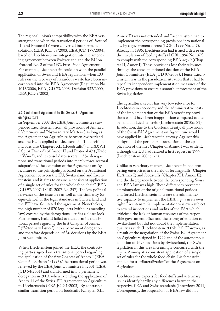The regional union's compatibility with the EEA was strengthened when the transitional periods of Protocol III and Protocol IV were converted into permanent solutions (EEA JCD 38/2003; EEA JCD 177/2004), based on Liechtenstein's integration into the amending agreement between Switzerland and the EU on Protocol No. 2 of the 1972 Free Trade Agreement . For example, Liechtenstein could draw on the parallel application of Swiss and EEA regulations when EU rules on the recovery of hazardous waste have been incorporated into the EEA Agreement (Regulation No. 1013/2006, EEA JCD 73/2008; Decision 532/2000, EEA JCD 9/2002).

#### 4.3.4 Additional Agreement to the Swiss-EU Agreement on Agriculture

In September 2007 the EEA Joint Committee suspended Liechtenstein from all provisions of Annex I ("Veterinary and Phytosanitary Matters") as long as the Agreement on Agriculture between Switzerland and the EU is applied to Liechtenstein. The decision includes also Chapters XII ("Foodstuffs") and XXVII ("Spirit Drinks") of Annex II and Protocol 47 ("Trade in Wine"), and it consolidates several *ad hoc* derogations and transitional periods into merely three sectoral adaptations. The extension of the Agreement on Agriculture to the principality is based on the Additional Agreement between the EU, Switzerland and Liechtenstein, and it aims to ensure "a consistent application of a single set of rules for the whole food chain" (EEA JCD 97/2007; LGBl. 2007 No. 257). The low political relevance of the issue area as well as the similarity (or equivalence) of the legal standards in Switzerland and the EU have facilitated the agreement. Nonetheless, the high number of 870 legal acts (without amending law) covered by the derogations justifies a closer look. Furthermore, Iceland failed to transform its transitional period regarding the first Chapter of Annex I ("Veterinary Issues") into a permanent derogation and therefore depends on *ad hoc* decisions by the EEA Joint Committee.

When Liechtenstein joined the EEA, the contracting parties agreed on a transitional period regarding the application of the first Chapter of Annex I (EEA Council Decision 1/1995). The transitional period was renewed by the EEA Joint Committee in 2001 (EEA JCD 54/2001) and transformed into a permanent derogation in 2003, when extending the application of Annex 11 of the Swiss-EU Agreement on Agriculture to Liechtenstein (EEA JCD 1/2003). By contrast, a similar transition period on foodstuffs (Chapter XII,

Annex II) was not extended and Liechtenstein had to implement the corresponding provisions into national law by a government decree (LGBl. 1999 No. 247). Already in 1996, Liechtenstein had issued a decree on the circulation of feedingstuffs (LGBl. 1996 No. 167) to comply with the corresponding EEA *acquis* (Chapter II, Annex I). These provisions lost their relevance through the above mentioned decision of the EEA Joint Committee (EEA JCD 97/2007). Hence, Liechtenstein was in the paradoxical situation that it had to repeal its independent implementation measures of the EEA provisions to ensure a smooth enforcement of the Swiss legislation.

The agricultural sector has very low relevance for Liechtenstein's economy and the administrative costs of the implementation of the EEA veterinary provisions would have been inappropriate compared to the benefits for Liechtenstein (Liechtenstein 2010d: 81). In addition, due to the Customs Treaty, all provisions of the Swiss-EU Agreement on Agriculture would have applied in Liechtenstein anyway. Against this background the permanent suspension of the application of the first Chapter of Annex I was evident, although the EU had refused a first request in 1999 (Liechtenstein 2005b: 75).

Unlike in veterinary matters, Liechtenstein had prospering enterprises in the field of feedingstuffs (Chapter II, Annex I) and foodstuffs (Chapter XII, Annex II), and the discrepancy between the corresponding Swiss and EEA law was high. These differences prevented a prolongation of the original transitional periods and forced Liechtenstein to create the administrative capacity to implement the EEA *acquis* in its own right. Liechtenstein's implementation was even subject to several inspections and audits of the ESA which criticized the lack of human resources of the responsible government office and the strong orientation to Switzerland but did not doubt the implementation quality as such (Liechtenstein 2005b: 77). However, as a result of the negotiation of the Swiss-EU Agreement on Agriculture signed in 1999 and of the autonomous adoption of EU provisions by Switzerland, the Swiss legislation in this area increasingly concurred with the *acquis*. Aiming at a consistent application of a single set of rules for the whole food chain, Liechtenstein applied for a "trilateralization" of the Agreement on Agriculture.

Liechtenstein's experts for foodstuffs and veterinary issues identify hardly any differences between the respective EEA and Swiss standards (Interviews 2011). Consequently, the suspension of EEA law did not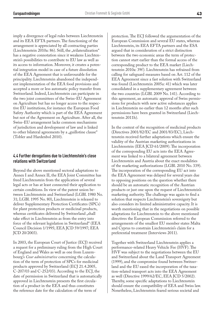imply a divergence of legal rules between Liechtenstein and its EEA EFTA partners. The functioning of the arrangement is appreciated by all contracting parties (Liechtenstein 2010a: 86). Still, the "trilateralization" has a negative connotation since it weakens Liechtenstein's possibilities to contribute to EU law as well as its access to information. Moreover, it creates a potential integration model in case of a future dissolution of the EEA Agreement that is unfavourable for the principality. Liechtenstein abandoned the independent implementation of the EEA food provisions and accepted a more or less automatic policy transfer from Switzerland. Indeed, Liechtenstein can participate in the two joint committees of the Swiss-EU Agreement on Agriculture but has no longer access to the respective EU institutions, for instance the European Food Safety Authority which is part of the EEA Agreement but not of the Agreement on Agriculture. After all, the Swiss-EU arrangement lacks common mechanisms of jurisdiction and development of law and is linked to other bilateral agreements by a "guillotine clause" (Tobler and Hardenbol 2010).

#### **4.4 Further derogations due to Liechtenstein's close relations with Switzerland**

Beyond the above mentioned sectoral adaptations to Annex I and Annex II, the EEA Joint Committee has freed Liechtenstein from the application of several legal acts or has at least connected their application to certain conditions. In view of the patent union between Liechtenstein and Switzerland (LGBl. 1980 No. 31; LGBl. 1995 No. 80), Liechtenstein is released to deliver Supplementary Protection Certificates (SPCs) for plant protection products or medicinal products, whereas certificates delivered by Switzerland "shall take effect in Liechtenstein as from the entry into force of the relevant legislation in Switzerland" (EEA Council Decision 1/1995; EEA JCD 59/1997; EEA JCD 20/2003).

In 2003, the European Court of Justice (ECJ) received a request for a preliminary ruling from the High Court of England and Wales as well as one from Luxembourg's *Cour administrative* concerning the calculation of the term of protection of SPCs for medicinal products approved by Switzerland (ECJ 21.4.2005, C-207/03 and C-252/03). According to the ECJ, the date of permission in Switzerland that is automatically approved in Liechtenstein presents the first circulation of a product in the EEA and thus constitutes the reference date for the calculation of the term of

protection. The ECJ followed the argumentation of the European Commission and several EU states, whereas Liechtenstein, its EEA EFTA partners and the ESA argued that in consideration of a strict distinction between the two economic areas the term of protection cannot start earlier than the formal access of the corresponding product to the EEA market (Liechtenstein 2010a: 39f ). Liechtenstein has refrained from calling for safeguard measures based on Art. 112 of the EEA Agreement since a fast solution with Switzerland was found (Liechtenstein 2005a: 41) which was later consolidated in a supplementary agreement between the two countries (LGBl. 2009 No. 141). According to this agreement, an automatic approval of Swiss permissions for products with new active substances applies in Liechtenstein no earlier than 12 months after such permissions have been granted in Switzerland (Liechtenstein 2011h).

In the context of the recognition of medicinal products (Directives 2001/82/EC and 2001/83/EC), Liechtenstein received further adaptations which ensure the validity of the Austrian marketing authorizations in Liechtenstein (EEA JCD 61/2009). The incorporation of the corresponding EU acts into the EEA Agreement was linked to a bilateral agreement between Liechtenstein and Austria about the exact modalities of the marketing authorizations (LGBl. 2010 No. 339). The incorporation of the corresponding EU act into the EEA Agreement was delayed for several years due to opposing positions on the question whether there should be an automatic recognition of the Austrian products or just one upon the request of Liechtenstein's marketing authority. The challenge was again to find a solution that respects Liechtenstein's sovereignty but also considers its limited administrative capacity. It is worth mentioning that in the negotiations on possible adaptations for Liechtenstein to the above mentioned directives the European Commission referred to the arrangements of the smallest EU member states Malta and Cyprus to constrain Liechtenstein's claim for a preferential treatment (Interviews 2011).

Together with Switzerland Liechtenstein applies a performance-related Heavy Vehicle Fee (HVF). The HVF was subject to the negotiations between the EU and Switzerland about the Land Transport Agreement (1999), and the compromise found between Switzerland and the EU eased the incorporation of the taxation-related transport acts into the EEA Agreement as well (Directive 1999/62/EC, EEA JCD 5/2002). Thereby, some specific adaptations to Liechtenstein should ensure the compatibility of EEA and Swiss law. Nonetheless, Liechtenstein feared serious societal and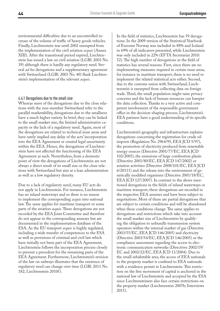environmental difficulties due to an uncontrolled increase of the volume of traffic of heavy goods vehicles. Finally, Liechtenstein was until 2002 exempted from the implementation of the civil aviation *acquis* (Annex XIII). After the transitional period expired, Liechtenstein has issued a law on civil aviation (LGBl. 2003 No. 39) although there is hardly any regulatory need. Several *ad hoc* derogations and a supplementary agreement with Switzerland (LGBl. 2003 No. 40) flank Liechtenstein's implementation of the relevant *acquis*.

#### 4.4.1 Derogations due to the small size

Whereas most of the derogations due to the close relations with the non-member Switzerland refer to the parallel marketability, derogations due to the smallness have a much higher variety. In brief, they can be linked to the small market size, the limited administrative capacity or the lack of a regulatory need. Again, most of the derogations are related to technical issue areas and have rarely implied any delay of the acts' incorporation into the EEA Agreement or created legal uncertainty within the EEA. Hence, the derogations of Liechtenstein have not affected the functioning of the EEA Agreement as such. Nevertheless, from a domestic point of view the derogations of Liechtenstein are not always a direct result of its small size or the close relations with Switzerland but aim at a lean administration as well as a low regulatory density.

Due to a lack of regulatory need, many EU acts do not apply in Liechtenstein. For instance, Liechtenstein has no inland waterways and so there is no reason to implement the corresponding *acquis* into national law. The same applies for maritime transport or some parts of the aviation *acquis*. These derogations are not recorded by the EEA Joint Committee and therefore do not appear in the corresponding annexes but are documented in the implementation database of the ESA. As the EU transport *acquis* is highly regulated, including a wide transfer of competences to the ESA as well as provisions of criminal and civil law which have initially not been part of the EEA Agreement, Liechtenstein follows the incorporation process closely to prevent a precedent for the remaining parts of the EEA Agreement. Furthermore, Liechtenstein's revision of the law on railways illustrates that the existence of regulatory need can change over time (LGBl. 2011 No. 182; Liechtenstein 2010f ).

In the field of statistics, Liechtenstein has 59 derogations. In the 2009 version of the Statistical Yearbook of Eurostat Norway was included in 88% and Iceland in 69% of all indicators presented, while Liechtenstein was only included in 22% (EFTA Secretariat 2010: 52). The high number of derogations in the field of statistics has several reasons. First, since there are no implementing measures required in certain issue areas, for instance in maritime transport, there is no need to implement the related statistical acts either. Second, due to the customs union with Switzerland, Liechtenstein is exempted from collecting data on foreign trade. Third, the small population might raise privacy concerns and the lack of human resources can hamper the data collection. Thanks to a very active and competent involvement of the responsible government office in the decision-shaping process, Liechtenstein's EEA partners have a good understanding of its specific conditions.

Liechtenstein's geography and infrastructure explains derogations concerning the registration for crude oil imports (Regulation No. 2964/95, EEA JCD 5/97), the promotion of electricity produced from renewable energy sources (Directive 2001/77/EC, EEA JCD 102/2005), the emissions of large combustion plants (Directive 2001/80/EC, EEA JCD 147/2002) or aviation activities (Directive 2008/101/EC, EEA JCD 6/20111) and the release into the environment of genetically modified organisms (Directive 2001/18/EC, EEA JCD 127/2007). In contrast to the above mentioned derogations in the fields of inland waterways or maritime transport, these derogations are recorded in the respective EEA annexes and have been subject to negotiations. Most of them are partial derogations that are subject to certain conditions and will be abandoned when these conditions change. The same applies to derogations and restrictions which take into account the small market size of Liechtenstein by qualifying the obligation to unbundle transmission system operators within the internal market of gas (Directive 2003/55/EC, EEA JCD 146/2005) and electricity (Directive 2003/54/EC, EEA JCD 146/2005) or the compliance assessment regarding the access to electronic communication networks (Directives 2002/19/ EC and 2002/22/EC, EEA JCD 11/2004). Due to the small inhabitable area, the access of EEA nationals to the property market is confined to EEA nationals with a residence permit in Liechtenstein. This restriction on the free movement of capital is anchored in the national law of Liechtenstein and accepted by the ESA since Liechtensteiners also face certain restrictions on the property market (Liechtenstein 2007b; Interviews 2011).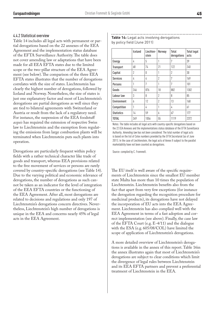#### 4.4.2 Statistical overview

Table 14 includes all legal acts with permanent or partial derogations based on the 22 annexes of the EEA Agreement and the implementation status database of the EFTA Surveillance Authority. The table does not cover amending law or adaptations that have been made for all EEA EFTA states due to the limited scope or the two-pillar structure of the EEA Agreement (see below). The comparison of the three EEA EFTA states illustrates that the number of derogations correlates with the size of states. Liechtenstein has clearly the highest number of derogations, followed by Iceland and Norway. Nonetheless, the size of states is just one explanatory factor and most of Liechtenstein's derogations are partial derogations as well since they are tied to bilateral agreements with Switzerland or Austria or result from the lack of a regulatory need. For instance, the suspension of the EEA foodstuff *acquis* has required the extension of respective Swiss law to Liechtenstein and the exemption from regulating the emissions from large combustion plants will be terminated when Liechtenstein puts such plants into operation.

Derogations are particularly frequent within policy fields with a rather technical character like trade of goods and transport, whereas EEA provisions related to the free movement of services or persons are rarely covered by country-specific derogations (see Table 14). Due to the varying political and economic relevance of derogations, the number of derogations as such cannot be taken as an indicator for the level of integration of the EEA EFTA countries or the functioning of the EEA Agreement. After all, most derogations are related to decisions and regulations and only 197 of Liechtenstein's derogations concern directives. Nevertheless, Liechtenstein's high number of derogations is unique in the EEA and concerns nearly 45% of legal acts in the EEA Agreement.

**Table 14:** Legal acts involving derogations by policy field (June 2011)

|                   | Iceland | Liechten-<br>stein | Norway         | Total<br>derogations | <b>Total legal</b><br>acts |
|-------------------|---------|--------------------|----------------|----------------------|----------------------------|
| Energy            | 4       | 5                  | 1              | 7                    | 39                         |
| <b>Transport</b>  | 68      | 74                 | 21             | 122                  | 240                        |
| Capital           | 2       | 0                  | 1              | $\overline{2}$       | 30                         |
| <b>Services</b>   | 4       | 4                  | $\overline{2}$ | 7                    | 169                        |
| Persons           | 1       | 7                  | 1              | 7                    | 101                        |
| Goods             | 246     | 876                | 18             | 882                  | 1302                       |
| Labour law        | 3       | 8                  | 2              | 8                    | 85                         |
| Environment       | 6       | 12                 | $\overline{2}$ | 13                   | 168                        |
| Competition       | 1       | 4                  | 1              | 4                    | 61                         |
| <b>Statistics</b> | 14      | 59                 | 6              | 67                   | 177                        |
| <b>TOTAL</b>      | 349     | 1056               | 55             | 1119                 | 2372                       |

Notes: The table includes all legal acts with country-specific derogations based on the 22 EEA Annexes and the implementations status database of the EFTA Surveillance Authority. Amending law has not been considered. The total number of legal acts is based on the list of Celex numbers provided by the EFTA Secretariat (as of June 2011). In the case of Liechtenstein, the legal acts of Annex II subject to the parallel marketability have not been counted as derogations.

Source: compiled by C. Frommelt.

The EU itself is well aware of the specific requirements of Liechtenstein since the smallest EU member state Malta has more than 10 times the population of Liechtenstein. Liechtenstein benefits also from the fact that apart from very few exceptions (for instance the derogation regarding the recognition procedure for medicinal products), its derogations have not delayed the incorporation of EU acts into the EEA Agreement. Liechtenstein has also complied well with the EEA Agreement in terms of a fast adoption and correct implementation (see above). Finally, the case law of the EFTA Court (e.g. E-4/11) and the dialogue with the ESA (e.g. 605/08/COL) have limited the scope of application of Liechtenstein's derogations.

A more detailed overview of Liechtenstein's derogations is available in the annex of this report. Table 16in the annex illustrates again that most of Liechtenstein's derogations are subject to clear conditions which limit the divergence of legal rules between Liechtenstein and its EEA EFTA partners and prevent a preferential treatment of Liechtenstein in the EEA.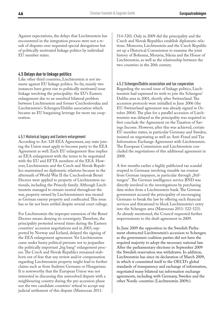Against expectations, the delays that Liechtenstein has encountered in the integration process were not a result of disputes over requested special derogations but of politically motivated linkage politics by individual EU member states.

#### **4.5 Delays due to linkage politics**

Like other third countries, Liechtenstein is not immune against EU linkage politics. So far, mainly two instances have given rise to politically motivated issue linkage involving the principality: the EU's Eastern enlargement due to an unsolved bilateral problem between Liechtenstein and former Czechoslovakia and Liechtenstein's Schengen/Dublin association which became an EU bargaining leverage for more tax cooperation.

#### 4.5.1 Historical legacy and Eastern enlargement

According to Art. 128 EEA Agreement, any state joining the Union must apply to become party to the EEA Agreement as well. Each EU enlargement thus implies an EEA enlargement with the terms to be negotiated with the EU and EFTA members of the EEA. However, Liechtenstein and the Czech and Slovak Republics maintained no diplomatic relations because in the aftermath of World War II the Czechoslovak Beneš Decrees were applied to property of Liechtenstein nationals, including the Princely family. Although Liechtenstein managed to remain neutral throughout the war, property owned by Liechtensteiners was treated as German enemy property and confiscated. This issue has so far not been settled despite several court rulings.

For Liechtenstein the improper extension of the Beneš Decrees means denying its sovereignty. Therefore, the principality protested several times during the Eastern countries' accession negotiations and in 2003, supported by Norway and Iceland, delayed the signing of the EEA enlargement agreement. Yet Liechtenstein came under heavy political pressure not to jeopardize the politically important "big bang" enlargement process. The Czech and Slovak Republics remained stubborn out of fear that any review and/or compensation regarding Liechtenstein property might lead to further claims such as from Sudeten Germans or Hungarians. It is noteworthy that the European Union was not interested in discussing this unresolved dispute with a neighbouring country during the pre-accession phase nor the two candidate countries' refusal to accept any judicial settlement of this dispute (Maresceau 2011:

514-520). Only in 2009 did the principality and the Czech and Slovak Republics establish diplomatic relations. Moreover, Liechtenstein and the Czech Republic set up a Historical Commission to examine the joint history of Bohemia, Moravia, Silesia and the House of Liechtenstein, as well as the relationship between the two countries in the 20th century.

#### 4.5.2 Schengen/Dublin association and tax cooperation

Regarding the second issue of linkage politics, Liechtenstein had expressed its wish to join the Schengen/ Dublin area in 2001, shortly after Switzerland. The accession protocols were initialled in June 2006 (the EU-Switzerland agreement was already signed in October 2004). The plan for a parallel accession of Liechtenstein was delayed as the principality was required to first conclude the Agreement on the Taxation of Savings Income. However, after this was achieved, certain EU member states, in particular Germany and Sweden, insisted on negotiating as well an Anti-Fraud and Tax Information Exchange Agreement with Liechtenstein. The European Commission and Liechtenstein concluded the negotiations of this additional agreement in 2008.

A few months earlier a highly publicized tax scandal erupted in Germany involving sizeable tax evasion from German taxpayers, in particular through "Stiftungen". The German intelligence service BND was directly involved in the investigations by purchasing data stolen from a Liechtenstein bank. The German government accused the principality of encouraging Germans to break the law by offering such financial services and threatened to block Liechtenstein's entry into the Schengen area (Maresceau 2011: 522-523). As already mentioned, the Council requested further improvements to the draft agreement in 2009.

In June 2009 the opposition in the Swedish Parliament obstructed Liechtenstein's accession to Schengen as the government coalition parties did not have the required majority to adopt the necessary national law. After the parliamentary elections in September 2009 the Swedish reservation was withdrawn. In addition, Liechtenstein has since its declaration of March 2009, in which it committed itself to the OECD's global standards of transparency and exchange of information, negotiated many bilateral tax information exchange agreements, including with Germany, Sweden and the other Nordic countries (Liechtenstein 2009c).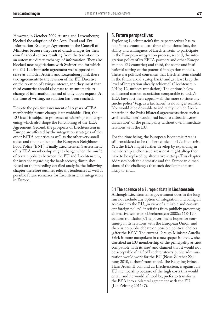However, in October 2009 Austria and Luxembourg blocked the adoption of the Anti-Fraud and Tax Information Exchange Agreement in the Council of Ministers because they feared disadvantages for their own financial centres resulting from the transition to an automatic direct exchange of information. They also blocked new negotiations with Switzerland for which the EU-Liechtenstein agreement was supposed to serve as a model. Austria and Luxembourg link these two agreements to the revision of the EU Directive on the taxation of savings interest, and they insist that third countries should also pass to an automatic exchange of information instead of only upon request. At the time of writing, no solution has been reached.

Despite the positive assessment of 16 years of EEA membership future change is unavoidable. First, the EU itself is subject to processes of widening and deepening which also shape the functioning of the EEA Agreement. Second, the prospects of Liechtenstein in Europe are affected by the integration strategies of the other EFTA countries as well as the other very small states and the members of the European Neighbourhood Policy (ENP). Finally, Liechtenstein's assessment of its EEA membership might change when the misfit of certain policies between the EU and Liechtenstein, for instance regarding the bank secrecy, diminishes. Based on the preceding detailed analysis, the following chapter therefore outlines relevant tendencies as well as possible future scenarios for Liechtenstein's integration in Europe.

## **5. Future perspectives**

Exploring Liechtenstein's future perspectives has to take into account at least three dimensions: first, the ability and willingness of Liechtenstein to participate in the European integration process; second, the integration policy of its EFTA partners and other European non-EU countries; and third, the scope and institutional setting of the potential integration models. There is a political consensus that Liechtenstein should in the future avoid a "step back" and "at least keep the level of integration already achieved" (Liechtenstein 2010g: 12, authors' translation). The options below an internal market association comparable to today's EEA have lost their appeal – all the more so since any "niche policy" (e.g. as a tax haven) is no longer realistic. Nor would it be desirable to indirectly include Liechtenstein in the Swiss bilateral agreements since such a "trilateralization" would lead back to a dreaded "mediatization" of the principality without own immediate relations with the EU.

For the time being, the European Economic Area is still considered to be the best choice for Liechtenstein. Yet, the EEA might further develop by expanding in membership and/or issue areas or it might altogether have to be replaced by alternative settings. This chapter addresses both the domestic and the European dimensions of the challenges that such developments are likely to entail.

#### **5.1 The absence of a Europe debate in Liechtenstein**

Although Liechtenstein's government does in the long run not exclude any option of integration, including an accession to the EU,  $\sin$  view of a reliable and consistent foreign policy", it refrains from publicly presenting alternative scenarios (Liechtenstein 2008a: 118-120, authors' translation). The government hopes for continuity in its relations with the European Union, and there is no public debate on possible political choices "after the EEA". The current Foreign Minister Aurelia Frick is more outspoken: in a newspaper interview she classified an EU membership of the principality as "not compatible with its size" and claimed that it would not be acceptable if half of Liechtenstein's public administration would work for the EU (Neue Zürcher Zeitung 2010, authors' translation). The Reigning Prince, Hans Adam II von und zu Liechtenstein, is against an EU membership because of the high costs this would entail, and he would, if need be, prefer to transform the EEA into a bilateral agreement with the EU (Lie:Zeitung 2011: 7).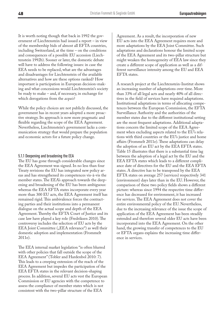It is worth noting though that back in 1992 the government of Liechtenstein had issued a report – in view of the membership bids of almost all EFTA countries, including Switzerland, at the time – on the conditions and consequences of a possible EU accession (Liechtenstein 1992b). Sooner or later, the domestic debate will have to address the following issues: in case the EEA needs to be replaced, what are the advantages and disadvantages for Liechtenstein of the available alternatives and how are these options ranked? How important is participation in European decision-making and what concessions would Liechtenstein's society be ready to make – and, if necessary, in exchange for which derogations from the *acquis*?

While the policy choices are not publicly discussed, the government has in recent years adopted a more proactive strategy. Its approach is now more pragmatic and flexible regarding the scope of the EEA Agreement. Nevertheless, Liechtenstein's government lacks a communication strategy that would prepare the population and economic actors for a future policy change.

#### 5.1.1 Deepening and broadening the EEA

The EU has gone through considerable changes since the EEA Agreement was signed. In no less than four Treaty revisions the EU has integrated new policy areas and has strengthened its competences vis-à-vis the member states. The EEA's approach towards the deepening and broadening of the EU has been ambiguous: whereas the EEA EFTA states incorporate every year more than 300 EU acts, the EEA Agreement itself has remained rigid. This ambivalence forces the contracting parties and their institutions into a permanent dialogue on the actual scope and depth of the EEA Agreement. Thereby the EFTA Court of Justice and its case law have played a key role (Fredriksen 2010). The controversy includes the selection of EU acts by the EEA Joint Committee ("EEA relevance") as well their domestic adoption and implementation (Frommelt 2011e).

The EEA internal market legislation "is often blurred with other policies that fall outside the scope of the EEA Agreement" (Tobler and Hardenbol 2010: 7). This leads to a creeping extension of the reach of the EEA Agreement but impedes the participation of the EEA EFTA states in the relevant decision-shaping process. In addition, several EU acts vest the European Commission or EU agencies with the competence to assess the compliance of member states which is not consistent with the two-pillar structure of the EEA

Agreement. As a result, the incorporation of new EU acts into the EEA Agreement requires more and more adaptations by the EEA Joint Committee. Such adaptations and declarations honour the limited scope of the EEA Agreement and its two-pillar structure but might weaken the homogeneity of EEA law since they create a different scope of application as well as a different surveillance intensity among the EU and EEA EFTA states.

A research project at the Liechtenstein-Institut shows an increasing number of adaptations over time. More than 33% of all legal acts and nearly 40% of all directives in the field of services have required adaptations. Institutional adaptations in terms of allocating competences between the European Commission, the EFTA Surveillance Authority and the authorities of the member states due to the different institutional setting are the most frequent adaptations. Additional adaptations concern the limited scope of the EEA Agreement when excluding aspects related to the EU's relations with third countries or the EU's justice and home affairs (Frommelt 2011e). These adaptations can delay the adoption of an EU act by the EEA EFTA states. Table 15 illustrates that there is a substantial time lag between the adoption of a legal act by the EU and the EEA EFTA states which leads to a different compliance date of directives for the EU and the EEA EFTA states. A directive has to be transposed by the EEA EFTA states on average 257 (services) respectively 341 (environment) days later than in the EU. However, the comparison of these two policy fields shows a different picture: whereas since 1994 the respective time difference has decreased for environment, it has increased for services. The EEA Agreement does not cover the entire environmental policy of the EU. Nevertheless, due to the increasing relevance of the issue the scope of application of the EEA Agreement has been steadily extended and therefore several older EU acts have been incorporated into the EEA Agreement. On the other hand, the growing transfer of competences to the EU or EFTA organs explains the increasing time difference in services.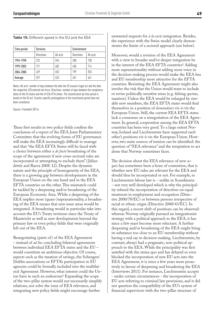| Time period | <b>Services</b>   |          | Environment       |          |  |
|-------------|-------------------|----------|-------------------|----------|--|
|             | <b>Directives</b> | All acts | <b>Directives</b> | All acts |  |
| 1994-1998   | 232               | 594      | 208               | 738      |  |
| 1999-2003   | 171               | 602      | 450               | 714      |  |
| 2004-2008   | 429               | 652      | 199               | 553      |  |
| Average     | 257               | 623      | 341               | 641      |  |

## **Table 15:** Different speed in the EU and the EEA

Notes: All acts: number of days between the date the EU issued a legal act and the date the respective JCD entered into force. Directives: number of days between the compliance dates of the EU states and the of EEA EFTA states. The classification by time period is based on the EU act. Country-specific prolongations of the transitional period have not been considered.

Source: Frommelt 2011e.

These first results in two policy fields confirm the conclusion of a report of the EEA Joint Parliamentary Committee that the evolving forms of EU governance will make the EEA increasingly difficult to manage and that "the EEA EFTA States will be faced with a choice between either a *de facto* broadening of the scope of the agreement if new cross-sectoral rules are incorporated or attempting to exclude them" ( Júlíusdóttir and Raeva 2008: 12). Despite the dynamic nature and the principle of homogeneity of the EEA, there is a growing gap between developments in the European Union on the one hand and in the EEA EFTA countries on the other. This mismatch could be tackled by a deepening and/or broadening of the European Economic Area. While a deepening of the EEA implies more (quasi-)supranationality, a broadening of the EEA means that new issue areas would be integrated. A broadening would in particular take into account the EU's Treaty revisions since the Treaty of Maastricht as well as new developments beyond the primary law or even policy fields that were originally left out of the EEA.

Renegotiating (parts of) of the EEA Agreement – instead of *ad hoc* concluding bilateral agreements between individual EEA EFTA states and the EU – would constitute an ambitious objective. Of course, aspects such as the taxation of savings, the Schengen/ Dublin associations or EFTA's participation in EU agencies could be formally included into the multilateral Agreement. However, what interest could the Union have in such an endeavour? Expanding the scope of the two-pillar system would not necessarily simplify relations, nor solve the issue of EEA relevance, and integrating new policy fields might encourage further

unwanted requests for *à la carte* integration. Besides, the experience with the Swiss model clearly demonstrates the limits of a sectoral approach (see below).

Moreover, would a revision of the EEA Agreement with a view to broader and/or deeper integration be in the interest of the EEA EFTA countries? Adding more supranationality without adding more voice in the decision-making process would make the EEA less and EU membership more attractive for the EFTA countries. Revisiting the EEA Agreement might also involve the risk that the Union would want to include or revise politically sensitive areas (e.g. fishing quotas, taxation). Unless the EEA would be enlarged by sizeable new members, the EEA EFTA states would find themselves in a position of *demandeurs* vis-à-vis the European Union. Still, the current EEA EFTA states lack a consensus on a renegotiation of the EEA Agreement. In general, cooperation among the EEA EFTA countries has been very good. To a large extent Norway, Iceland and Liechtenstein have supported each other's positions vis-à-vis the European Union. However, two main sources of tension can be identified: the question of "EEA relevance" and the temptation to act alone that Norway sometimes faces.

The decision about the EEA relevance of new *acquis* has sometimes been a bone of contention, that is whether new EU rules are relevant for the EEA and should thus be incorporated or not. For example, in Liechtenstein labour law is − unlike in Scandinavia − not very well developed which is why the principality refused the incorporation of directives on equal treatment in employment and occupation (Directive 2000/78/EC) or between persons irrespective of racial or ethnic origin (Directive 2000/43/EC). In this regard, a recent shift of positions can be observed: whereas Norway originally pursued an integrationist strategy with a political approach to the EEA, it has since a few years become more reluctant. A further deepening and/or broadening of the EEA might bring its substance too close to an EU membership without having a real say in decision-making. Liechtenstein, by contrast, always had a pragmatic, non-political approach to the EEA. While the principality was first satisfied with the status quo and has delayed or even blocked the incorporation of new EU acts into the EEA Agreement, it is since a few years more proactively in favour of deepening and broadening the EEA (Interviews 2011). For instance, Liechtenstein accepts - under certain circumstances - the incorporation of EU acts referring to criminal law provisions, and it did not question the compatibility of the EU's system of financial supervisors with the two-pillar structure of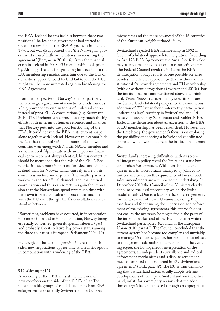the EEA. Iceland locates itself in between these two positions. The Icelandic government had started to press for a revision of the EEA Agreement in the late 1990s, but was disappointed that "the Norwegian government showed little or no interest in revisiting the agreement" (Bergmann 2010: 16). After the financial crash in Iceland in 2008, EU membership took priority. Although Iceland is negotiating its accession to the EU, membership remains uncertain due to the lack of domestic support. Should Iceland fail to join the EU, it might well be more interested again in broadening the EEA Agreement.

From the perspective of Norway's smaller partners, the Norwegian government sometimes tends towards a "big power behaviour" in terms of unilateral action instead of prior EFTA consultations (e.g. Bergmann 2010: 17). Liechtenstein appreciates very much the big efforts, both in terms of human resources and finances that Norway puts into the good functioning of the EEA. It could not run the EEA in its current shape alone together with Iceland. However, this cannot hide the fact that the focal points of interest of the two countries – an energy-rich Nordic NATO member and a small neutral Alpine state with an important financial centre – are not always identical. In this context, it should be mentioned that the role of the EFTA Secretariat is much more important for Liechtenstein and Iceland than for Norway which can rely more on its own infrastructure and expertise. The smaller partners work with shorter official channels and less internal coordination and thus can sometimes gain the impression that the Norwegians spend first much time with their own internal consultation procedures and then with the EU, even though EFTA consultations are to stand in between.

"Sometimes, problems have occurred, in incorporation, in transposition and in implementation, Norway being especially concerned, given its special interests (gas) and probably also its relative 'big power' status among the three countries" (European Parliament 2004: 10).

Hence, given the lack of a genuine interest on both sides, new negotiations appear only as a realistic option in combination with a widening of the EEA.

#### 5.1.2 Widening the EEA

A widening of the EEA aims at the inclusion of new members on the side of the EFTA pillar. The most plausible groups of candidates for such an EEA enlargement are currently Switzerland, the European

microstates and the more advanced of the 16 countries of the European Neighbourhood Policy.

Switzerland rejected EEA membership in 1992 in favour of a bilateral approach to integration. According to Art. 128 EEA Agreement, the Swiss Confederation may at any time apply to become a contracting party. The Federal Council regularly includes the EEA in its integration policy reports as one possible scenario besides the bilateral approach (with or without an institutional framework agreement) and EU membership (with or without derogations) (Switzerland 2010a). For the institutional reasons mentioned above, the think tank *Avenir Suisse* in a recent study sees little future for Switzerland's bilateral policy since the continuous adoption of EU law without noteworthy participation undermines legal certainty in Switzerland and ultimately its sovereignty (Gentinetta and Kohler 2010). Instead, the discussion about an accession to the EEA or EU membership has been relaunched. However, for the time being, the government's focus is on exploring the possibility of adopting a holistic and coordinated approach which would address the institutional dimension.

Switzerland's increasing difficulties with its sectoral integration policy reveal the limits of a static but comprehensive approach. With over 100 bilateral agreements in place, usually managed by joint committees and based on the equivalence of laws of both sides, amendments are a cumbersome undertaking. In December 2010 the Council of the Ministers clearly denounced the legal uncertainty which the Swiss model entails: "Due to a lack of efficient arrangements for the take-over of new EU *acquis* including ECJ case-law, and for ensuring the supervision and enforcement of the existing agreements, this approach does not ensure the necessary homogeneity in the parts of the internal market and of the EU policies in which Switzerland participates" (Council of the European Union 2010: para 42). The Council concluded that the current system had become too complex and unwieldy to manage. "As a consequence, horizontal issues related to the dynamic adaptation of agreements to the evolving *acquis*, the homogeneous interpretation of the agreements, an independent surveillance and judicial enforcement mechanisms and a dispute settlement mechanism need to be reflected in EU-Switzerland agreements" (ibid.: para 48). The EU is thus demanding that Switzerland automatically adopts relevant developments of the *acquis*. Switzerland, on the other hand, insists for sovereignty reasons that the adoption of *acquis* be compensated through an appropriate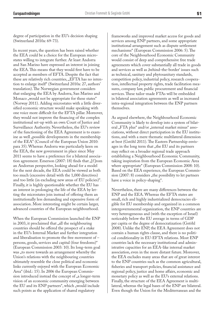degree of participation in the EU's decision shaping (Switzerland 2010a: 69-73).

In recent years, the question has been raised whether the EEA could be a choice for the European microstates willing to integrate further. At least Andorra and San Marino have expressed an interest in joining the EEA. This means that they would first have to be accepted as members of EFTA. Despite the fact that these are relatively rich countries, "EFTA has no intention to enlarge itself" (Switzerland 2010a: 27, authors' translation). The Norwegian government considers that enlarging the EEA by Andorra, San Marino and Monaco "would not be appropriate for these states" (Norway 2011). Adding microstates with a little diversified economic structure would make speaking with one voice more difficult for the EFTA pillar. Moreover, they would not improve the financing of the complex institutional set-up with an own Court of Justice and Surveillance Authority. Nevertheless, the EU's review of the functioning of the EEA Agreement is to examine as well "possible developments in the membership of the EEA" (Council of the European Union 2010: para 35). Whereas Andorra was particularly keen on the EEA, the new government in place since May 2011 seems to have a preference for a bilateral association agreement. Emerson  $(2007:18)$  finds that "[f] rom an Andorran perspective, looking ahead for a model for the next decade, the EEA could be viewed as both too much (excessive detail with the 1,000 directives) and too little (in excluding new areas of EU policies)". Finally, it is highly questionable whether the EU has an interest in prolonging the life of the EEA by letting the microstates join instead of offering them an institutionally less demanding and expensive form of association. More interesting might be certain larger, advanced countries of the European neighbourhood.

When the European Commission launched the ENP in 2003, it proclaimed that "all the neighbouring countries should be offered the prospect of a stake in the EU's Internal Market and further integration and liberalisation to promote the free movement of – persons, goods, services and capital (four freedoms)" (European Commission 2003: 10). Its long-term goal was "to move towards an arrangement whereby the Union's relations with the neighbouring countries ultimately resemble the close political and economic links currently enjoyed with the European Economic Area" (ibid.: 15). In 2006 the European Commission introduced instead the concept of "a longer-term vision of an economic community emerging between the EU and its ENP partners", which "would include such points as the application of shared regulatory

frameworks and improved market access for goods and services among ENP partners, and some appropriate institutional arrangement such as dispute settlement mechanisms" (European Commission 2006: 5). The core of the Neighbourhood Economic Community would consist of deep and comprehensive free trade agreements which cover substantially all trade in goods and services as well as , behind-the-border' issues such as technical, sanitary and phytosanitary standards, competition policy, industrial policy, research cooperation, intellectual property rights, trade facilitation measures, company law, public procurement and financial services. These tailor-made FTAs will be embedded in bilateral association agreements as well as increased intra-regional integration between the ENP partners themselves.

As argued elsewhere, the Neighbourhood Economic Community is likely to develop into a system of bilateral "FTA plus" and/or "internal market minus" associations, without direct participation in the EU institutions, and with a mere thematic multilateral dimension at best (Gstöhl 2011). The Eastern Partnership envisages in the long term that "the EU and its partners may reflect on a broader regional trade approach establishing a Neighbourhood Economic Community, taking inspiration from the European Economic Area where appropriate" (European Commission 2008: 10). Based on the EEA experience, the European Commission  $(2007: 8)$  considers "the possibility to let partners have a voice in policy-shaping".

Nevertheless, there are many differences between the ENP and the EEA. Whereas the EFTA states are small, rich and highly industrialized democracies eligible for EU membership and organized in a common intergovernmental organization, the ENP countries are very heterogeneous and (with the exception of Israel) noticeably below the EU average in terms of GDP per capita or the degree of democratization (Gstöhl 2008). Unlike the ENP, the EEA Agreement does not contain a human rights clause, and there is no political conditionality in EU-EFTA relations. Most ENP countries lack the necessary institutional and administrative capacities for an EEA-like internal market association, even in the more distant future. Moreover, the EEA excludes many areas that are of great interest to the ENP countries such as the common agricultural, fisheries and transport policies, financial assistance and regional policy, justice and home affairs, economic and monetary policy as well as the EU's external relations. Finally, the structure of the EEA Agreement is multilateral, whereas the legal bases of the ENP are bilateral. Even though the Union for the Mediterranean and the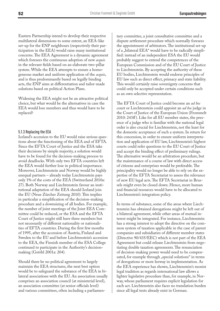Eastern Partnership intend to develop their respective multilateral dimensions to some extent, an EEA-like set-up for the ENP neighbours (respectively their participation in the EEA) would raise many institutional concerns. The EEA Agreement is a dynamic agreement which foresees the continuous adoption of new *acquis* in the relevant fields based on an elaborate two-pillar system. While the EEA attempts to ensure a homogeneous market and uniform application of the *acquis*, and is thus predominantly based on legally binding acts, the ENP aims at differentiation and tailor-made solutions based on political Action Plans.

Widening the EEA might not be an attractive political choice, but what would be the alternatives in case the EEA would lose members and thus would have to be replaced?

#### 5.1.3 Replacing the EEA

Iceland's accession to the EU would raise serious questions about the functioning of the EEA and of EFTA. Since the EFTA Court of Justice and the ESA take their decisions by simple majority, a solution would have to be found for the decision-making process to avoid deadlocks. With only two EFTA countries left the EEA would further lose in political importance. Moreover, Liechtenstein and Norway would be highly unequal partners – already today Liechtenstein pays only 1% of the costs of the EEA (Switzerland 2010a: 27). Both Norway and Liechtenstein favour an institutional adaptation of the EEA should Iceland join the EU (Neue Zürcher Zeitung 2010). This implies in particular a simplification of the decision-making procedure and a downsizing of all bodies. For example, the number of joint meetings of the Joint EEA Committee could be reduced, or the ESA and the EFTA Court of Justice might still have three members but not necessarily of different nationality or nationalities of EFTA countries. During the first few months of 1995, after the accession of Austria, Finland and Sweden to the EU and before Liechtenstein's accession to the EEA, the Finnish member of the ESA College continued to participate in the Authority's decisionmaking (Gstöhl 2001a: 204).

Should there be no political agreement to largely maintain the EEA structures, the next best option would be to safeguard the substance of the EEA in bilateral associations with the EU. An association usually comprises an association council (at ministerial level), an association committee (at senior officials level) and various committees, often including a parliamentary committee, a joint consultative committee and a dispute settlement procedure which normally foresees the appointment of arbitrators. The institutional set-up of a "bilateral EEA" would have to be radically simplified: instead of an independent ESA the EU would probably suggest to extend the competences of the European Commission and of the EU Court of Justice to Liechtenstein. By accepting the authority of these EU bodies, Liechtenstein would endorse principles of EU law such as direct effect, primacy and state liability. This would certainly raise sovereignty concerns that could only be accepted under certain conditions such as an own selective representation.

The EFTA Court of Justice could become an *ad hoc* court or Liechtenstein could appoint an *ad hoc* judge in the Court of Justice of the European Union (Frommelt 2010: 243ff ). Like for all EU member states, the presence of a judge who is familiar with the national legal order is also crucial for Liechtenstein, not the least for the domestic acceptance of such a system. In return for this concession, in order to ensure uniform interpretation and application of EU law, Liechtenstein's highest courts could refer questions to the EU Court of Justice and accept the binding effect of preliminary rulings. The alternative would be an arbitration procedure, but the maintenance of a course of law with direct access of citizens and enterprises would be preferable. The principality would no longer be able to rely on the expertise of the EFTA Secretariat to assess the relevance of new EU legal acts. The EFTA Secretariat in Brussels might even be closed down. Hence, more human and financial resources would have to be allocated to Liechtenstein's integration policy.

In terms of substance, some of the areas where Liechtenstein has obtained derogations might be left out of a bilateral agreement, while other areas of mutual interest might be integrated. For instance, Liechtenstein has a strong interest to adopt the directive on the common system of taxation applicable in the case of parent companies and subsidiaries of different member states (Directive 90/435/EEC) which is not part of the EEA Agreement but could release Liechtenstein from negotiating double taxation agreements. The renunciation of decision-making power would need to be compensated, for example through "special solutions" in terms of derogations or more leeway in implementation. As the EEA experience has shown, Liechtenstein's monist legal tradition as regards international law allows a lighter legislative procedure than, for example, in Norway, whose parliament requires explicit legislation for each act. Liechtenstein also faces no translation burden since all legal texts already exist in German.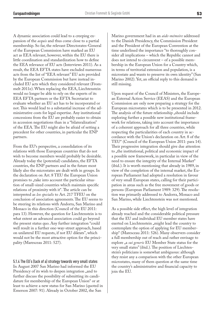A dynamic association could lead to a creeping expansion of the *acquis* and thus come close to a partial membership. So far, the relevant Directorates-General of the European Commission have marked an EU act as EEA relevant, however, within the EU there is little coordination and standardization how to define the EEA relevance of EU acts (Interviews 2011). As a result, the EEA EFTA states have excluded numerous acts from the list of "EEA relevant" EU acts provided by the European Commission but have instead included EU acts which they considered relevant (Frommelt 2011e). When replacing the EEA, Liechtenstein would no longer be able to rely on the experts of its EEA EFTA partners or the EFTA Secretariat to evaluate whether an EU act has to be incorporated or not. This would lead to a substantial increase of the administrative costs for legal expertise. Any institutional concessions from the EU are probably easier to obtain in accession negotiations than in a "bilateralization" of the EEA. The EU might also be afraid of setting a precedent for other countries, in particular the ENP partners.

From the EU's perspective, a consolidation of its relations with those European countries that do not wish to become members would probably be desirable. Already today the (potential) candidates, the EFTA countries, the ENP partners and in the future most likely also the microstates are dealt with in groups. In the declaration on Art. 8 TEU the European Union promises to "take into account the particular situation of small-sized countries which maintain specific relations of proximity with it". The article can be interpreted as *lex specialis* to Art. 217 TFEU on the conclusion of association agreements. The EU seems to be steering its relations with Andorra, San Marino and Monaco in this direction (Council of the EU 2011: para 13). However, the question for Liechtenstein is to what extent an advanced association could go beyond the present status quo. Any further integration "could well result in a further one-way-street approach, based on unilateral EU requests, if not EU diktats", which would not be the most attractive option for the principality (Maresceau 2011: 527).

5.1.4 The EU's (lack of a) strategy towards very small states

In August 2007 San Marino had informed the EU Presidency of its wish to deepen integration "and to further discuss the possibility of submitting its candidature for membership of the European Union" or at least to achieve a new status for San Marino (quoted in Emerson 2007: 91). Already in October 2002, the San

Marino government had in an *aide-mémoire* addressed to the Danish Presidency, the Commission President and the President of the European Convention at the time underlined the importance "to thoroughly consider all implications – which the Republic cannot and does not intend to circumvent – of a possible membership in the European Union for a Country which, in terms of territorial extension and population, is a microstate and wants to preserve its own identity" (San Marino 2002). Yet, an official reply to this demand is still missing.

Upon request of the Council of Ministers, the European External Action Service (EEAS) and the European Commission are only now preparing a strategy for the European microstates which is to be presented in 2012. The analysis of the future relationship "should include exploring further a possible new institutional framework for relations, taking into account the importance of a coherent approach for all three countries, while respecting the particularities of each country in accordance with the Union's declaration on Art. 8 of the TEU" (Council of the European Union 2011: para 14). Their progressive integration should give due attention to "the institutional, political and economic impact of a possible new framework, in particular in view of the need to ensure the integrity of the Internal Market" (ibid.). It is worth mentioning that already in 1989, in view of the completion of the internal market, the European Parliament had adopted a resolution in favour of very small European states, calling for their participation in areas such as the free movement of goods or persons (European Parliament 1989: 329). The resolution was primarily addressed to Andorra, Monaco and San Marino, while Liechtenstein was not mentioned.

As a possible side effect, the high level of integration already reached and the considerable political pressure that the EU and individual EU member states have exerted on Liechtenstein "might lead the country to contemplate the option of applying for EU membership" (Maresceau 2011: 526). Many observers consider a full membership out of reach and rather envisage to explore "a *sui generis* EU Member State status for the very small states" (ibid.). The position of Liechtenstein's politicians is somewhat ambiguous: although they resist any a comparison with the other European microstates, many of them question at the same time the country's administrative and financial capacity to join the EU.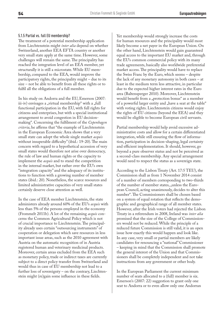#### 5.1.5 Partial vs. full EU membership?

The treatment of a potential membership application from Liechtenstein might *inter alia* depend on whether Switzerland, another EEA EFTA country or another very small state apply at the same time. However, some challenges will remain the same. The principality has reached the integration level of an EEA member, yet structurally it is still a microstate. While EU membership, compared to the EEA, would improve the participatory rights, the principality might – due to its size – not be able to benefit from all these rights or to fulfil all the obligations of a full member.

In his study on Andorra and the EU, Emerson (2007: iii-iv) envisages a "virtual membership" with a "full functional participation in the EU, with full rights for citizens and enterprises, but with a special institutional arrangement to avoid congestion in EU decisionmaking". Concerning the fulfilment of the *Copenhagen criteria*, he affirms that "the example of Liechtenstein in the European Economic Area shows that a very small state can adopt the whole single market *acquis* without insuperable difficulty" (ibid.: 19-20). The main concern with regard to a hypothetical accession of very small states would therefore not arise over democracy, the rule of law and human rights or the capacity to implement the *acquis* and to stand the competition in the internal market, but rather over the EU's own "integration capacity" and the adequacy of its institutions to function with a growing number of member states (ibid.: 20). Nonetheless, the scarce resources and limited administrative capacities of very small states certainly deserve close attention as well.

In the case of EEA member Liechtenstein, the state administers already around 60% of the EU's *acquis* with less than 5% of the persons employed in the economy (Frommelt 2011b). A lot of the remaining *acquis* concerns the Common Agricultural Policy which is not of crucial importance to Liechtenstein. The principality already uses certain "outsourcing instruments" of cooperation or delegation which save resources in less important issue areas, such as the 2010 agreement with Austria on the automatic recognition of in Austria registered human and veterinary medicinal products. Moreover, certain areas excluded from the EEA such as monetary policy, trade or indirect taxes are currently subject to a direct policy transfer from Switzerland and would thus in case of EU membership not lead to a further loss of sovereignty – on the contrary, Liechtenstein might (re)gain some influence in these fields.

Yet membership would strongly increase the costs for human resources and the principality would most likely become a net payer in the European Union. On the other hand, Liechtenstein would gain guaranteed equal access to the important EU market and, through the EU's common commercial policy with its many trade agreements, basically also worldwide preferential market access. The principality would have to replace the Swiss Franc by the Euro, which seems – despite the lack of any monetary autonomy in both cases – at least in the medium term less attractive, in particular due to the expected higher interest rates in the Euro area (Baltensperger 2010). Moreover, Liechtenstein would benefit from a "protection bonus" as a member of a powerful larger entity and "have a seat at the table" with voting rights. Liechtenstein citizens would enjoy the rights of EU citizens (beyond the EEA) and they would be eligible to become European civil servants.

Partial membership would help avoid excessive administrative costs and allow for a certain differentiated integration, while still ensuring the flow of information, participation in decision-shaping, legal certainty and efficient implementation. It should, however, go beyond a pure observer status and not be perceived as a second-class membership. Any special arrangement would need to respect the status as a sovereign state.

According to the Lisbon Treaty (Art. 17:5 TEU), the Commission shall as from 1 November 2014 consist of a number of members corresponding to two-thirds of the number of member states, "unless the European Council, acting unanimously, decides to alter this number". The Commissioners shall be chosen based on a system of equal rotation that reflects the demographic and geographical range of all member states. However, after the Irish voters had rejected the Lisbon Treaty in a referendum in 2008, Ireland was *inter alia* promised that the size of the College of Commissioners would not be reduced. While the principle of a reduced future Commission is still valid, it is an open issue how exactly this would happen and look like. In any case, very small or partial members are likely candidates for renouncing a "national" Commissioner – keeping in mind that the Commission shall promote the general interest of the Union and that Commissioners shall be completely independent and not take instructions from any government or other body.

In the European Parliament the current minimum number of seats allocated to a (full) member is six. Emerson's (2007: 22) suggestion to grant only one seat to Andorra or to even allow only one Andorran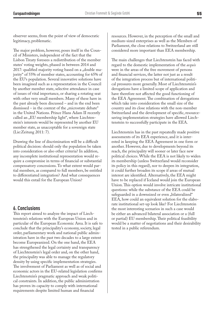observer seems, from the point of view of democratic legitimacy, problematic.

The major problem, however, poses itself in the Council of Ministers, independent of the fact that the Lisbon Treaty foresees a redistribution of the member states' voting weights, phased in between 2014 and 2017: qualified majority voting based on a "double majority" of 55% of member states, accounting for 65% of the EU's population. Several innovative solutions have been imagined such as a representation in the Council by another member state, selective attendance in case of issues of vital importance, or sharing a rotating seat with other very small members. Many of these have in the past already been discussed – and in the end been dismissed – in the context of the "microstate debate" in the United Nations. Prince Hans Adam II recently called an "EU membership light", where Liechtenstein's interests would be represented by another EU member state, as unacceptable for a sovereign state (Lie:Zeitung 2011: 7).

Drawing the line of discrimination will be a difficult political decision: should only the population be taken into consideration or also other criteria? In addition, any incomplete institutional representation would require a compromise in terms of financial or substantial compensatory concessions. To what extent would partial members, as compared to full members, be entitled to differentiated integration? And what consequences would this entail for the European Union?

#### **6. Conclusions**

This report aimed to analyze the impact of Liechtenstein's relations with the European Union and in particular of the European Economic Area. It is safe to conclude that the principality's economy, society, legal order, parliamentary work and national public administration have in the past two decades to a large extent become Europeanized. On the one hand, the EEA has strengthened the legal certainty and transparency of Liechtenstein's legal order and, on the other hand, the principality was able to manage the regulatory density by using specific implementation strategies. The involvement of Parliament as well as of social and economic actors in the EU-related legislation confirms Liechtenstein's pragmatic approach and weak political constraints. In addition, the public administration has proven its capacity to comply with international requirements despite limited human and financial

resources. However, in the perception of the small and medium-sized enterprises as well as the Members of Parliament, the close relations to Switzerland are still considered more important than EEA membership.

The main challenges that Liechtenstein has faced with regard to the domestic implementation of the *acquis* were in the areas of the free movement of persons and financial services, the latter not just as a result of the integration process but of international political pressures more generally. Most of Liechtenstein's derogations have a limited scope of application and have therefore not affected the good functioning of the EEA Agreement. The combination of derogations which take into consideration the small size of the country and its close relations with the non-member Switzerland and the development of specific, resourcesaving implementation strategies have allowed Liechtenstein to successfully participate in the EEA.

Liechtenstein has in the past repeatedly made positive assessments of its EEA experience, and it is interested in keeping the EEA Agreement in one form or another. However, due to developments beyond its reach, the principality will sooner or later face new political choices. While the EEA is not likely to widen its membership (unless Switzerland would reconsider its policy in this regard), nor to deepen its integration, it could further broaden its scope if areas of mutual interest are identified. Alternatively, the EEA might have to be replaced if Iceland would join the European Union. This option would involve intricate institutional questions: while the substance of the EEA could be safeguarded in a downsized or even "bilateralized" EEA, how could an equivalent solution for the elaborate institutional set-up look like? For Liechtenstein the most interesting scenarios in such a case would be either an advanced bilateral association or a (full or partial) EU membership. Their political feasibility would be a matter of negotiations and their desirability tested in a public referendum.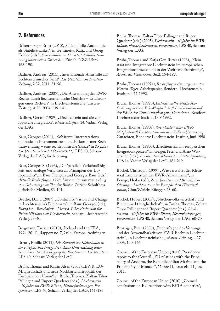## **7. References**

Baltensperger, Ernst (2010), "Geldpolitik: Autonomie als Stabilitätsanker", in Gentinetta, Katja and Georg Kohler (eds.), *Souveränität im Härtetest, Selbstbestimmung unter neuen Vorzeichen*, Zürich: NZZ Libro, 163-190.

Batliner, Andreas (2011), "Internationale Amtshilfe aus liechtensteinischer Sicht", *Liechtensteinische Juristen-Zeitung*, 2:32, 2011, 51-56.

Batliner, Andreas (2005), "Die Anwendung des EWR-Rechts durch liechtensteinische Gerichte – Erfahrungen eines Richters" in Liechtensteinische Juristen-Zeitung, 4:25, 2004, 139-141.

Batliner, Gerard (1989), "Liechtenstein und die europäische Integration", *Kleine Schriften*, 14, Vaduz: Verlag der LAG.

Baur, Georges (2011), "Kohärente Interpretationsmethode als Instrument europarechtskonformer Rechtsanwendung – eine rechtspolitische Skizze" in *25 Jahre Liechtenstein-Institut (1986-2011)*, LPS 50, Schaan: Verlag der LAG, forthcoming.

Baur, Georges S. (1996), "Die 'parallele Verkehrsfähigkeit' und analoge Verfahren als Prinzipien des Europarechts", in Baur, François and Georges Baur (eds.), *Aktuelle Rechtsfragen 1996. Liber amicorum zum sechzigsten Geburtstag von Theodor Bühler*, Zürich: Schulthess Juristische Medien, 83-101.

Beattie, David (2007), "Continuity, Vision and Change in Liechtenstein's Diplomacy", in Baur, Georges (ed.), *Europäer – Botschafter – Mensch. Liber Amicorum für Prinz Nikolaus von Liechtenstein*, Schaan: Liechtenstein Verlag, 23-40.

Bergmann, Eiríkur (2010), "Iceland and the EEA, 1994-2011", Rapport no. 7, Oslo: Europautredningen.

Breuss, Emilia (2011), *Die Zukunft des Kleinstaates in der europäischen Integration: Eine Untersuchung unter besonderer Berücksichtigung des Fürstentums Liechtenstein*, LPS 49, Schaan: Verlag der LAG.

Bruha, Thomas and Katrin Alsen (2005), "EWR, EU-Mitgliedschaft und neue Nachbarschaftspolitik der Europäischen Union", in Bruha, Thomas, Zoltán Tibor Pállinger und Rupert Quaderer (eds.), *Liechtenstein - 10 Jahre im EWR: Bilanz, Herausforderungen, Perspektiven*, LPS 40, Schaan: Verlag der LAG, 161-186.

Bruha, Thomas, Zoltán Tibor Pállinger and Rupert Quaderer (eds.) (2005), *Liechtenstein - 10 Jahre im EWR: Bilanz, Herausforderungen, Perspektiven*, LPS 40, Schaan: Verlag der LAG.

Bruha, Thomas and Katja Gey-Ritter (1998), "Kleinstaat und Integration: Liechtenstein im europäischen Integrationsprozess und in der Welthandelsordnung", *Archiv des Völkerrechts*, 36:2, 154-187.

Bruha, Thomas (1992a), *Rechtsfragen eines sogenannten Vierten Weges,* Arbeitspapier, Bendern: Liechtenstein-Institut, 4.11.1992.

Bruha, Thomas (1992b), *Institutionellrechtliche Anforderungen einer EG-Mitgliedschaft Liechtensteins auf der Ebene der Gemeinschaftsorgane*, Gutachten, Bendern: Liechtenstein-Institut, 13.8.1992.

Bruha, Thomas (1990a), *Vereinbarkeit einer EWR-Mitgliedschaft Liechtensteins mit dem Zollanschlussvertrag*, Gutachten, Bendern: Liechtenstein-Institut, Juni 1990.

Bruha, Thomas (1990b), "Liechtenstein im europäischen Integrationsprozess", in Geiger, Peter and Arno Waschkuhn (eds.), *Liechtenstein: Kleinheit und Interdependenz*, LPS 14, Vaduz: Verlag der LAG, 181-219.

Büchel, Christoph (1999), "Wie verwaltet der Kleinstaat Liechtenstein das EWR-Abkommen?", in Prange, Heiko (ed.), *Zwischen Bern und Brüssel, Erfahrungen Liechtensteins im Europäischen Wirtschaftsraum*, Chur/Zürich: Rüegger, 23-60.

Büchel, Hubert (2005), "'Nischenvolkswirtschaft' und Binnenmarktmitgliedschaft", in Bruha, Thomas, Zoltán Tibor Pállinger and Rupert Quaderer (eds.), *Liechtenstein - 10 Jahre im EWR: Bilanz, Herausforderungen, Perspektiven*, LPS 40, Schaan: Verlag der LAG, 60-70.

Bussjäger, Peter (2006), "Rechtsfragen des Vorrangs und der Anwendbarkeit von EWR-Recht in Liechtenstein", in Liechtensteinische Juristen-Zeitung, 4:27, 2006, 140-146.

Council of the European Union (2011), Presidency report to the Council, "EU relations with the Principality of Andorra, the Republic of San Marino and the Principality of Monaco", 11466/11, Brussels, 14 June 2011.

Council of the European Union (2010), "Council conclusions on EU relations with EFTA countries",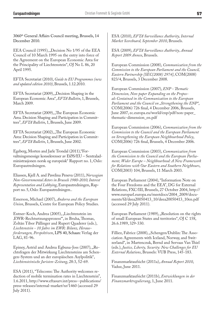3060<sup>th</sup> General Affairs Council meeting, Brussels, 14 December 2010.

EEA Council (1995), "Decision No 1/95 of the EEA Council of 10 March 1995 on the entry into force of the Agreement on the European Economic Area for the Principality of Liechtenstein", OJ No L 86, 20 April 1995.

EFTA Secretariat (2010), *Guide to EU Programmes (new and updated edition 2010)*, Brussels, 1.12.2010.

EFTA Secretariat (2009), "Decision Shaping in the European Economic Area", *EFTA Bulletin*, 1, Brussels, March 2009.

EFTA Secretariat (2009), "The European Economic Area. Decision Shaping and Participation in Committees", *EFTA Bulletin*, 1, Brussels, June 2009.

EFTA Secretariat (2002), The European Economic Area: Decision Shaping and Participation in Committees", *EFTA Bulletin*, 1, Brussels, June 2002.

Egeberg, Morten and Jarle Trondal (2011),"Forvaltningsmessige konsekvenser av EØS/EU – Sentraladministrasjonen norsk og europeisk" Rapport no. 1, Oslo: Europautredningen.

Eliassen, Kjell A. and Pavelina Peneva (2011), *Norwegian Non-Governmental Actors in Brussels 1980-2010, Interest Representation and Lobbying*, Europautredningen, Rapport no. 5, Oslo: Europautredningen..

Emerson, Michael (2007), *Andorra and the European Union*, Brussels, Centre for European Policy Studies.

Entner-Koch, Andrea (2005), "Liechtenstein im 'EWR-Rechtsetzungsprozess'", in Bruha, Thomas, Zoltán Tibor Pállinger and Rupert Quaderer (eds.), *Liechtenstein - 10 Jahre im EWR: Bilanz, Herausforderungen, Perspektiven*, LPS 40, Schaan: Verlag der LAG, 81-96.

Epiney, Astrid and Andrea Egbuna-Joss (2007), "Rechtsfragen der Mitwirkung Liechtensteins am Schengen-System und an der europäischen Asylpolitik", *Liechtensteinische Juristen-Zeitung*, 28:3, 52-69.

ESA (2011), "Telecoms: The Authority welcomes reduction of mobile termination rates in Liechtenstein", 1.6.2011, http://www.eftasurv.int/press--publications/ press-releases/internal-market/nr/1460 (accessed 29 July 2011).

ESA (2010), *EFTA Surveillance Authority, Internal Market Scoreboard, September 2010*, Brussels.

ESA (2009), *EFTA Surveillance Authority, Annual Report 2009 Annex*, Brussels.

European Commission (2008), *Communication from the Commission to the European Parliament and the Council, Eastern Partnership {SEC(2008) 2974}*, COM(2008) 823/4, Brussels, 3 December 2008.

European Commission (2007), *ENP - Thematic Dimension, Non-paper Expanding on the Proposals Contained in the Communication to the European Parliament and the Council on "Strengthening the ENP"*, COM(2006) 726 final, 4 December 2006, Brussels, June 2007, ec.europa.eu/world/enp/pdf/non-paper\_ thematic-dimension\_en.pdf

European Commission (2006), *Communication from the Commission to the Council and the European Parliament on Strengthening the European Neighbourhood Policy*, COM(2006) 726 final, Brussels, 4 December 2006.

European Commission (2003), *Communication from the Commission to the Council and the European Parliament, Wider Europe – Neighbourhood: A New Framework for Relations with Our Eastern and Southern Neighbours*, COM(2003) 104, Brussels, 11 March 2003.

European Parliament (2004), "Information Note on the Four Freedoms and the EEA", DG for External Relations, FXC/III, Brussels, 27 October 2004, http:// www.europarl.europa.eu/meetdocs/2004\_2009/documents/fd/deea20050413\_10/deea20050413\_10en.pdf (accessed 29 July 2011).

European Parliament (1989), "Resolution on the rights of small European States and territories", OJ C 158, 26.6.1989, 329-330.

Filliez, Fabrice (2008), "Schengen/Dublin: The Association Agreements with Iceland, Norway, and Switzerland", in Martenczuk, Bernd and Servaas Van Thiel (eds.), *Justice, Liberty, Security: New Challenges for EU External Relations*, Brussels: VUB Press, 145-183.

Finanzmarktaufsicht (2011a), *Annual Report 2010*, Vaduz, June 2011.

Finanzmarktaufsicht (2011b), *Entwicklungen in der Finanzmarktregulierung*, 1, June 2011.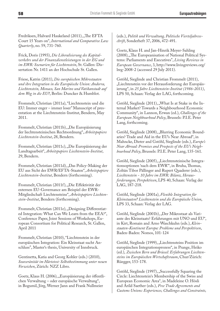Fredriksen, Halvard Haukeland (2011), "The EFTA Court 15 Years on", *International and Comparative Law Quarterly*, no. 59, 731-760.

Frick, Doris (1993), *Die Liberalisierung des Kapitalverkehrs und der Finanzdienstleistungen in der EG und im EWR: Szenarien für Liechtenstein*, St. Gallen: Dissertation Nr. 1411 an der Hochschule St. Gallen.

Friese, Katrin (2011), *Die europäischen Mikrostaaten und ihre Integration in die Europäische Union: Andorra, Liechtenstein, Monaco, San Marino und Vatikanstadt auf dem Weg in die EU?*, Berlin: Duncker & Humblot.

Frommelt, Christian (2011a), "Liechtenstein und die EU: Immer enger – immer loser" Manuscript of presentation at the Liechtenstein-Institut, Bendern, May 2011.

Frommelt, Christian (2011b), "Die Europäisierung der liechtensteinischen Rechtsordnung", *Arbeitspapiere Liechtenstein-Institut*, 28, Bendern.

Frommelt, Christian (2011c), "Die Europäisierung der Landtagsarbeit", *Arbeitspapiere Liechtenstein-Institut*, 29, Bendern.

Frommelt, Christian (2011d), "Das Policy-Making der EU aus Sicht der EWR/EFTA-Staaten", *Arbeitspapiere Liechtenstein-Institut*, Bendern (forthcoming).

Frommelt, Christian (2011f), "Die Effektivität der externen EU-Governance am Beispiel der EWR-Mitgliedschaft Liechtensteins", *Arbeitspapiere Liechtenstein-Institut*, Bendern (forthcoming).

Frommelt, Christian (2011e), "Designing Differentiated Integration: What Can We Learn from the EEA?", Conference Paper, Joint Sessions of Workshops, European Consortium for Political Research, St. Gallen, April 2011

Frommelt, Christian (2010), "Liechtenstein in der europäischen Integration: Ein Kleinstaat sucht Anschluss", Master's thesis, University of Innsbruck.

Gentinetta, Katia and Georg Kohler (eds.) (2010), *Souveränität im Härtetest: Selbstbestimmung unter neuen Vorzeichen*, Zürich: NZZ Libro.

Goetz, Klaus H. (2006), "Europäisierung der öffentlichen Verwaltung – oder europäische Verwaltung", in Bogumil, Jörg, Werner Jann and Frank Nullmeier

(eds.), *Politik und Verwaltung, Politische Vierteljahresschrift*, Sonderheft 37, 2006, 472-491.

Goetz, Klaus H. and Jan-Hinrik Meyer-Sahling (2008), "The Europeanisation of National Political Systems: Parliaments and Executives", *Living Reviews in European Governance*, 3, http://www.livingreviews.org/ lreg-2008-2 (accessed 29 July 2011).

Gstöhl, Sieglinde and Christian Frommelt (2011), "Liechtenstein vor der Herausforderung der Europäisierung", in *25 Jahre Liechtenstein-Institut (1986-2011)*, LPS 50, Schaan: Verlag der LAG, forthcoming.

Gstöhl, Sieglinde (2011), "What Is at Stake in the Internal Market? Towards a Neighbourhood Economic Community", in Lannon, Erwan (ed.), *Challenges of the European Neighbourhood Policy*, Brussels: P.I.E. Peter Lang, forthcoming.

Gstöhl, Sieglinde (2008), "Blurring Economic Boundaries? Trade and Aid in the EU's Near Abroad", in Mahncke, Dieter and Gstöhl, Sieglinde (eds.), *Europe's Near Abroad: Promises and Prospects of the EU's Neighbourhood Policy*, Brussels: P.I.E. Peter Lang, 135-161.

Gstöhl, Sieglinde (2005), "Liechtensteinische Integrationsoptionen 'nach dem EWR'", in Bruha, Thomas, Zoltán Tibor Pállinger and Rupert Quaderer (eds.), *Liechtenstein - 10 Jahre im EWR: Bilanz, Herausforderungen, Perspektiven*, LPS 40, Schaan: Verlag der LAG, 187-218.

Gstöhl, Sieglinde (2001a), *Flexible Integration für Kleinstaaten? Liechtenstein und die Europäische Union*, LPS 33, Schaan: Verlag der LAG.

Gstöhl, Sieglinde (2001b), "Der Mikrostaat als Variante des Kleinstaats? Erfahrungen mit UNO und EU", in Kirt, Romain and Arno Waschkuhn (eds.), *Kleinstaaten-Kontinent Europa: Probleme und Perspektiven*, Baden-Baden: Nomos, 101-124

Gstöhl, Sieglinde (1999), "Liechtensteins Position im europäischen Integrationsprozess", in Prange, Heiko (ed.), *Zwischen Bern und Brüssel: Erfahrungen Liechtensteins im Europäischen Wirtschaftsraum*, Chur/Zürich: Rüegger, 153-178.

Gstöhl, Sieglinde (1997), "Successfully Squaring the Circle: Liechtenstein's Membership of the Swiss and European Economic Area", in Madeleine O. Hösli and Arild Saether (eds.), *Free Trade Agreements and Customs Unions: Experiences, Challenges and Constraints,*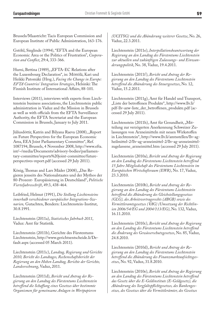Brussels/Maastricht: Tacis European Commission and European Institute of Public Administration, 163-176.

Gstöhl, Sieglinde (1994), "EFTA and the European Economic Area or the Politics of Frustration", *Cooperation and Conflict*, 29:4, 333-366.

Hurni, Bettina (1989), "EFTA-EC Relations after the Luxembourg Declaration", in: Möttölä, Kari und Heikki Patomäki (Hrsg.), *Facing the Change in Europe: EFTA Countries' Integration Strategies*, Helsinki: The Finnish Institute of International Affairs, 88-101.

Interviews (2011), interviews with experts from Liechtenstein business associations, the Liechtenstein public administration in Vaduz and the Mission in Brussels as well as with officials from the EFTA Surveillance Authority, the EFTA Secretariat and the European Commission in Brussels, January to July 2011.

Júlíusdóttir, Katrín and Bilyana Raeva (2008), "Report on Future Perspectives for the European Economic Area, EEA Joint Parliamentary Committee", Ref. 1087194, Brussels, 4 November 2008, http://www.efta. int/~/media/Documents/advisory-bodies/parliamentary-committee/reports%20joint-committee/futureperspectives-report.pdf (accessed 29 July 2011).

König, Thomas and Lars Mäder (2008), "Das Regieren jenseits des Nationalstaates und der Mythos der 80-Prozent- Europäisierung in Deutschland", *Politische Vierteljahresschrift*, 49:3, 438-464.

Leibfried, Helmut (1991), *Die Stellung Liechtensteins innerhalb verschiedener europäischer Integrations-Szenarien,* Gutachten, Bendern: Liechtenstein-Institut, 30.8.1991.

Liechtenstein (2011a), *Statistisches Jahrbuch 2011*, Vaduz: Amt für Statistik.

Liechtenstein (2011b), Gerichte des Fürstentums Liechtenstein, http://www.gerichtsentscheide.li/Default.aspx (accessed 05 March 2011).

Liechtenstein (2011c), *Landtag, Regierung und Gerichte 2010, Bericht des Landtages, Rechenschaftsbericht der Regierung an den Hohen Landtag, Berichte der Gerichte, Landesrechnung*, Vaduz, 2011.

Liechtenstein (2011d), *Bericht und Antrag der Regierung an den Landtag des Fürstentums Liechtenstein betreffend die Schaffung eines Gesetzes über bestimmte Organismen für gemeinsame Anlagen in Wertpapieren* 

*(UCITSG) und die Abänderung weiterer Gesetze*, No. 26, Vaduz, 22.3.2011.

Liechtenstein (2011e), *Interpellationsbeantwortung der Regierung an den Landtag des Fürstentums Liechtenstein zur aktuellen und zukünftigen Zulassungs- und Einwanderungspolitik*, No. 38, Vaduz, 19.4.2011.

Liechtenstein (2011f ), *Bericht und Antrag der Regierung an den Landtag des Fürstentums Liechtenstein betreffend die Abänderung des Steuergesetzes*, No. 12, Vaduz, 15.2.2011.

Liechtenstein (2011g), Amt für Handel und Transport, "Liste der betroffenen Produkte", http://www.llv.li/ pdf-llv-azw-liste\_der\_betroffenen\_produkte.pdf (accessed 29 July 2011).

Liechtenstein (2011h), Amt für Gesundheit, "Mitteilung zur verzögerten Anerkennung Schweizer Zulassungen von Arzneimitteln mit neuen Wirkstoffen in Liechtenstein", http://www.llv.li/amtsstellen/llv-agheilmittel-2/llv-ag-arzneimittel-2/llv-ag-arzneimittelzugelassene\_arzneimittel.htm (accessed 29 July 2011).

Liechtenstein (2010a), *Bericht und Antrag der Regierung an den Landtag des Fürstentums Liechtenstein betreffend 15 Jahre Mitgliedschaft des Fürstentums Liechtenstein im Europäischen Wirtschaftsraum (EWR)*, No. 17, Vaduz, 23.3.2010.

Liechtenstein (2010b), *Bericht und Antrag der Regierung an den Landtag des Fürstentums Liechtenstein betreffend die Abänderung des Gleichstellungsgesetzes (GLG), des Arbeitsvertragsrechts (ABGB) sowie des Vermittleramtsgesetzes (VAG) (Umsetzung der Richtlinien 2006/54/EG und 2004/113/EG)*, No. 132, Vaduz, 16.11.2010.

Liechtenstein (2010c), *Bericht und Antrag der Regierung an den Landtag des Fürstentums Liechtenstein betreffend die Änderung des Gewässerschutzgesetzes*, No. 85, Vaduz, 24.8.2010.

Liechtenstein (2010d), *Bericht und Antrag der Regierung an den Landtag des Fürstentums Liechtenstein betreffend die Abänderung des Finanzmarktaufsichtsgesetzes*, No. 92, Vaduz, 31.8.2010.

Liechtenstein (2010e), *Bericht und Antrag der Regierung an den Landtag des Fürstentums Liechtenstein betreffend das Gesetz über die E-Geldinstitute (E-Geldgesetz), die Abänderung des Sorgfaltspflichtgesetzes, des Bankengesetzes, des Gesetzes über die Vermittlerämter, des Gesetzes*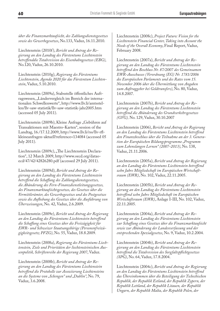*über die Finanzmarktaufsicht, des Zahlungsdienstegesetzes sowie des Gewerbegesetzes*, No.133, Vaduz, 16.11.2010.

Liechtenstein (2010f ), *Bericht und Antrag der Regierung an den Landtag des Fürstentums Liechtenstein betreffenddie Totalrevision des Eisenbahngesetzes (EBG)*, No.120, Vaduz, 26.10.2010.

Liechtenstein (2010g), *Regierung des Fürstentums Liechtenstein, Agenda 2020 für das Fürstentum Liechtenstein*, Vaduz, 5.10.2010.

Liechtenstein (2009a), Stabsstelle öffentliches Auftragswesen, "Ländervergleich im Bereich der internationalen Schwellenwerte", http://www.llv.li/amtsstellen/llv-saw-statistik/llv-saw-statistik-jahr2005.htm (accessed 05 July 2011).

Liechtenstein (2009b), Kleine Anfrage "Gebühren auf Transaktionen mit Maestro-Karten", session of the Landtag, 16./17.12.2009, http://www.llv.li/rss/llv-rflkleineanfragen-aktuell?reference=134084 (accessed 05 July 2011).

Liechtenstein (2009c), "The Liechtenstein Declaration", 12 March 2009, http://www.oecd.org/dataoecd/47/42/42826280.pdf (accessed 29 July 2011).

Liechtenstein (2009d), *Bericht und Antrag der Regierung an den Landtag des Fürstentums Liechtenstein betreffend die Schaffung des Zahlungsdienstegesetzes, die Abänderung des Fern-Finanzdienstleitungsgesetzes, des Finanzmarktaufsichtsgesetzes, des Gesetzes über die Vermittlerämter, des Gewerbegesetzes und des Postgesetzes sowie die Aufhebung des Gesetzes über die Ausführung von Überweisungen*, No. 42, Vaduz, 2.6.2009.

Liechtenstein (2009e), *Bericht und Antrag der Regierung an den Landtag des Fürstentums Liechtenstein betreffend die Schaffung eines Gesetzes über die Freizügigkeit für EWR- und Schweizer Staatsangehörige (Personenfreizügigkeitsgesetz; PFZG)*, No. 55, Vaduz, 18.8.2009.

Liechtenstein (2008a), *Regierung des Fürstentums Liechtenstein, Ziele und Prioritäten der liechtensteinischen Aussenpolitik, Schriftenreihe der Regierung 2007*, Vaduz.

Liechtenstein (2008b), *Bericht und Antrag der Regierung an den Landtag des Fürstentums Liechtenstein betreffend die Protokolle zur Assoziierung Liechtensteins an die Systeme von "Schengen" und "Dublin"*, No. 79, Vaduz, 3.6.2008.

Liechtenstein (2008c), *Project Futuro: Vision for the Liechtenstein Financial Center, Taking into Account the Needs of the Overall Economy*, Final Report, Vaduz, February 2008.

Liechtenstein (2007a), *Bericht und Antrag der Regierung an den Landtag des Fürstentums Liechtenstein betreffend den Beschluss Nr. 87/2007 des Gemeinsamen EWR-Ausschusses (Verordnung (EG) Nr. 1781/2006 des Europäischen Parlaments und des Rates vom 15. November 2006 über die Übermittlung von Angaben zum Auftraggeber bei Geldtransfers)*, No. 80, Vaduz, 14.8.2007.

Liechtenstein (2007b), *Bericht und Antrag der Regierung an den Landtag des Fürstentums Liechtenstein betreffend die Abänderung des Grundverkehrsgesetzes (GVG),* No. 129, Vaduz, 30.10.2007

Liechtenstein (2006), *Bericht und Antrag der Regierung an den Landtag des Fürstentums Liechtenstein betreffend den Finanzbeschluss über die Teilnahme an der 3. Generation der Europäischen Bildungsprogramme "Programm zum Lebenslangen Lernen" (2007-2013)*, No. 138, Vaduz, 21.11.2006.

Liechtenstein (2005a), *Bericht und Antrag der Regierung an den Landtag des Fürstentums Liechtenstein betreffend zehn Jahre Mitgliedschaft im Europäischen Wirtschaftsraum (EWR)*, No. 102, Vaduz, 22.11.2005.

Liechtenstein (2005b), *Bericht und Antrag der Regierung an den Landtag des Fürstentums Liechtenstein betreffend zehn Jahre Mitgliedschaft im Europäischen Wirtschaftsraum (EWR)*, Anlage I-III, No. 102, Vaduz, 22.11.2005.

Liechtenstein (2004a), *Bericht und Antrag der Regierung an den Landtag des Fürstentums Liechtenstein zur Schaffung eines Gesetzes über die Finanzmarktaufsicht sowie zur Abänderung der Landesverfassung und der entsprechenden Spezialgesetze*, No. 9, Vaduz, 10.2.2004.

Liechtenstein (2004b), *Bericht und Antrag der Regierung an den Landtag des Fürstentums Liechtenstein betreffend die Totalrevision des Sorgfaltspflichtgesetzes (SPG)*, No. 64, Vaduz, 17.8.2004.

Liechtenstein (2004c), *Bericht und Antrag der Regierung an den Landtag des Fürstentums Liechtenstein betreffend das Übereinkommen über die Beteiligung der Tschechischen Republik, der Republik Estland, der Republik Zypern, der Republik Lettland, der Republik Litauen, der Republik Ungarn, der Republik Malta, der Republik Polen, der*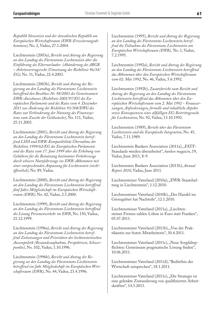*Republik Slowenien und der slowakischen Republik am Europäischen Wirtschaftsraum (EWR-Erweiterungsabkommen)*, No. 2, Vaduz, 27.1.2004.

Liechtenstein (2003a), *Bericht und Antrag der Regierung an den Landtag des Fürstentums Liechtenstein über die Einführung des Elternurlaubes (Abänderung des ABGB – Arbeitsvertragsrecht (Umsetzung der Richtlinie 96/34/ EG)*, No. 31, Vaduz, 22.4.2003.

Liechtenstein (2003b), *Bericht und Antrag der Regierung an den Landtag des Fürstentums Liechtenstein betreffend den Beschluss Nr. 98/2003 des Gemeinsamen EWR-Ausschusses (Richtlinie 2001/97/EG des Europäischen Parlaments und des Rates vom 4. Dezember 2011 zur Änderung der Richtlinie 91/308/EWG des Rates zur Verhinderung der Nutzung des Finanzsystems zum Zwecke der Geldwäsche)*, No. 111, Vaduz, 25.11.2003.

Liechtenstein (2001), *Bericht und Antrag der Regierung an den Landtag des Fürstentums Liechtenstein betreffend LSVA und EWR-Kompatibilität Übernahme der Richtlinie 1999/62/EG des Europäischen Parlaments und des Rates vom 17. Juni 1999 über die Erhebung von Gebühren für die Benutzung bestimmter Verkehrswege durch schwere Nutzfahrzeuge ins EWR-Abkommen mit einer entsprechenden Anpassung für Liechtenstein (nichtöffentlich)*, No. 89, Vaduz.

Liechtenstein (2000), *Bericht und Antrag der Regierung an den Landtag des Fürstentums Liechtenstein betreffend fünf Jahre Mitgliedschaft im Europäischen Wirtschaftsraum (EWR)*, No. 42, Vaduz, 2.5.2000.

Liechtenstein (1999), *Bericht und Antrag der Regierung an den Landtag des Fürstentums Liechtenstein betreffend die Lösung Personenverkehr im EWR*, No. 150, Vaduz, 21.12.1999.

Liechtenstein (1996a), *Bericht und Antrag der Regierung an den Landtag des Fürstentums Liechtenstein betreffend Zielsetzungen und Prioritäten der liechtensteinischen Aussenpolitik (Bestandesaufnahme, Perspektiven, Schwerpunkte)*, No. 102, Vaduz, 1.10.1996.

Liechtenstein (1996b), *Bericht und Antrag der Regierung an den Landtag des Fürstentums Liechtenstein betreffend ein Jahr Mitgliedschaft im Europäischen Wirtschaftsraum (EWR)*, No. 44, Vaduz, 23.4.1996.

Liechtenstein (1995), *Bericht und Antrag der Regierung an den Landtag des Fürstentums Liechtenstein betreffend die Teilnahme des Fürstentums Liechtenstein am Europäischen Wirtschaftsraum (EWR),* No. 1, Vaduz, 7.2.1995.

Liechtenstein (1992a), *Bericht und Antrag der Regierung an den Landtag des Fürstentums Liechtenstein betreffend das Abkommen über den Europäischen Wirtschaftsraum vom 02. Mai 1992*, No. 46, Vaduz, 5.6.1992.

Liechtenstein (1992b), *Zusatzbericht zum Bericht und Antrag der Regierung an den Landtag des Fürstentums Liechtenstein betreffend das Abkommen über den Europäischen Wirtschaftsraum vom 2. Mai 1992 - Voraussetzungen, Anforderungen, formelle und inhaltliche Aspekte sowie Konsequenzen eines allfälligen EG-Beitrittsgesuchs für Liechtenstein*, No. 92, Vaduz, 13.10.1992.

Liechtenstein (1989), *Bericht über das Fürstentum Liechtenstein und die Europäische Integration*, No. 45, Vaduz, 7.11.1989.

Liechtenstein Bankers Association (2011a), "FATF-Standards werden überarbeitet", *banken magazin*, 19, Vaduz, June 2011, 8-9.

Liechtenstein Bankers Association (2011b), *Annual Report 2010*, Vaduz, June 2011.

Liechtensteiner Vaterland (2010a), "EWR-Staatshaftung in Liechtenstein", 1.12.2010.

Liechtensteiner Vaterland (2010b), "Der Handel im Grenzgebiet hat Nachteile", 12.1.2010.

Liechtensteiner Vaterland (2011a), "Liechtensteiner Firmen zahlen Löhne in Euro statt Franken", 05.07.2011.

Liechtensteiner Vaterland (2011b), "Von der Praktikantin zur festen Mitarbeiterin", 30.4.2011.

Liechtensteiner Vaterland (2011c), "Neue Sorgfaltspflichten: Gemeinsam pragmatische Lösung finden", 10.06.2011.

Liechtensteiner Vaterland (2011d), "Bedürfnis der Wirtschaft entsprechen", 18.1.2011.

Liechtensteiner Vaterland (2011e), "Die Strategie ist eine gelenkte Zuwanderung von qualifizierten Arbeitskräften", 14.5.2011.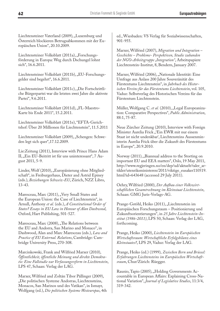Liechtensteiner Vaterland (2009), "Luxemburg und Österreich blockieren Betrugsabkommen mit der Europäischen Union", 20.10.2009.

Liechtensteiner Volksblatt (2011a), "Forschungsförderung in Europa: Weg durch Dschungel lohnt sich", 16.6.2011.

Liechtensteiner Volksblatt (2011b), "EU-Forschungsgelder sind begehrt", 16.6.2011.

Liechtensteiner Volksblatt (2011c), "Die Fortschrittliche Bürgerpartei war die letzten zwei Jahre die aktivste Partei", 9.6.2011.

Liechtensteiner Volksblatt (2011d), "FL-Maestro-Karte bis Ende 2011", 15.2.2011.

Liechtensteiner Volksblatt (2011e), "EFTA-Gerichtshof: Über 20 Millionen für Liechtenstein", 11.5.2011

Liechtensteiner Volksblatt (2009), "Schengen: Schweden legt sich quer",17.12.2009.

Lie:Zeitung (2011), Interview with Prince Hans Adam II, "Ein EU-Beitritt ist für uns uninteressant", 7 August 2011, 5-9.

Linder, Wolf (2010), "Europäisierung ohne Mitgliedschaft", in Freiburgerhaus, Dieter and Astrid Epiney (eds.), *Beziehungen Schweiz-EU*, Zürich, NZZ Libro, 13-43.

Maresceau, Marc (2011), "Very Small States and the European Union: the Case of Liechtenstein", in Arnull, Anthony *et al.* (eds.), *A Constitutional Order of States? Essays in EU Law in Honour of Alan Dashwood*, Oxford, Hart Publishing, 501-527.

Maresceau, Marc (2008), "The Relations between the EU and Andorra, San Marino and Monaco", in Dashwood, Alan and Marc Maresceau (eds.), *Law and Practice of EU External. Relations*, Cambridge: Cambridge University Press, 270-308.

Marcinkowski, Frank and Wilfried Marxer (2010), *Öffentlichkeit, öffentliche Meinung und direkte Demokratie: Eine Fallstudie zur Verfassungsreform in Liechtenstein*, LPS 47, Schaan: Verlag der LAG.

Marxer, Wilfried and Zoltán Tibor Pállinger (2009), "Die politischen Systeme Andorras, Liechtensteins, Monacos, San Marinos und des Vatikan", in Ismayr, Wolfgang (ed.), *Die politischen Systeme Westeuropas*, 4th ed., Wiesbaden: VS Verlag für Sozialwissenschaften, 901-955.

Marxer, Wilfried (2007), *Migration und Integration – Geschichte – Probleme- Perspektiven, Studie zuhanden der NGO-Arbeitsgruppe "Integration"*, Arbeitspapiere Liechtenstein-Institut, 8, Bendern, January 2007.

Marxer, Wilfried (2006), "Nationale Identität: Eine Umfrage aus Anlass 200 Jahre Souveränität des Fürstentums Liechtenstein", in *Jahrbuch des Historischen Vereins für das Fürstentums Liechtenstein*, vol. 105, Vaduz: Selbstverlag des Historischen Vereins für das Fürstentum Liechtenstein.

Müller, Wolfgang C. et al. (2010), "Legal Europeanization: Comparative Perspectives", *Public Administration*, 88:1, 75-87.

Neue Zürcher Zeitung (2010), Interview with Foreign Minister Aurelia Frick "'Ein EWR mit nur einem Staat ist nicht undenkbar', Liechtensteins Aussenministerin Aurelia Frick über die Zukunft des Fürstentums in Europe", 20.9.2010.

Norway (2011), "Biannual address to the Storting on important EU and EEA matters", Oslo, 19 May 2011, http://www.regjeringen.no/en/dep/ud/aktuelt/taler\_artikler/utenriksministeren/2011/viktige\_eusaker110519. html?id=643648 (accessed 29 July 2011).

Oehry, Wilfried (2000), *Der Aufbau einer Volkswirtschaftlichen Gesamtrechnung im Kleinstaat Liechtenstein*, Schaan: GMG Juris-Verlags-AG.

Prange-Gstöhl, Heiko (2011), "Liechtenstein im Europäischen Forschungsraum – Positionierung und Zukunftsorientierungen", in *25 Jahre Liechtenstein-Institut (1986-2011)*, LPS 50, Schaan: Verlag der LAG, forthcoming.

Prange, Heiko (2000), *Liechtenstein im Europäischen Wirtschaftsraum: Wirtschaftliche Erfolgsbilanz eines Kleinstaates?*, LPS 29, Vaduz: Verlag der LAG.

Prange, Heiko (ed.) (1999), *Zwischen Bern und Brüssel: Erfahrungen Liechtensteins im Europäischen Wirtschaftsraum*, Chur/Zürich: Rüegger.

Raunio, Tapio (2005), "Holding Governments Accountable in European Affairs: Explaining Cross-National Variation", *Journal of Legislative Studies*, 11:3/4, 319-342.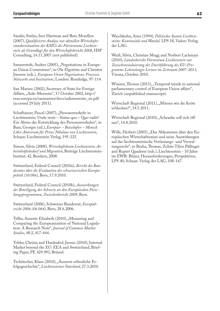Sander, Stefan, Ines Hartman and Reto Morellon (2007), *Qualifizierte Analyse zur aktuellen Wirtschaftsstandortsituation der KMUs des Fürstentums Liechtenstein als Grundlage für den Wirtschaftsbericht 2008*, HSP Consulting, 14.11.2007 (not published).

Sannerstedt, Anders (2005), "Negotiations in European Union Committees", in Ole Elgström and Christen Jönsson (eds.), *European Union Negotiations: Processes, Networks and Institutions*, London: Routledge, 97-114.

San Marino (2002), Secretary of State for Foreign Affairs, "Aide-Memoire", 17 October 2002, http:// eeas.europa.eu/sanmarino/docs/aidememoire\_en.pdf (accessed 29 July 2011).

Schafhauser, Pascal (2007), "Personenverkehr in Liechtenstein: Unde venit – Status quo – Quo vadit? Ein Abriss der Entwicklung des Personenverkehrs", in Baur, Georges (ed.), *Europäer – Botschafter – Mensch. Liber Amicorum für Prinz Nikolaus von Liechtenstein*, Schaan: Liechtenstein Verlag, 195-225.

Simon, Silvia (2008), *Wirtschaftsboom Liechtenstein, Arbeitskräftebedarf und Migration*, Beiträge Liechtenstein-Institut, 42, Bendern, 2008.

Switzerland, Federal Council (2010a), *Bericht des Bundesrates über die Evaluation der schweizerischen Europapolitik (10.086)*, Bern, 17.9.2010.

Switzerland, Federal Council (2010b), *Auswirkungen der Beteiligung der Schweiz an den Europäischen Forschungsprogrammen, Zwischenbericht 2009*, Bern.

Switzerland (2006), Schweizer Bundesrat, *Europabericht 2006 (06.064)*, Bern, 28.6.2006.

Töller, Annette Elisabeth (2010), "Measuring and Comparing the Europeanization of National Legislation: A Research Note", *Journal of Common Market Studies*, 48:2, 417-444.

Tobler, Christa and Hardenbol, Jeroen (2010), Internal Market beyond the EU: EEA and Switzerland, Briefing Paper, PE 429.993, Brüssel.

Tschütscher, Klaus (2010), "Äusserst erfreuliche Erfolgsgeschichte", *Liechtensteiner Vaterland*, 27.3.2010. Waschkuhn, Arno (1994), *Politisches System Liechtensteins: Kontinuität und Wandel,* LPS 18, Vaduz: Verlag der LAG.

Weiß, Silvia, Christian Mogg and Norbert Lachmayr (2010), *Länderbericht Fürstentum Liechtenstein zur Zwischenevaluierung der Durchführung des EU-Programms Lebenslanges Lernen im Zeitraum 2007-2013*, Vienna, October 2010.

Winzen, Thomas (2011), "Temporal trends in national parliamentary control of European Union affairs", Zürich (unpublished manuscript).

Wirtschaft Regional (2011), "Müssen wir die Kröte schlucken?", 14.5.2011.

Wirtschaft Regional (2010), "Schranke soll sich öffnen", 14.8.2010.

Wille, Herbert (2005), "Das Abkommen über den Europäischen Wirtschaftsraum und seine Auswirkungen auf das liechtensteinische Verfassungs- und Verwaltungsrecht", in Bruha, Thomas, Zoltán Tibor Pállinger and Rupert Quaderer (eds.), Liechtenstein - 10 Jahre im EWR: Bilanz, Herausforderungen, Perspektiven, LPS 40, Schaan: Verlag der LAG, 108-147.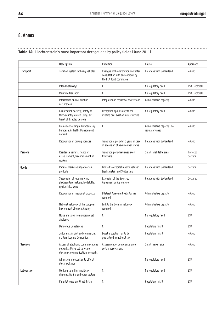...................................

## **8. Annex**

## **Table 16:** Liechtenstein's most important derogations by policy fields (June 2011)

|                 | Description                                                                                                 | Condition                                                                                            | Cause                                          | Approach              |
|-----------------|-------------------------------------------------------------------------------------------------------------|------------------------------------------------------------------------------------------------------|------------------------------------------------|-----------------------|
| Transport       | Taxation system for heavy vehicles                                                                          | Changes of the derogation only after<br>consultation with and approval by<br>the EEA Joint Committee | Relations with Switzerland                     | Ad hoc                |
|                 | Inland waterways                                                                                            | χ                                                                                                    | No regulatory need                             | ESA (sectoral)        |
|                 | Maritime transport                                                                                          | χ                                                                                                    | No regulatory need                             | ESA (sectoral)        |
|                 | Information on civil aviation<br>occurrences                                                                | Integration in registry of Switzerland                                                               | Administrative capacity                        | Ad hoc                |
|                 | Civil aviation security, safety of<br>third-country aircraft using, air<br>travel of disabled persons       | Derogation applies only to the<br>existing civil aviation infrastructure                             | No regulatory need                             | Ad hoc                |
|                 | Framework of single European sky,<br>European Air Traffic Management<br>network                             | χ                                                                                                    | Administrative capacity; No<br>regulatory need | Ad hoc                |
|                 | Recognition of driving licences                                                                             | Transitional period of 5 years in case<br>of accession of new member states                          | Relations with Switzerland                     | Ad hoc                |
| Persons         | Residence permits, rights of<br>establishment, free movement of<br>workers                                  | Transition period reviewed every<br>five years                                                       | Small inhabitable area                         | Protocol,<br>Sectoral |
| Goods           | Parallel marketability of certain<br>products                                                               | Limited to exports/imports between<br>Liechtenstein and Switzerland                                  | Relations with Switzerland                     | Sectoral              |
|                 | Suspension of veterinary and<br>phytosanitary matters, foodstuffs,<br>spirit drinks, wine                   | Extension of the Swiss-EU<br>Agreement on Agriculture                                                | <b>Relations with Switzerland</b>              | Sectoral              |
|                 | Recognition of medicinal products                                                                           | <b>Bilateral Agreement with Austria</b><br>required                                                  | Administrative capacity                        | Ad hoc                |
|                 | National helpdesk of the European<br><b>Environment Chemical Agency</b>                                     | Link to the German helpdesk<br>required                                                              | Administrative capacity                        | Ad hoc                |
|                 | Noise emission from subsonic jet<br>airplanes                                                               | χ                                                                                                    | No regulatory need                             | ESA                   |
|                 | Dangerous Substances                                                                                        | χ                                                                                                    | Regulatory misfit                              | ESA                   |
|                 | Judgments in civil and commercial<br>matters (Lugano Convention)                                            | Equal protection has to be<br>guaranteed by national law                                             | Regulatory misfit                              | Ad hoc                |
| <b>Services</b> | Access of electronic communications<br>networks; Universal service of<br>electronic communications networks | Assessment of compliance under<br>certain reservations                                               | Small market size                              | Ad hoc                |
|                 | Admission of securities to official<br>stock exchange                                                       |                                                                                                      | No regulatory need                             | ESA                   |
| Labour law      | Working condition in railway,<br>shipping, fishing and other sectors                                        | χ                                                                                                    | No regulatory need                             | ESA                   |
|                 | Parental leave and Great Britain                                                                            | χ                                                                                                    | Regulatory misfit                              | ESA                   |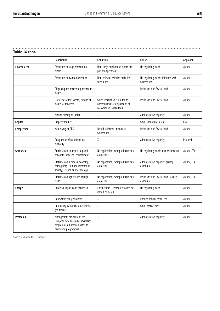#### **Table 16 cont.**

|                   | Description                                                                                                                   | Condition                                                                                     | Cause                                             | Approach    |
|-------------------|-------------------------------------------------------------------------------------------------------------------------------|-----------------------------------------------------------------------------------------------|---------------------------------------------------|-------------|
| Environment       | Emissions of large combustion<br>plants                                                                                       | Until large combustion plants are<br>put into operation                                       | No regulatory need                                | Ad hoc      |
|                   | Emissions of aviation activities                                                                                              | Until relevant aviation activities<br>take place                                              | No regulatory need; Relations with<br>Switzerland | Ad hoc      |
|                   | Disposing and recovering hazardous<br>waste                                                                                   |                                                                                               | Relations with Switzerland                        | Ad hoc      |
|                   | List of hazardous waste, exports of<br>waste for recovery                                                                     | Swiss legislation is limited to<br>hazardous waste disposed of or<br>recovered in Switzerland | Relations with Switzerland                        | Ad hoc      |
|                   | Market placing of GMOs                                                                                                        | X                                                                                             | Administrative capacity                           | Ad hoc      |
| Capital           | Property market                                                                                                               | Χ                                                                                             | Small inhabitable area                            | ESA         |
| Competition       | No delivery of SPC                                                                                                            | Bound to Patent union with<br>Switzerland                                                     | Relations with Switzerland                        | Ad hoc      |
|                   | Designation of a competition<br>authority                                                                                     | X                                                                                             | Administrative capacity                           | Protocol    |
| <b>Statistics</b> | Statistics on transport, regional<br>accounts, fisheries, environment                                                         | No application, exempted from data<br>collection                                              | No regulatory need; privacy concerns              | Ad hoc, ESA |
|                   | Statistics on business, economy,<br>demography, tourism, information<br>society, science and technology                       | No application, exempted from data<br>collection                                              | Administrative capacity; privacy<br>concerns      | Ad hoc, ESA |
|                   | Statistics on agriculture, foreign<br>trade                                                                                   | No application, exempted from data<br>collection                                              | Relations with Switzerland; privacy<br>concerns   | Ad hoc, ESA |
| Energy            | Crude oil imports and deliveries                                                                                              | For the time Liechtenstein does not<br>import crude oil                                       | No regulatory need                                | Ad hoc      |
|                   | Renewable energy sources                                                                                                      | X                                                                                             | Limited natural resources                         | Ad hoc      |
|                   | Unbundling within the electricity or<br>gas market                                                                            | X                                                                                             | Small market size                                 | Ad hoc      |
| Protocols         | Management structure of the<br>European satellite radio-navigation<br>programmes; European satellite<br>navigation programmes | Χ                                                                                             | Administrative capacity                           | Ad hoc      |

Source: compiled by C. Frommelt.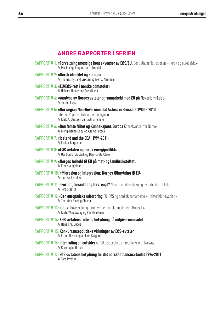## **andre RAPPORTER I SERIEN**

- **Rapport # 1: «Forvaltningsmessige konsekvenser av EØS/EU.** Sentraladministrasjonen norsk og europeisk.**»** Av Morten Egeberg og Jarle Trondal
- **Rapport # 2: «Norsk identitet og Europa»** Av Thomas Hylland Eriksen og Iver B. Neumann
- **Rapport # 3: «EU/EØS-rett i norske domstoler»** Av Halvard Haukeland Fredriksen
- **Rapport # 4: «Analyse av Norges avtaler og samarbeid med EU på fiskeriområdet»** Av Torben Foss
- **Rapport # 5: «Norwegian Non-Governmental Actors in Brussels 1980 2010**  Interest Representation and Lobbying**»** Av Kjell A. Eliassen og Pavlina Peneva
- **RAPPORT # 6: «Den femte frihet og Kunnskapens Europa** Konsekvenser for Norge» Av Meng-Hsuan Chou og Åse Gornitzka
- **Rapport # 7: «Iceland and the EEA, 1994-2011**» Av Eiríkur Bergmann
- **Rapport # 8: «EØS-avtalen og norsk energipolitikk**» Av Ole Gunnar Austvik og Dag Harald Claes
- **Rapport # 9: «Norges forhold til EU på mat- og landbruksfeltet**» Av Frode Veggeland
- **Rapport # 10: «Migrasjon og integrasjon: Norges tilknytning til EU**» Av Jan-Paul Brekke
- **RAPPORT # 11: «Fortiet, forsinket og forvrengt?** Norske mediers dekning av forholdet til EU» Av Tore Slaatta
- **Rapport # 12 «Den europæiske udfordring** EU, EØS og nordisk samarbejde i historisk belysning» Av Thorsten Borring Olesen
- **Rapport # 13: «plux.** Hovedsakelig harmløs. Den norske modellen i Brussel.» Av Kjetil Wiedswang og Per Elvestuen
- **Rapport # 14: EØS-avtalens rolle og betydning på miljøvernområdet** Av Hans Chr. Bugge
- **Rapport # 15: Konkurransepolitiske virkninger av EØS-avtalen** Av Erling Hjelmeng og Lars Sørgard
- **RAPPORT # 16: Integrating an outsider** An EU perspective on relations with Norway Av Christophe Hillion
- **Rapport # 17: EØS-avtalens betydning for det norske finansmarkedet 1994-2011**  Av Tore Mydske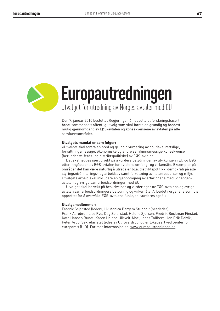

## Utvalget for utredning av Norges avtaler med EU **Europautredningen**

Den 7. januar 2010 besluttet Regjeringen å nedsette et forskningsbasert, bredt sammensatt offentlig utvalg som skal foreta en grundig og bredest mulig gjennomgang av EØS-avtalen og konsekvensene av avtalen på alle samfunnsområder.

#### **Utvalgets mandat er som følger:**

«Utvalget skal foreta en bred og grundig vurdering av politiske, rettslige, forvaltningsmessige, økonomiske og andre samfunnsmessige konsekvenser (herunder velferds- og distriktspolitiske) av EØS-avtalen.

Det skal legges særlig vekt på å vurdere betydningen av utviklingen i EU og EØS etter inngåelsen av EØS-avtalen for avtalens omfang- og virkemåte. Eksempler på områder det kan være naturlig å utrede er bl.a. distriktspolitikk, demokrati på alle styringsnivå, nærings- og arbeidsliv samt forvaltning av naturressurser og miljø. Utvalgets arbeid skal inkludere en gjennomgang av erfaringene med Schengenavtalen og øvrige samarbeidsordninger med EU.

Utvalget skal ha vekt på beskrivelser og vurderinger av EØS-avtalens og øvrige avtaler/samarbeidsordningers betydning og virkemåte. Arbeidet i organene som ble opprettet for å overvåke EØS-avtalens funksjon, vurderes også.»

#### **Utvalgsmedlemmer:**

Fredrik Sejersted (leder), Liv Monica Bargem Stubholt (nestleder), Frank Aarebrot, Lise Rye, Dag Seierstad, Helene Sjursen, Fredrik Bøckman Finstad, Kate Hansen Bundt, Karen Helene Ulltveit-Moe, Jonas Tallberg, Jon Erik Dølvik, Peter Arbo. Sekretariatet ledes av Ulf Sverdrup, og er lokalisert ved Senter for europarett (UiO). For mer informasjon se: www.europautredningen.no